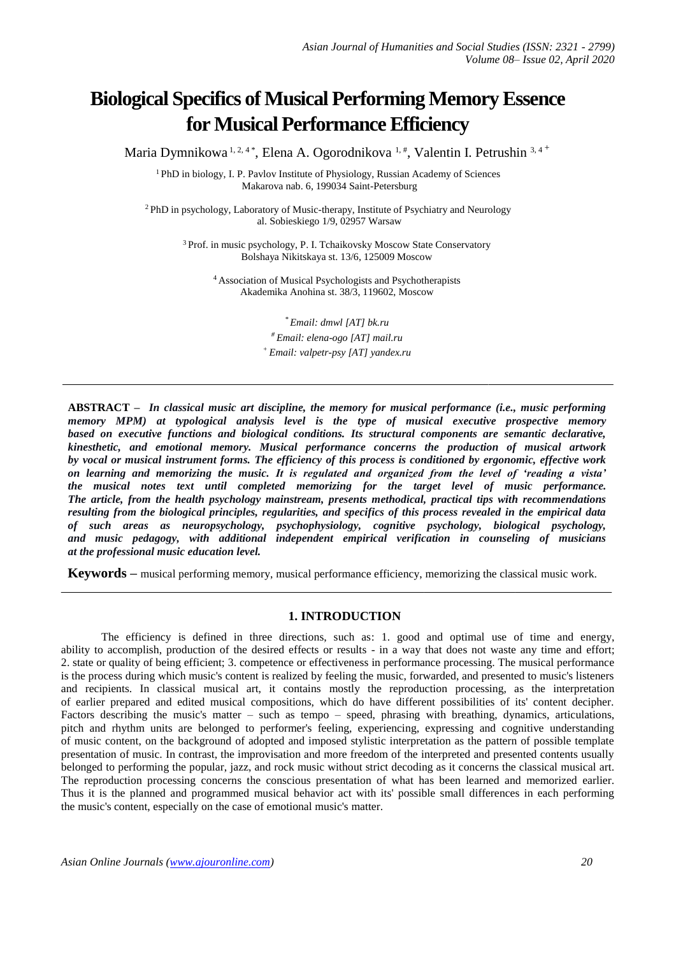# **Biological Specifics of Musical Performing Memory Essence for Musical Performance Efficiency**

Maria Dymnikowa 1, 2, 4\*, Elena A. Ogorodnikova 1,#, Valentin I. Petrushin 3, 4 +

<sup>1</sup> PhD in biology, I. P. Pavlov Institute of Physiology, Russian Academy of Sciences Makarova nab. 6, 199034 Saint-Petersburg

<sup>2</sup>PhD in psychology, Laboratory of Music-therapy, Institute of Psychiatry and Neurology al. Sobieskiego 1/9, 02957 Warsaw

> <sup>3</sup>Prof. in music psychology, P. I. Tchaikovsky Moscow State Conservatory Bolshaya Nikitskaya st. 13/6, 125009 Moscow

<sup>4</sup>Association of Musical Psychologists and Psychotherapists Akademika Anohina st. 38/3, 119602, Moscow

> *\* Em[ail: d](mailto:ig-andreeva@mail.ru)mwl [AT] bk.ru # Em[ail: e](mailto:ig-andreeva@mail.ru)lena-ogo [AT] mail.ru <sup>+</sup> Ema[il: v](mailto:ig-andreeva@mail.ru)alpetr-psy [AT] yandex.ru*

**ABSTRACT** *– In classical music art discipline, the memory for musical performance (i.e., music performing memory MPM) at typological analysis level is the type of musical executive prospective memory based on executive functions and biological conditions. Its structural components are semantic declarative, kinesthetic, and emotional memory. Musical performance concerns the production of musical artwork by vocal or musical instrument forms. The efficiency of this process is conditioned by ergonomic, effective work on learning and memorizing the music. It is regulated and organized from the level of 'reading a vista' the musical notes text until completed memorizing for the target level of music performance. The article, from the health psychology mainstream, presents methodical, practical tips with recommendations resulting from the biological principles, regularities, and specifics of this process revealed in the empirical data of such areas as neuropsychology, psychophysiology, cognitive psychology, biological psychology, and music pedagogy, with additional independent empirical verification in counseling of musicians at the professional music education level.* 

**Keywords –** musical performing memory, musical performance efficiency, memorizing the classical music work.

# **1. INTRODUCTION**

The efficiency is defined in three directions, such as: 1. good and optimal use of time and energy, ability to accomplish, production of the desired effects or results - in a way that does not waste any time and effort; 2. state or quality of being efficient; 3. competence or effectiveness in performance processing. The musical performance is the process during which music's content is realized by feeling the music, forwarded, and presented to music's listeners and recipients. In classical musical art, it contains mostly the reproduction processing, as the interpretation of earlier prepared and edited musical compositions, which do have different possibilities of its' content decipher. Factors describing the music's matter – such as tempo – speed, phrasing with breathing, dynamics, articulations, pitch and rhythm units are belonged to performer's feeling, experiencing, expressing and cognitive understanding of music content, on the background of adopted and imposed stylistic interpretation as the pattern of possible template presentation of music. In contrast, the improvisation and more freedom of the interpreted and presented contents usually belonged to performing the popular, jazz, and rock music without strict decoding as it concerns the classical musical art. The reproduction processing concerns the conscious presentation of what has been learned and memorized earlier. Thus it is the planned and programmed musical behavior act with its' possible small differences in each performing the music's content, especially on the case of emotional music's matter.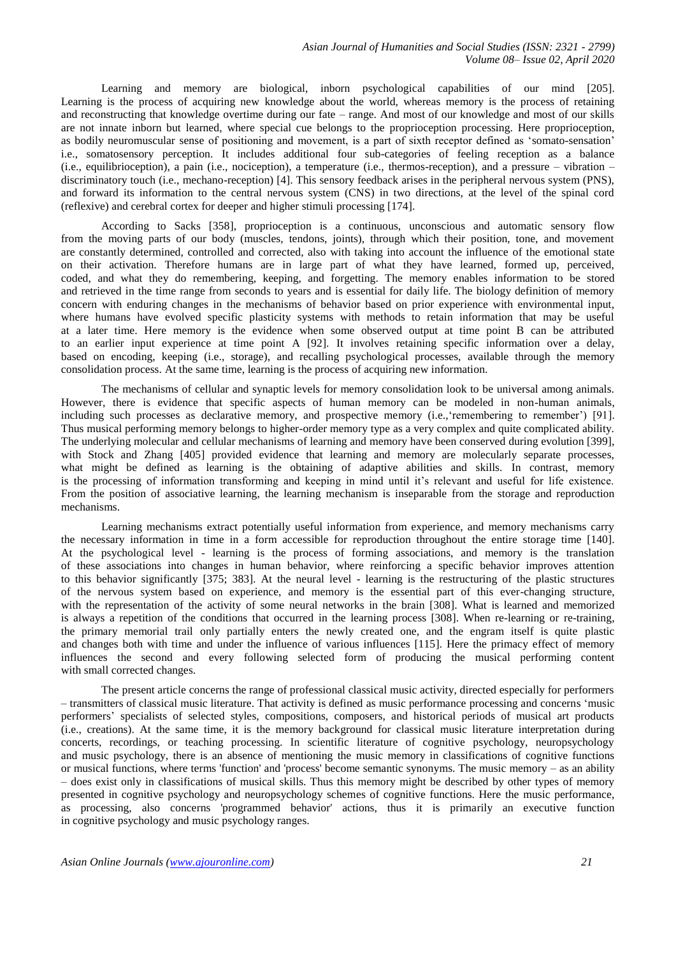Learning and memory are biological, inborn psychological capabilities of our mind [205]. Learning is the process of acquiring new knowledge about the world, whereas memory is the process of retaining and reconstructing that knowledge overtime during our fate – range. And most of our knowledge and most of our skills are not innate inborn but learned, where special cue belongs to the proprioception processing. Here proprioception, as bodily neuromuscular sense of positioning and movement, is a part of sixth receptor defined as 'somato-sensation' i.e., somatosensory perception. It includes additional four sub-categories of feeling reception as a balance (i.e., equilibrioception), a pain (i.e., nociception), a temperature (i.e., thermos-reception), and a pressure – vibration – discriminatory touch (i.e., mechano-reception) [4]. This sensory feedback arises in the peripheral nervous system (PNS), and forward its information to the central nervous system (CNS) in two directions, at the level of the spinal cord (reflexive) and cerebral cortex for deeper and higher stimuli processing [174].

According to Sacks [358], proprioception is a continuous, unconscious and automatic sensory flow from the moving parts of our body (muscles, tendons, joints), through which their position, tone, and movement are constantly determined, controlled and corrected, also with taking into account the influence of the emotional state on their activation. Therefore humans are in large part of what they have learned, formed up, perceived, coded, and what they do remembering, keeping, and forgetting. The memory enables information to be stored and retrieved in the time range from seconds to years and is essential for daily life. The biology definition of memory concern with enduring changes in the mechanisms of behavior based on prior experience with environmental input, where humans have evolved specific plasticity systems with methods to retain information that may be useful at a later time. Here memory is the evidence when some observed output at time point B can be attributed to an earlier input experience at time point A [92]. It involves retaining specific information over a delay, based on encoding, keeping (i.e., storage), and recalling psychological processes, available through the memory consolidation process. At the same time, learning is the process of acquiring new information.

The mechanisms of cellular and synaptic levels for memory consolidation look to be universal among animals. However, there is evidence that specific aspects of human memory can be modeled in non-human animals, including such processes as declarative memory, and prospective memory (i.e., 'remembering to remember') [91]. Thus musical performing memory belongs to higher-order memory type as a very complex and quite complicated ability. The underlying molecular and cellular mechanisms of learning and memory have been conserved during evolution [399], with Stock and Zhang [405] provided evidence that learning and memory are molecularly separate processes, what might be defined as learning is the obtaining of adaptive abilities and skills. In contrast, memory is the processing of information transforming and keeping in mind until it's relevant and useful for life existence. From the position of associative learning, the learning mechanism is inseparable from the storage and reproduction mechanisms.

Learning mechanisms extract potentially useful information from experience, and memory mechanisms carry the necessary information in time in a form accessible for reproduction throughout the entire storage time [140]. At the psychological level - learning is the process of forming associations, and memory is the translation of these associations into changes in human behavior, where reinforcing a specific behavior improves attention to this behavior significantly [375; 383]. At the neural level - learning is the restructuring of the plastic structures of the nervous system based on experience, and memory is the essential part of this ever-changing structure, with the representation of the activity of some neural networks in the brain [308]. What is learned and memorized is always a repetition of the conditions that occurred in the learning process [308]. When re-learning or re-training, the primary memorial trail only partially enters the newly created one, and the engram itself is quite plastic and changes both with time and under the influence of various influences [115]. Here the primacy effect of memory influences the second and every following selected form of producing the musical performing content with small corrected changes.

The present article concerns the range of professional classical music activity, directed especially for performers – transmitters of classical music literature. That activity is defined as music performance processing and concerns 'music performers' specialists of selected styles, compositions, composers, and historical periods of musical art products (i.e., creations). At the same time, it is the memory background for classical music literature interpretation during concerts, recordings, or teaching processing. In scientific literature of cognitive psychology, neuropsychology and music psychology, there is an absence of mentioning the music memory in classifications of cognitive functions or musical functions, where terms 'function' and 'process' become semantic synonyms. The music memory – as an ability – does exist only in classifications of musical skills. Thus this memory might be described by other types of memory presented in cognitive psychology and neuropsychology schemes of cognitive functions. Here the music performance, as processing, also concerns 'programmed behavior' actions, thus it is primarily an executive function in cognitive psychology and music psychology ranges.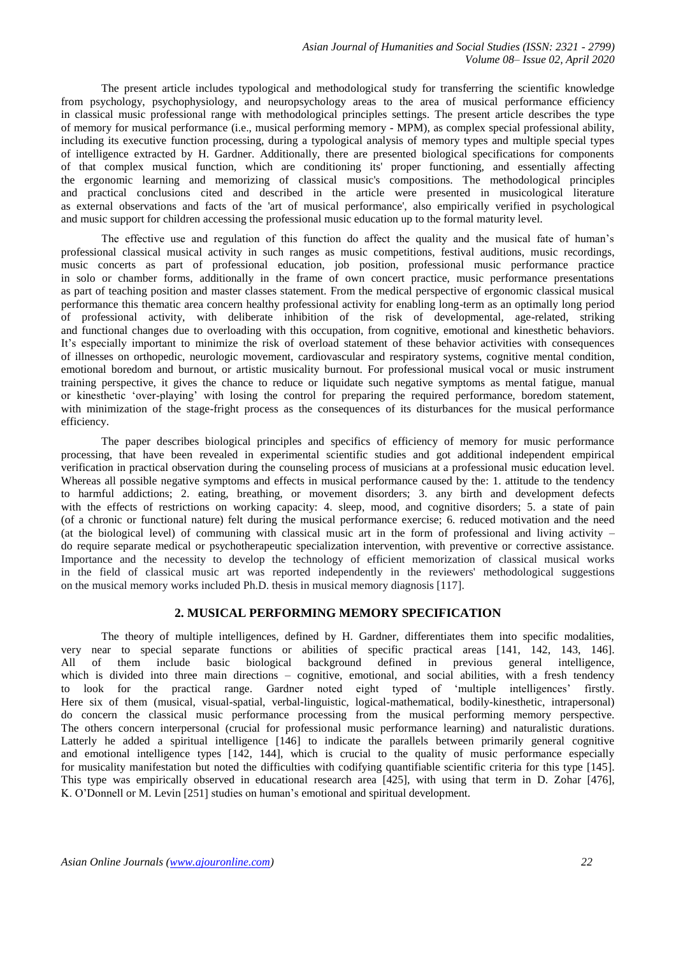The present article includes typological and methodological study for transferring the scientific knowledge from psychology, psychophysiology, and neuropsychology areas to the area of musical performance efficiency in classical music professional range with methodological principles settings. The present article describes the type of memory for musical performance (i.e., musical performing memory - MPM), as complex special professional ability, including its executive function processing, during a typological analysis of memory types and multiple special types of intelligence extracted by H. Gardner. Additionally, there are presented biological specifications for components of that complex musical function, which are conditioning its' proper functioning, and essentially affecting the ergonomic learning and memorizing of classical music's compositions. The methodological principles and practical conclusions cited and described in the article were presented in musicological literature as external observations and facts of the 'art of musical performance', also empirically verified in psychological and music support for children accessing the professional music education up to the formal maturity level.

The effective use and regulation of this function do affect the quality and the musical fate of human's professional classical musical activity in such ranges as music competitions, festival auditions, music recordings, music concerts as part of professional education, job position, professional music performance practice in solo or chamber forms, additionally in the frame of own concert practice, music performance presentations as part of teaching position and master classes statement. From the medical perspective of ergonomic classical musical performance this thematic area concern healthy professional activity for enabling long-term as an optimally long period of professional activity, with deliberate inhibition of the risk of developmental, age-related, striking and functional changes due to overloading with this occupation, from cognitive, emotional and kinesthetic behaviors. It's especially important to minimize the risk of overload statement of these behavior activities with consequences of illnesses on orthopedic, neurologic movement, cardiovascular and respiratory systems, cognitive mental condition, emotional boredom and burnout, or artistic musicality burnout. For professional musical vocal or music instrument training perspective, it gives the chance to reduce or liquidate such negative symptoms as mental fatigue, manual or kinesthetic 'over-playing' with losing the control for preparing the required performance, boredom statement, with minimization of the stage-fright process as the consequences of its disturbances for the musical performance efficiency.

The paper describes biological principles and specifics of efficiency of memory for music performance processing, that have been revealed in experimental scientific studies and got additional independent empirical verification in practical observation during the counseling process of musicians at a professional music education level. Whereas all possible negative symptoms and effects in musical performance caused by the: 1. attitude to the tendency to harmful addictions; 2. eating, breathing, or movement disorders; 3. any birth and development defects with the effects of restrictions on working capacity: 4. sleep, mood, and cognitive disorders; 5. a state of pain (of a chronic or functional nature) felt during the musical performance exercise; 6. reduced motivation and the need (at the biological level) of communing with classical music art in the form of professional and living activity  $$ do require separate medical or psychotherapeutic specialization intervention, with preventive or corrective assistance. Importance and the necessity to develop the technology of efficient memorization of classical musical works in the field of classical music art was reported independently in the reviewers' methodological suggestions on the musical memory works included Ph.D. thesis in musical memory diagnosis [117].

# **2. MUSICAL PERFORMING MEMORY SPECIFICATION**

The theory of multiple intelligences, defined by H. Gardner, differentiates them into specific modalities, very near to special separate functions or abilities of specific practical areas [141, 142, 143, 146]. All of them include basic biological background defined in previous general intelligence, which is divided into three main directions – cognitive, emotional, and social abilities, with a fresh tendency to look for the practical range. Gardner noted eight typed of 'multiple intelligences' firstly. Here six of them (musical, visual-spatial, verbal-linguistic, logical-mathematical, bodily-kinesthetic, intrapersonal) do concern the classical music performance processing from the musical performing memory perspective. The others concern interpersonal (crucial for professional music performance learning) and naturalistic durations. Latterly he added a spiritual intelligence [146] to indicate the parallels between primarily general cognitive and emotional intelligence types [142, 144], which is crucial to the quality of music performance especially for musicality manifestation but noted the difficulties with codifying quantifiable scientific criteria for this type [145]. This type was empirically observed in educational research area [425], with using that term in D. Zohar [476], K. O'Donnell or M. Levin [251] studies on human's emotional and spiritual development.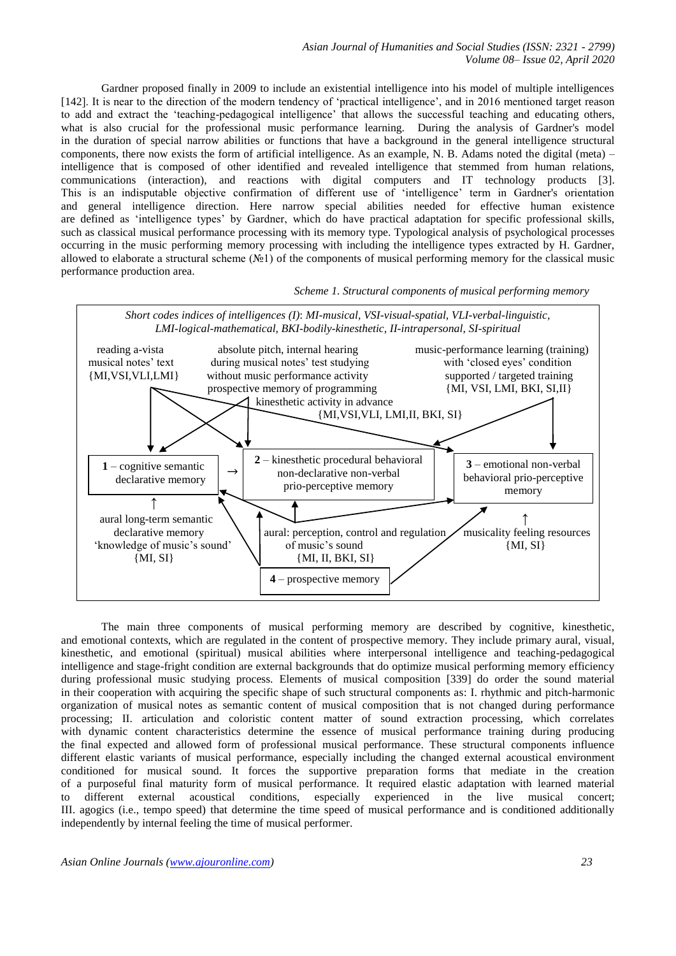*Asian Journal of Humanities and Social Studies (ISSN: 2321 - 2799) Volume 08– Issue 02, April 2020*

Gardner proposed finally in 2009 to include an existential intelligence into his model of multiple intelligences [142]. It is near to the direction of the modern tendency of 'practical intelligence', and in 2016 mentioned target reason to add and extract the 'teaching-pedagogical intelligence' that allows the successful teaching and educating others, what is also crucial for the professional music performance learning. During the analysis of Gardner's model in the duration of special narrow abilities or functions that have a background in the general intelligence structural components, there now exists the form of artificial intelligence. As an example, N. B. Adams noted the digital (meta) – intelligence that is composed of other identified and revealed intelligence that stemmed from human relations, communications (interaction), and reactions with digital computers and IT technology products [3]. This is an indisputable objective confirmation of different use of 'intelligence' term in Gardner's orientation and general intelligence direction. Here narrow special abilities needed for effective human existence are defined as 'intelligence types' by Gardner, which do have practical adaptation for specific professional skills, such as classical musical performance processing with its memory type. Typological analysis of psychological processes occurring in the music performing memory processing with including the intelligence types extracted by H. Gardner, allowed to elaborate a structural scheme (№1) of the components of musical performing memory for the classical music performance production area.

 *Scheme 1. Structural components of musical performing memory*



The main three components of musical performing memory are described by cognitive, kinesthetic, and emotional contexts, which are regulated in the content of prospective memory. They include primary aural, visual, kinesthetic, and emotional (spiritual) musical abilities where interpersonal intelligence and teaching-pedagogical intelligence and stage-fright condition are external backgrounds that do optimize musical performing memory efficiency during professional music studying process. Elements of musical composition [339] do order the sound material in their cooperation with acquiring the specific shape of such structural components as: I. rhythmic and pitch-harmonic organization of musical notes as semantic content of musical composition that is not changed during performance processing; II. articulation and coloristic content matter of sound extraction processing, which correlates with dynamic content characteristics determine the essence of musical performance training during producing the final expected and allowed form of professional musical performance. These structural components influence different elastic variants of musical performance, especially including the changed external acoustical environment conditioned for musical sound. It forces the supportive preparation forms that mediate in the creation of a purposeful final maturity form of musical performance. It required elastic adaptation with learned material<br>to different external acoustical conditions, especially experienced in the live musical concert; to different external acoustical conditions, especially experienced in the live musical concert; III. agogics (i.e., tempo speed) that determine the time speed of musical performance and is conditioned additionally independently by internal feeling the time of musical performer.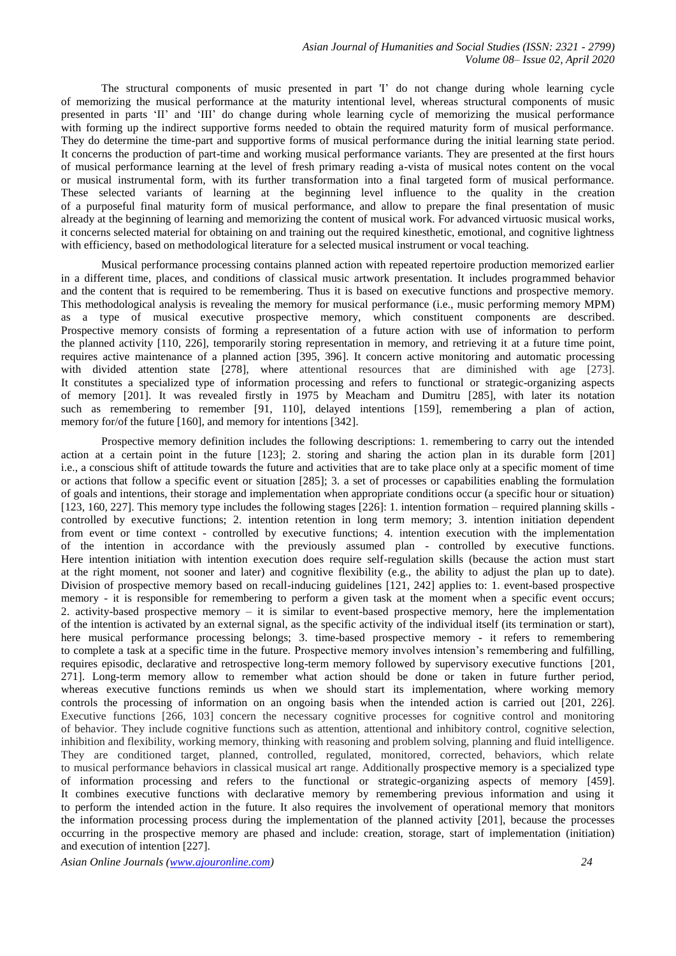The structural components of music presented in part 'I' do not change during whole learning cycle of memorizing the musical performance at the maturity intentional level, whereas structural components of music presented in parts 'II' and 'III' do change during whole learning cycle of memorizing the musical performance with forming up the indirect supportive forms needed to obtain the required maturity form of musical performance. They do determine the time-part and supportive forms of musical performance during the initial learning state period. It concerns the production of part-time and working musical performance variants. They are presented at the first hours of musical performance learning at the level of fresh primary reading a-vista of musical notes content on the vocal or musical instrumental form, with its further transformation into a final targeted form of musical performance. These selected variants of learning at the beginning level influence to the quality in the creation of a purposeful final maturity form of musical performance, and allow to prepare the final presentation of music already at the beginning of learning and memorizing the content of musical work. For advanced virtuosic musical works, it concerns selected material for obtaining on and training out the required kinesthetic, emotional, and cognitive lightness with efficiency, based on methodological literature for a selected musical instrument or vocal teaching.

Musical performance processing contains planned action with repeated repertoire production memorized earlier in a different time, places, and conditions of classical music artwork presentation. It includes programmed behavior and the content that is required to be remembering. Thus it is based on executive functions and prospective memory. This methodological analysis is revealing the memory for musical performance (i.e., music performing memory MPM) as a type of musical executive prospective memory, which constituent components are described. Prospective memory consists of forming a representation of a future action with use of information to perform the planned activity [110, 226], temporarily storing representation in memory, and retrieving it at a future time point, requires active maintenance of a planned action [395, 396]. It concern active monitoring and automatic processing with divided attention state [278], where attentional resources that are diminished with age [273]. It constitutes a specialized type of information processing and refers to functional or strategic-organizing aspects of memory [201]. It was revealed firstly in 1975 by Meacham and Dumitru [285], with later its notation such as remembering to remember [91, 110], delayed intentions [159], remembering a plan of action, memory for/of the future [160], and memory for intentions [342].

Prospective memory definition includes the following descriptions: 1. remembering to carry out the intended action at a certain point in the future [123]; 2. storing and sharing the action plan in its durable form [201] i.e., a conscious shift of attitude towards the future and activities that are to take place only at a specific moment of time or actions that follow a specific event or situation [285]; 3. a set of processes or capabilities enabling the formulation of goals and intentions, their storage and implementation when appropriate conditions occur (a specific hour or situation) [123, 160, 227]. This memory type includes the following stages [226]: 1. intention formation – required planning skills controlled by executive functions; 2. intention retention in long term memory; 3. intention initiation dependent from event or time context - controlled by executive functions; 4. intention execution with the implementation of the intention in accordance with the previously assumed plan - controlled by executive functions. Here intention initiation with intention execution does require self-regulation skills (because the action must start at the right moment, not sooner and later) and cognitive flexibility (e.g., the ability to adjust the plan up to date). Division of prospective memory based on recall-inducing guidelines [121, 242] applies to: 1. event-based prospective memory - it is responsible for remembering to perform a given task at the moment when a specific event occurs; 2. activity-based prospective memory – it is similar to event-based prospective memory, here the implementation of the intention is activated by an external signal, as the specific activity of the individual itself (its termination or start), here musical performance processing belongs; 3. time-based prospective memory - it refers to remembering to complete a task at a specific time in the future. Prospective memory involves intension's remembering and fulfilling, requires episodic, declarative and retrospective long-term memory followed by supervisory executive functions [201, 271]. Long-term memory allow to remember what action should be done or taken in future further period, whereas executive functions reminds us when we should start its implementation, where working memory controls the processing of information on an ongoing basis when the intended action is carried out [201, 226]. Executive functions [266, 103] concern the necessary cognitive processes for cognitive control and monitoring of behavior. They include cognitive functions such as attention, attentional and inhibitory control, cognitive selection, inhibition and flexibility, working memory, thinking with reasoning and problem solving, planning and fluid intelligence. They are conditioned target, planned, controlled, regulated, monitored, corrected, behaviors, which relate to musical performance behaviors in classical musical art range. Additionally prospective memory is a specialized type of information processing and refers to the functional or strategic-organizing aspects of memory [459]. It combines executive functions with declarative memory by remembering previous information and using it to perform the intended action in the future. It also requires the involvement of operational memory that monitors the information processing process during the implementation of the planned activity [201], because the processes occurring in the prospective memory are phased and include: creation, storage, start of implementation (initiation) and execution of intention [227].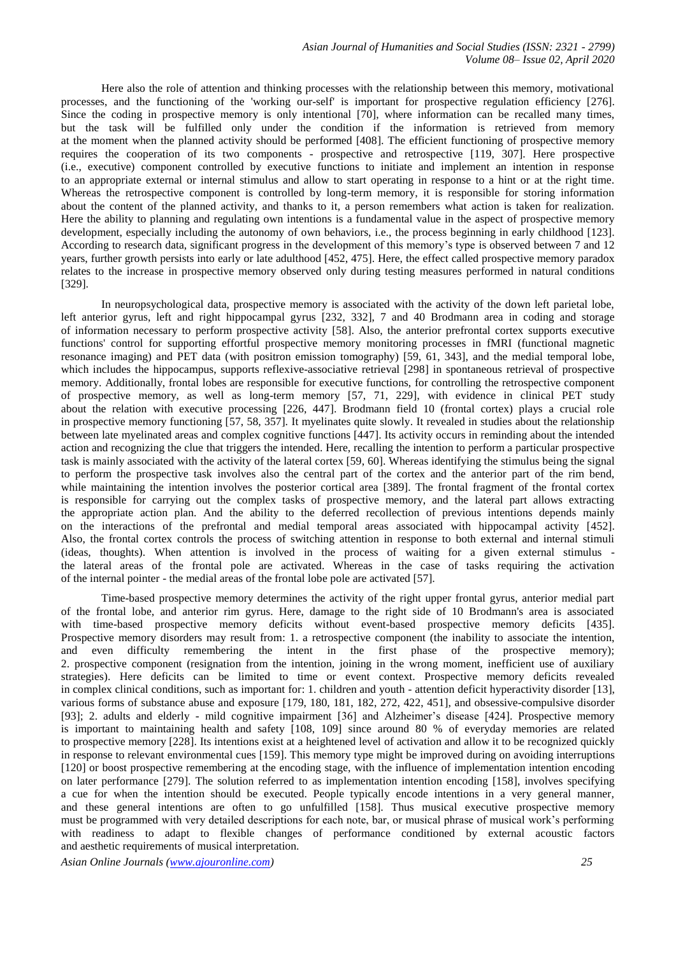Here also the role of attention and thinking processes with the relationship between this memory, motivational processes, and the functioning of the 'working our-self' is important for prospective regulation efficiency [276]. Since the coding in prospective memory is only intentional [70], where information can be recalled many times, but the task will be fulfilled only under the condition if the information is retrieved from memory at the moment when the planned activity should be performed [408]. The efficient functioning of prospective memory requires the cooperation of its two components - prospective and retrospective [119, 307]. Here prospective (i.e., executive) component controlled by executive functions to initiate and implement an intention in response to an appropriate external or internal stimulus and allow to start operating in response to a hint or at the right time. Whereas the retrospective component is controlled by long-term memory, it is responsible for storing information about the content of the planned activity, and thanks to it, a person remembers what action is taken for realization. Here the ability to planning and regulating own intentions is a fundamental value in the aspect of prospective memory development, especially including the autonomy of own behaviors, i.e., the process beginning in early childhood [123]. According to research data, significant progress in the development of this memory's type is observed between 7 and 12 years, further growth persists into early or late adulthood [452, 475]. Here, the effect called prospective memory paradox relates to the increase in prospective memory observed only during testing measures performed in natural conditions [329].

In neuropsychological data, prospective memory is associated with the activity of the down left parietal lobe, left anterior gyrus, left and right hippocampal gyrus [232, 332], 7 and 40 Brodmann area in coding and storage of information necessary to perform prospective activity [58]. Also, the anterior prefrontal cortex supports executive functions' control for supporting effortful prospective memory monitoring processes in fMRI (functional magnetic resonance imaging) and PET data (with positron emission tomography) [59, 61, 343], and the medial temporal lobe, which includes the hippocampus, supports reflexive-associative retrieval [298] in spontaneous retrieval of prospective memory. Additionally, frontal lobes are responsible for executive functions, for controlling the retrospective component of prospective memory, as well as long-term memory [57, 71, 229], with evidence in clinical PET study about the relation with executive processing [226, 447]. Brodmann field 10 (frontal cortex) plays a crucial role in prospective memory functioning [57, 58, 357]. It myelinates quite slowly. It revealed in studies about the relationship between late myelinated areas and complex cognitive functions [447]. Its activity occurs in reminding about the intended action and recognizing the clue that triggers the intended. Here, recalling the intention to perform a particular prospective task is mainly associated with the activity of the lateral cortex [59, 60]. Whereas identifying the stimulus being the signal to perform the prospective task involves also the central part of the cortex and the anterior part of the rim bend, while maintaining the intention involves the posterior cortical area [389]. The frontal fragment of the frontal cortex is responsible for carrying out the complex tasks of prospective memory, and the lateral part allows extracting the appropriate action plan. And the ability to the deferred recollection of previous intentions depends mainly on the interactions of the prefrontal and medial temporal areas associated with hippocampal activity [452]. Also, the frontal cortex controls the process of switching attention in response to both external and internal stimuli (ideas, thoughts). When attention is involved in the process of waiting for a given external stimulus the lateral areas of the frontal pole are activated. Whereas in the case of tasks requiring the activation of the internal pointer - the medial areas of the frontal lobe pole are activated [57].

Time-based prospective memory determines the activity of the right upper frontal gyrus, anterior medial part of the frontal lobe, and anterior rim gyrus. Here, damage to the right side of 10 Brodmann's area is associated with time-based prospective memory deficits without event-based prospective memory deficits [435]. Prospective memory disorders may result from: 1. a retrospective component (the inability to associate the intention, and even difficulty remembering the intent in the first phase of the prospective memory); 2. prospective component (resignation from the intention, joining in the wrong moment, inefficient use of auxiliary strategies). Here deficits can be limited to time or event context. Prospective memory deficits revealed in complex clinical conditions, such as important for: 1. children and youth - attention deficit hyperactivity disorder [13], various forms of substance abuse and exposure [179, 180, 181, 182, 272, 422, 451], and obsessive-compulsive disorder [93]; 2. adults and elderly - mild cognitive impairment [36] and Alzheimer's disease [424]. Prospective memory is important to maintaining health and safety [108, 109] since around 80 % of everyday memories are related to prospective memory [228]. Its intentions exist at a heightened level of activation and allow it to be recognized quickly in response to relevant environmental cues [159]. This memory type might be improved during on avoiding interruptions [120] or boost prospective remembering at the encoding stage, with the influence of implementation intention encoding on later performance [279]. The solution referred to as implementation intention encoding [158], involves specifying a cue for when the intention should be executed. People typically encode intentions in a very general manner, and these general intentions are often to go unfulfilled [158]. Thus musical executive prospective memory must be programmed with very detailed descriptions for each note, bar, or musical phrase of musical work's performing with readiness to adapt to flexible changes of performance conditioned by external acoustic factors and aesthetic requirements of musical interpretation.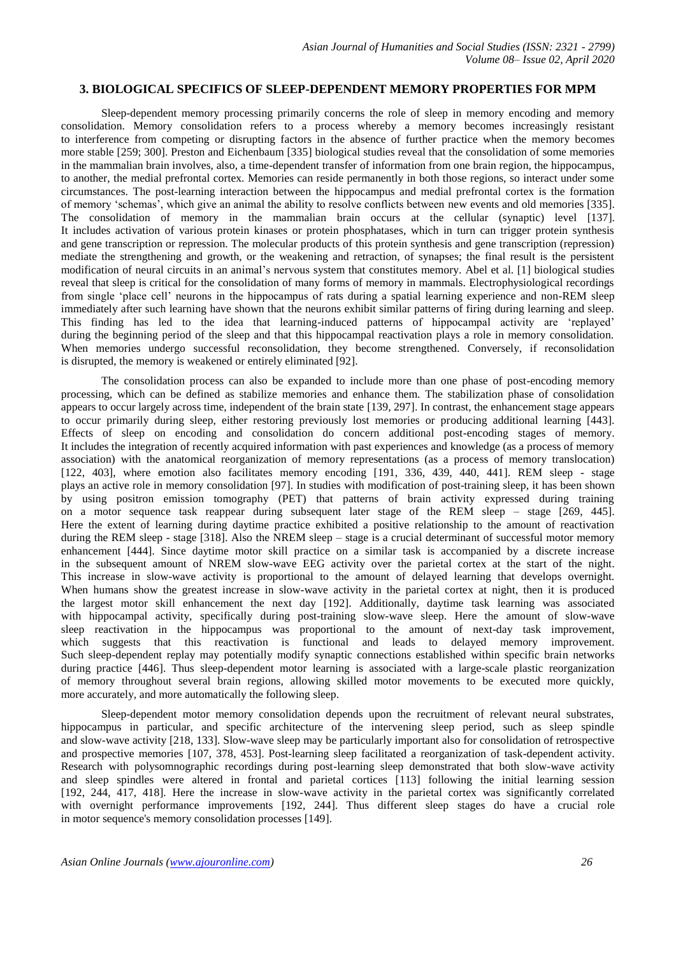## **3. BIOLOGICAL SPECIFICS OF SLEEP-DEPENDENT MEMORY PROPERTIES FOR MPM**

Sleep-dependent memory processing primarily concerns the role of sleep in memory encoding and memory consolidation. Memory consolidation refers to a process whereby a memory becomes increasingly resistant to interference from competing or disrupting factors in the absence of further practice when the memory becomes more stable [259; 300]. Preston and Eichenbaum [335] biological studies reveal that the consolidation of some memories in the mammalian brain involves, also, a time-dependent transfer of information from one brain region, the hippocampus, to another, the medial prefrontal cortex. Memories can reside permanently in both those regions, so interact under some circumstances. The post-learning interaction between the hippocampus and medial prefrontal cortex is the formation of memory 'schemas', which give an animal the ability to resolve conflicts between new events and old memories [335]. The consolidation of memory in the mammalian brain occurs at the cellular (synaptic) level [137]. It includes activation of various protein kinases or protein phosphatases, which in turn can trigger protein synthesis and gene transcription or repression. The molecular products of this protein synthesis and gene transcription (repression) mediate the strengthening and growth, or the weakening and retraction, of synapses; the final result is the persistent modification of neural circuits in an animal's nervous system that constitutes memory. Abel et al. [1] biological studies reveal that sleep is critical for the consolidation of many forms of memory in mammals. Electrophysiological recordings from single 'place cell' neurons in the hippocampus of rats during a spatial learning experience and non-REM sleep immediately after such learning have shown that the neurons exhibit similar patterns of firing during learning and sleep. This finding has led to the idea that learning-induced patterns of hippocampal activity are 'replayed' during the beginning period of the sleep and that this hippocampal reactivation plays a role in memory consolidation. When memories undergo successful reconsolidation, they become strengthened. Conversely, if reconsolidation is disrupted, the memory is weakened or entirely eliminated [92].

The consolidation process can also be expanded to include more than one phase of post-encoding memory processing, which can be defined as stabilize memories and enhance them. The stabilization phase of consolidation appears to occur largely across time, independent of the brain state [139, 297]. In contrast, the enhancement stage appears to occur primarily during sleep, either restoring previously lost memories or producing additional learning [443]. Effects of sleep on encoding and consolidation do concern additional post-encoding stages of memory. It includes the integration of recently acquired information with past experiences and knowledge (as a process of memory association) with the anatomical reorganization of memory representations (as a process of memory translocation) [122, 403], where emotion also facilitates memory encoding [191, 336, 439, 440, 441]. REM sleep - stage plays an active role in memory consolidation [97]. In studies with modification of post-training sleep, it has been shown by using positron emission tomography (PET) that patterns of brain activity expressed during training on a motor sequence task reappear during subsequent later stage of the REM sleep – stage [269, 445]. Here the extent of learning during daytime practice exhibited a positive relationship to the amount of reactivation during the REM sleep - stage [318]. Also the NREM sleep – stage is a crucial determinant of successful motor memory enhancement [444]. Since daytime motor skill practice on a similar task is accompanied by a discrete increase in the subsequent amount of NREM slow-wave EEG activity over the parietal cortex at the start of the night. This increase in slow-wave activity is proportional to the amount of delayed learning that develops overnight. When humans show the greatest increase in slow-wave activity in the parietal cortex at night, then it is produced the largest motor skill enhancement the next day [192]. Additionally, daytime task learning was associated with hippocampal activity, specifically during post-training slow-wave sleep. Here the amount of slow-wave sleep reactivation in the hippocampus was proportional to the amount of next-day task improvement, which suggests that this reactivation is functional and leads to delayed memory improvement. Such sleep-dependent replay may potentially modify synaptic connections established within specific brain networks during practice [446]. Thus sleep-dependent motor learning is associated with a large-scale plastic reorganization of memory throughout several brain regions, allowing skilled motor movements to be executed more quickly, more accurately, and more automatically the following sleep.

Sleep-dependent motor memory consolidation depends upon the recruitment of relevant neural substrates, hippocampus in particular, and specific architecture of the intervening sleep period, such as sleep spindle and slow-wave activity [218, 133]. Slow-wave sleep may be particularly important also for consolidation of retrospective and prospective memories [107, 378, 453]. Post-learning sleep facilitated a reorganization of task-dependent activity. Research with polysomnographic recordings during post-learning sleep demonstrated that both slow-wave activity and sleep spindles were altered in frontal and parietal cortices [113] following the initial learning session [192, 244, 417, 418]. Here the increase in slow-wave activity in the parietal cortex was significantly correlated with overnight performance improvements [192, 244]. Thus different sleep stages do have a crucial role in motor sequence's memory consolidation processes [149].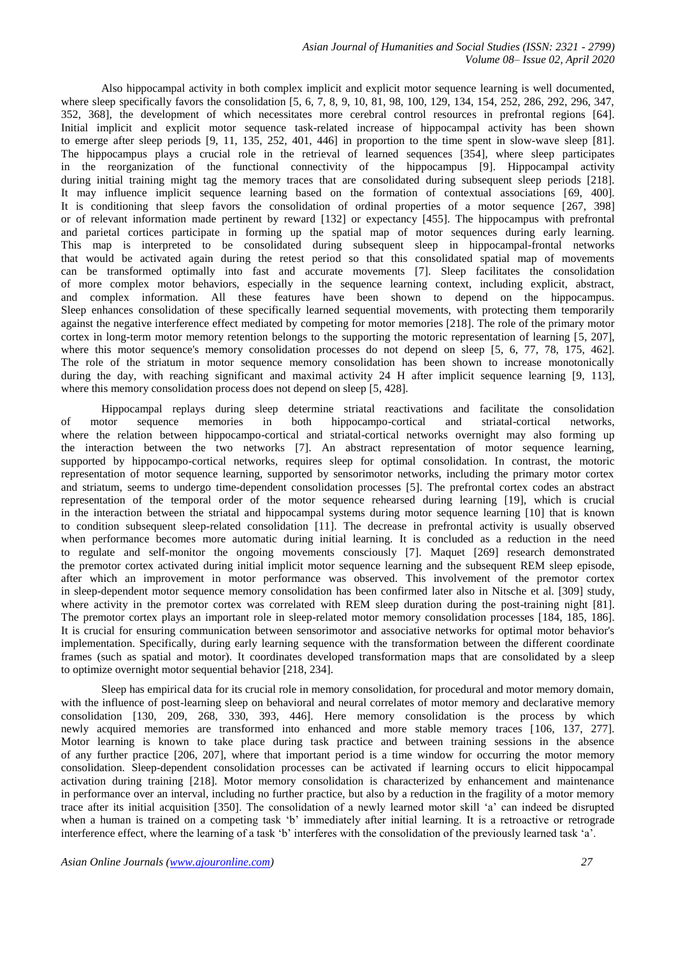Also hippocampal activity in both complex implicit and explicit motor sequence learning is well documented, where sleep specifically favors the consolidation [5, 6, 7, 8, 9, 10, 81, 98, 100, 129, 134, 154, 252, 286, 292, 296, 347, 352, 368], the development of which necessitates more cerebral control resources in prefrontal regions [64]. Initial implicit and explicit motor sequence task-related increase of hippocampal activity has been shown to emerge after sleep periods [9, 11, 135, 252, 401, 446] in proportion to the time spent in slow-wave sleep [81]. The hippocampus plays a crucial role in the retrieval of learned sequences [354], where sleep participates in the reorganization of the functional connectivity of the hippocampus [9]. Hippocampal activity during initial training might tag the memory traces that are consolidated during subsequent sleep periods [218]. It may influence implicit sequence learning based on the formation of contextual associations [69, 400]. It is conditioning that sleep favors the consolidation of ordinal properties of a motor sequence [267, 398] or of relevant information made pertinent by reward [132] or expectancy [455]. The hippocampus with prefrontal and parietal cortices participate in forming up the spatial map of motor sequences during early learning. This map is interpreted to be consolidated during subsequent sleep in hippocampal-frontal networks that would be activated again during the retest period so that this consolidated spatial map of movements can be transformed optimally into fast and accurate movements [7]. Sleep facilitates the consolidation of more complex motor behaviors, especially in the sequence learning context, including explicit, abstract, and complex information. All these features have been shown to depend on the hippocampus. Sleep enhances consolidation of these specifically learned sequential movements, with protecting them temporarily against the negative interference effect mediated by competing for motor memories [218]. The role of the primary motor cortex in long-term motor memory retention belongs to the supporting the motoric representation of learning [5, 207], where this motor sequence's memory consolidation processes do not depend on sleep [5, 6, 77, 78, 175, 462]. The role of the striatum in motor sequence memory consolidation has been shown to increase monotonically during the day, with reaching significant and maximal activity 24 H after implicit sequence learning [9, 113], where this memory consolidation process does not depend on sleep [5, 428].

Hippocampal replays during sleep determine striatal reactivations and facilitate the consolidation of motor sequence memories in both hippocampo-cortical and striatal-cortical networks, where the relation between hippocampo-cortical and striatal-cortical networks overnight may also forming up the interaction between the two networks [7]. An abstract representation of motor sequence learning, supported by hippocampo-cortical networks, requires sleep for optimal consolidation. In contrast, the motoric representation of motor sequence learning, supported by sensorimotor networks, including the primary motor cortex and striatum, seems to undergo time-dependent consolidation processes [5]. The prefrontal cortex codes an abstract representation of the temporal order of the motor sequence rehearsed during learning [19], which is crucial in the interaction between the striatal and hippocampal systems during motor sequence learning [10] that is known to condition subsequent sleep-related consolidation [11]. The decrease in prefrontal activity is usually observed when performance becomes more automatic during initial learning. It is concluded as a reduction in the need to regulate and self-monitor the ongoing movements consciously [7]. Maquet [269] research demonstrated the premotor cortex activated during initial implicit motor sequence learning and the subsequent REM sleep episode, after which an improvement in motor performance was observed. This involvement of the premotor cortex in sleep-dependent motor sequence memory consolidation has been confirmed later also in Nitsche et al. [309] study, where activity in the premotor cortex was correlated with REM sleep duration during the post-training night [81]. The premotor cortex plays an important role in sleep-related motor memory consolidation processes [184, 185, 186]. It is crucial for ensuring communication between sensorimotor and associative networks for optimal motor behavior's implementation. Specifically, during early learning sequence with the transformation between the different coordinate frames (such as spatial and motor). It coordinates developed transformation maps that are consolidated by a sleep to optimize overnight motor sequential behavior [218, 234].

Sleep has empirical data for its crucial role in memory consolidation, for procedural and motor memory domain, with the influence of post-learning sleep on behavioral and neural correlates of motor memory and declarative memory consolidation [130, 209, 268, 330, 393, 446]. Here memory consolidation is the process by which newly acquired memories are transformed into enhanced and more stable memory traces [106, 137, 277]. Motor learning is known to take place during task practice and between training sessions in the absence of any further practice [206, 207], where that important period is a time window for occurring the motor memory consolidation. Sleep-dependent consolidation processes can be activated if learning occurs to elicit hippocampal activation during training [218]. Motor memory consolidation is characterized by enhancement and maintenance in performance over an interval, including no further practice, but also by a reduction in the fragility of a motor memory trace after its initial acquisition [350]. The consolidation of a newly learned motor skill 'a' can indeed be disrupted when a human is trained on a competing task 'b' immediately after initial learning. It is a retroactive or retrograde interference effect, where the learning of a task 'b' interferes with the consolidation of the previously learned task 'a'.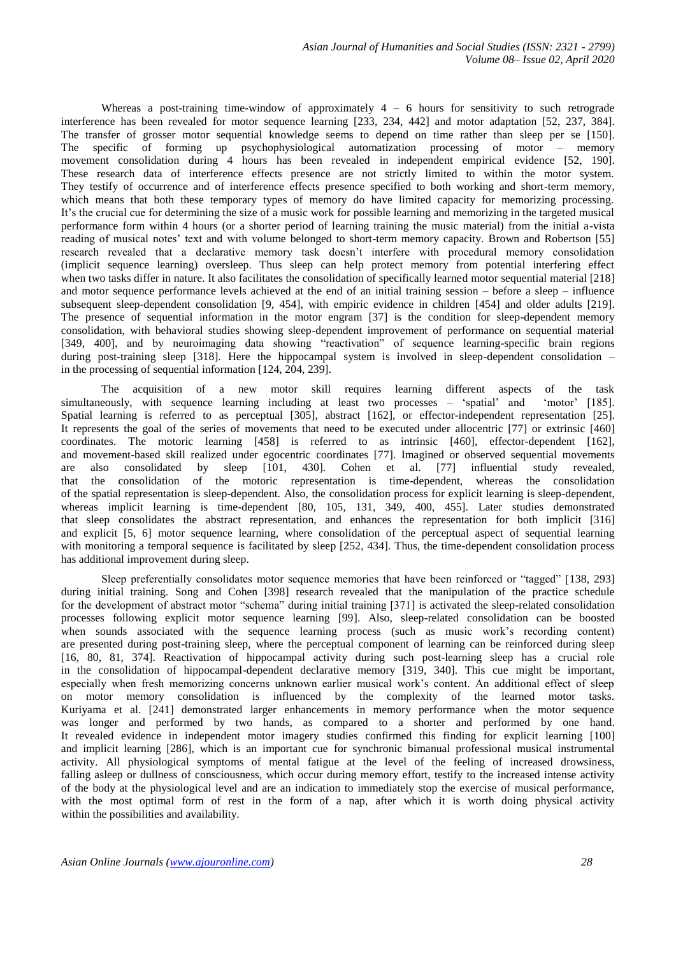Whereas a post-training time-window of approximately  $4 - 6$  hours for sensitivity to such retrograde interference has been revealed for motor sequence learning [233, 234, 442] and motor adaptation [52, 237, 384]. The transfer of grosser motor sequential knowledge seems to depend on time rather than sleep per se [150]. The specific of forming up psychophysiological automatization processing of motor – memory movement consolidation during 4 hours has been revealed in independent empirical evidence [52, 190]. These research data of interference effects presence are not strictly limited to within the motor system. They testify of occurrence and of interference effects presence specified to both working and short-term memory, which means that both these temporary types of memory do have limited capacity for memorizing processing. It's the crucial cue for determining the size of a music work for possible learning and memorizing in the targeted musical performance form within 4 hours (or a shorter period of learning training the music material) from the initial a-vista reading of musical notes' text and with volume belonged to short-term memory capacity. Brown and Robertson [55] research revealed that a declarative memory task doesn't interfere with procedural memory consolidation (implicit sequence learning) oversleep. Thus sleep can help protect memory from potential interfering effect when two tasks differ in nature. It also facilitates the consolidation of specifically learned motor sequential material [218] and motor sequence performance levels achieved at the end of an initial training session – before a sleep – influence subsequent sleep-dependent consolidation [9, 454], with empiric evidence in children [454] and older adults [219]. The presence of sequential information in the motor engram [37] is the condition for sleep-dependent memory consolidation, with behavioral studies showing sleep-dependent improvement of performance on sequential material [349, 400], and by neuroimaging data showing "reactivation" of sequence learning-specific brain regions during post-training sleep [318]. Here the hippocampal system is involved in sleep-dependent consolidation – in the processing of sequential information [124, 204, 239].

The acquisition of a new motor skill requires learning different aspects of the task eously, with sequence learning including at least two processes – 'spatial' and 'motor' [185]. simultaneously, with sequence learning including at least two processes – 'spatial' and Spatial learning is referred to as perceptual [305], abstract [162], or effector-independent representation [25]. It represents the goal of the series of movements that need to be executed under allocentric [77] or extrinsic [460] coordinates. The motoric learning [458] is referred to as intrinsic [460], effector-dependent [162], and movement-based skill realized under egocentric coordinates [77]. Imagined or observed sequential movements are also consolidated by sleep [101, 430]. Cohen et al. [77] influential study revealed, that the consolidation of the motoric representation is time-dependent, whereas the consolidation of the spatial representation is sleep-dependent. Also, the consolidation process for explicit learning is sleep-dependent, whereas implicit learning is time-dependent [80, 105, 131, 349, 400, 455]. Later studies demonstrated that sleep consolidates the abstract representation, and enhances the representation for both implicit [316] and explicit [5, 6] motor sequence learning, where consolidation of the perceptual aspect of sequential learning with monitoring a temporal sequence is facilitated by sleep [252, 434]. Thus, the time-dependent consolidation process has additional improvement during sleep.

Sleep preferentially consolidates motor sequence memories that have been reinforced or "tagged" [138, 293] during initial training. Song and Cohen [398] research revealed that the manipulation of the practice schedule for the development of abstract motor "schema" during initial training [371] is activated the sleep-related consolidation processes following explicit motor sequence learning [99]. Also, sleep-related consolidation can be boosted when sounds associated with the sequence learning process (such as music work's recording content) are presented during post-training sleep, where the perceptual component of learning can be reinforced during sleep [16, 80, 81, 374]. Reactivation of hippocampal activity during such post-learning sleep has a crucial role in the consolidation of hippocampal-dependent declarative memory [319, 340]. This cue might be important, especially when fresh memorizing concerns unknown earlier musical work's content. An additional effect of sleep on motor memory consolidation is influenced by the complexity of the learned motor tasks. Kuriyama et al. [241] demonstrated larger enhancements in memory performance when the motor sequence was longer and performed by two hands, as compared to a shorter and performed by one hand. It revealed evidence in independent motor imagery studies confirmed this finding for explicit learning [100] and implicit learning [286], which is an important cue for synchronic bimanual professional musical instrumental activity. All physiological symptoms of mental fatigue at the level of the feeling of increased drowsiness, falling asleep or dullness of consciousness, which occur during memory effort, testify to the increased intense activity of the body at the physiological level and are an indication to immediately stop the exercise of musical performance, with the most optimal form of rest in the form of a nap, after which it is worth doing physical activity within the possibilities and availability.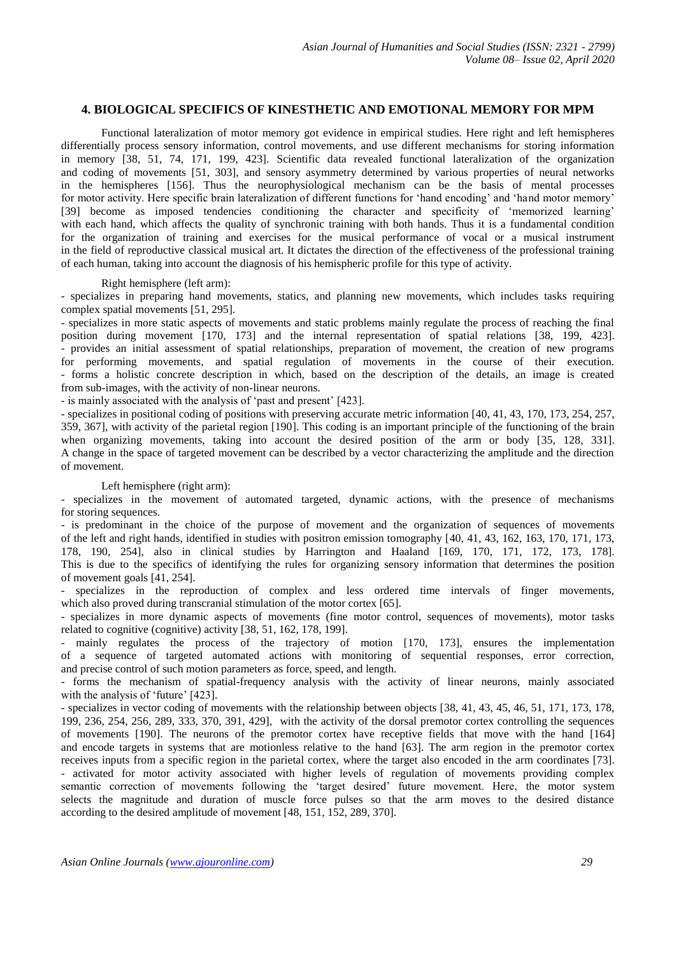# **4. BIOLOGICAL SPECIFICS OF KINESTHETIC AND EMOTIONAL MEMORY FOR MPM**

Functional lateralization of motor memory got evidence in empirical studies. Here right and left hemispheres differentially process sensory information, control movements, and use different mechanisms for storing information in memory [38, 51, 74, 171, 199, 423]. Scientific data revealed functional lateralization of the organization and coding of movements [51, 303], and sensory asymmetry determined by various properties of neural networks in the hemispheres [156]. Thus the neurophysiological mechanism can be the basis of mental processes for motor activity. Here specific brain lateralization of different functions for 'hand encoding' and 'hand motor memory' [39] become as imposed tendencies conditioning the character and specificity of 'memorized learning' with each hand, which affects the quality of synchronic training with both hands. Thus it is a fundamental condition for the organization of training and exercises for the musical performance of vocal or a musical instrument in the field of reproductive classical musical art. It dictates the direction of the effectiveness of the professional training of each human, taking into account the diagnosis of his hemispheric profile for this type of activity.

## Right hemisphere (left arm):

- specializes in preparing hand movements, statics, and planning new movements, which includes tasks requiring complex spatial movements [51, 295].

- specializes in more static aspects of movements and static problems mainly regulate the process of reaching the final position during movement [170, 173] and the internal representation of spatial relations [38, 199, 423]. - provides an initial assessment of spatial relationships, preparation of movement, the creation of new programs for performing movements, and spatial regulation of movements in the course of their execution. - forms a holistic concrete description in which, based on the description of the details, an image is created from sub-images, with the activity of non-linear neurons.

- is mainly associated with the analysis of 'past and present' [423].

- specializes in positional coding of positions with preserving accurate metric information [40, 41, 43, 170, 173, 254, 257, 359, 367], with activity of the parietal region [190]. This coding is an important principle of the functioning of the brain when organizing movements, taking into account the desired position of the arm or body [35, 128, 331]. A change in the space of targeted movement can be described by a vector characterizing the amplitude and the direction of movement.

#### Left hemisphere (right arm):

- specializes in the movement of automated targeted, dynamic actions, with the presence of mechanisms for storing sequences.

- is predominant in the choice of the purpose of movement and the organization of sequences of movements of the left and right hands, identified in studies with positron emission tomography [40, 41, 43, 162, 163, 170, 171, 173, 178, 190, 254], also in clinical studies by Harrington and Haaland [169, 170, 171, 172, 173, 178]. This is due to the specifics of identifying the rules for organizing sensory information that determines the position of movement goals [41, 254].

specializes in the reproduction of complex and less ordered time intervals of finger movements, which also proved during transcranial stimulation of the motor cortex [65].

- specializes in more dynamic aspects of movements (fine motor control, sequences of movements), motor tasks related to cognitive (cognitive) activity [38, 51, 162, 178, 199].

- mainly regulates the process of the trajectory of motion [170, 173], ensures the implementation of a sequence of targeted automated actions with monitoring of sequential responses, error correction, and precise control of such motion parameters as force, speed, and length.

- forms the mechanism of spatial-frequency analysis with the activity of linear neurons, mainly associated with the analysis of 'future' [423].

- specializes in vector coding of movements with the relationship between objects [38, 41, 43, 45, 46, 51, 171, 173, 178, 199, 236, 254, 256, 289, 333, 370, 391, 429], with the activity of the dorsal premotor cortex controlling the sequences of movements [190]. The neurons of the premotor cortex have receptive fields that move with the hand [164] and encode targets in systems that are motionless relative to the hand [63]. The arm region in the premotor cortex receives inputs from a specific region in the parietal cortex, where the target also encoded in the arm coordinates [73]. - activated for motor activity associated with higher levels of regulation of movements providing complex semantic correction of movements following the 'target desired' future movement. Here, the motor system selects the magnitude and duration of muscle force pulses so that the arm moves to the desired distance according to the desired amplitude of movement [48, 151, 152, 289, 370].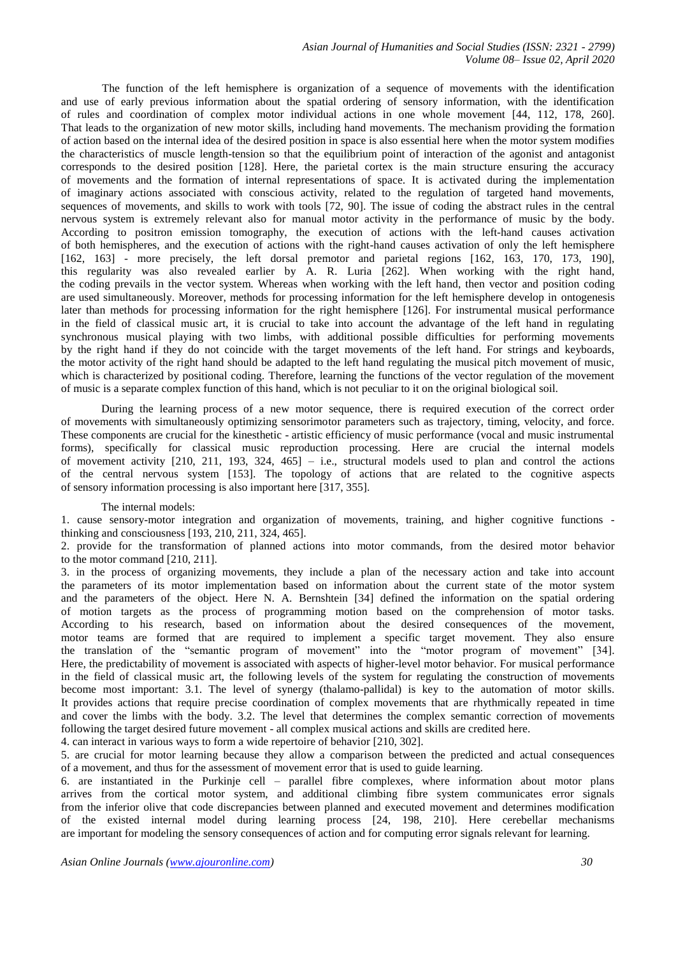*Asian Journal of Humanities and Social Studies (ISSN: 2321 - 2799) Volume 08– Issue 02, April 2020*

The function of the left hemisphere is organization of a sequence of movements with the identification and use of early previous information about the spatial ordering of sensory information, with the identification of rules and coordination of complex motor individual actions in one whole movement [44, 112, 178, 260]. That leads to the organization of new motor skills, including hand movements. The mechanism providing the formation of action based on the internal idea of the desired position in space is also essential here when the motor system modifies the characteristics of muscle length-tension so that the equilibrium point of interaction of the agonist and antagonist corresponds to the desired position [128]. Here, the parietal cortex is the main structure ensuring the accuracy of movements and the formation of internal representations of space. It is activated during the implementation of imaginary actions associated with conscious activity, related to the regulation of targeted hand movements, sequences of movements, and skills to work with tools [72, 90]. The issue of coding the abstract rules in the central nervous system is extremely relevant also for manual motor activity in the performance of music by the body. According to positron emission tomography, the execution of actions with the left-hand causes activation of both hemispheres, and the execution of actions with the right-hand causes activation of only the left hemisphere [162, 163] - more precisely, the left dorsal premotor and parietal regions [162, 163, 170, 173, 190], this regularity was also revealed earlier by A. R. Luria [262]. When working with the right hand, the coding prevails in the vector system. Whereas when working with the left hand, then vector and position coding are used simultaneously. Moreover, methods for processing information for the left hemisphere develop in ontogenesis later than methods for processing information for the right hemisphere [126]. For instrumental musical performance in the field of classical music art, it is crucial to take into account the advantage of the left hand in regulating synchronous musical playing with two limbs, with additional possible difficulties for performing movements by the right hand if they do not coincide with the target movements of the left hand. For strings and keyboards, the motor activity of the right hand should be adapted to the left hand regulating the musical pitch movement of music, which is characterized by positional coding. Therefore, learning the functions of the vector regulation of the movement of music is a separate complex function of this hand, which is not peculiar to it on the original biological soil.

During the learning process of a new motor sequence, there is required execution of the correct order of movements with simultaneously optimizing sensorimotor parameters such as trajectory, timing, velocity, and force. These components are crucial for the kinesthetic - artistic efficiency of music performance (vocal and music instrumental forms), specifically for classical music reproduction processing. Here are crucial the internal models of movement activity [210, 211, 193, 324, 465] – i.e., structural models used to plan and control the actions of the central nervous system [153]. The topology of actions that are related to the cognitive aspects of sensory information processing is also important here [317, 355].

#### The internal models:

1. cause sensory-motor integration and organization of movements, training, and higher cognitive functions thinking and consciousness [193, 210, 211, 324, 465].

2. provide for the transformation of planned actions into motor commands, from the desired motor behavior to the motor command [210, 211].

3. in the process of organizing movements, they include a plan of the necessary action and take into account the parameters of its motor implementation based on information about the current state of the motor system and the parameters of the object. Here N. A. Bernshtein [34] defined the information on the spatial ordering of motion targets as the process of programming motion based on the comprehension of motor tasks. According to his research, based on information about the desired consequences of the movement, motor teams are formed that are required to implement a specific target movement. They also ensure the translation of the "semantic program of movement" into the "motor program of movement" [34]. Here, the predictability of movement is associated with aspects of higher-level motor behavior. For musical performance in the field of classical music art, the following levels of the system for regulating the construction of movements become most important: 3.1. The level of synergy (thalamo-pallidal) is key to the automation of motor skills. It provides actions that require precise coordination of complex movements that are rhythmically repeated in time and cover the limbs with the body. 3.2. The level that determines the complex semantic correction of movements following the target desired future movement - all complex musical actions and skills are credited here.

4. can interact in various ways to form a wide repertoire of behavior [210, 302].

5. are crucial for motor learning because they allow a comparison between the predicted and actual consequences of a movement, and thus for the assessment of movement error that is used to guide learning.

6. are instantiated in the Purkinje cell – parallel fibre complexes, where information about motor plans arrives from the cortical motor system, and additional climbing fibre system communicates error signals from the inferior olive that code discrepancies between planned and executed movement and determines modification of the existed internal model during learning process [24, 198, 210]. Here cerebellar mechanisms are important for modeling the sensory consequences of action and for computing error signals relevant for learning.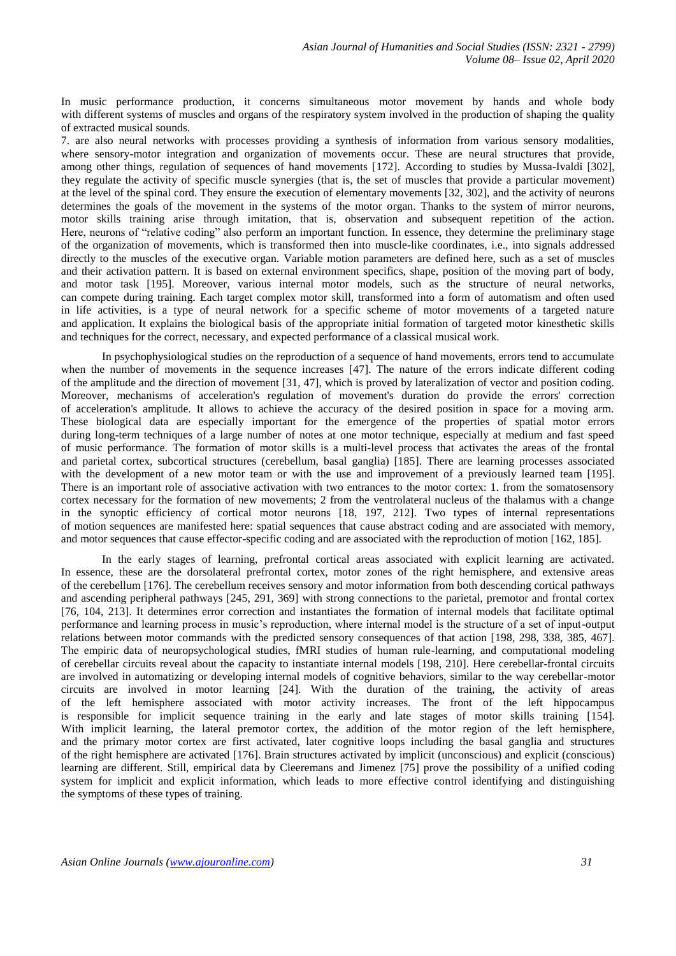In music performance production, it concerns simultaneous motor movement by hands and whole body with different systems of muscles and organs of the respiratory system involved in the production of shaping the quality of extracted musical sounds.

7. are also neural networks with processes providing a synthesis of information from various sensory modalities, where sensory-motor integration and organization of movements occur. These are neural structures that provide, among other things, regulation of sequences of hand movements [172]. According to studies by Mussa-Ivaldi [302], they regulate the activity of specific muscle synergies (that is, the set of muscles that provide a particular movement) at the level of the spinal cord. They ensure the execution of elementary movements [32, 302], and the activity of neurons determines the goals of the movement in the systems of the motor organ. Thanks to the system of mirror neurons, motor skills training arise through imitation, that is, observation and subsequent repetition of the action. Here, neurons of "relative coding" also perform an important function. In essence, they determine the preliminary stage of the organization of movements, which is transformed then into muscle-like coordinates, i.e., into signals addressed directly to the muscles of the executive organ. Variable motion parameters are defined here, such as a set of muscles and their activation pattern. It is based on external environment specifics, shape, position of the moving part of body, and motor task [195]. Moreover, various internal motor models, such as the structure of neural networks, can compete during training. Each target complex motor skill, transformed into a form of automatism and often used in life activities, is a type of neural network for a specific scheme of motor movements of a targeted nature and application. It explains the biological basis of the appropriate initial formation of targeted motor kinesthetic skills and techniques for the correct, necessary, and expected performance of a classical musical work.

In psychophysiological studies on the reproduction of a sequence of hand movements, errors tend to accumulate when the number of movements in the sequence increases [47]. The nature of the errors indicate different coding of the amplitude and the direction of movement [31, 47], which is proved by lateralization of vector and position coding. Moreover, mechanisms of acceleration's regulation of movement's duration do provide the errors' correction of acceleration's amplitude. It allows to achieve the accuracy of the desired position in space for a moving arm. These biological data are especially important for the emergence of the properties of spatial motor errors during long-term techniques of a large number of notes at one motor technique, especially at medium and fast speed of music performance. The formation of motor skills is a multi-level process that activates the areas of the frontal and parietal cortex, subcortical structures (cerebellum, basal ganglia) [185]. There are learning processes associated with the development of a new motor team or with the use and improvement of a previously learned team [195]. There is an important role of associative activation with two entrances to the motor cortex: 1. from the somatosensory cortex necessary for the formation of new movements; 2 from the ventrolateral nucleus of the thalamus with a change in the synoptic efficiency of cortical motor neurons [18, 197, 212]. Two types of internal representations of motion sequences are manifested here: spatial sequences that cause abstract coding and are associated with memory, and motor sequences that cause effector-specific coding and are associated with the reproduction of motion [162, 185].

In the early stages of learning, prefrontal cortical areas associated with explicit learning are activated. In essence, these are the dorsolateral prefrontal cortex, motor zones of the right hemisphere, and extensive areas of the cerebellum [176]. The cerebellum receives sensory and motor information from both descending cortical pathways and ascending peripheral pathways [245, 291, 369] with strong connections to the parietal, premotor and frontal cortex [76, 104, 213]. It determines error correction and instantiates the formation of internal models that facilitate optimal performance and learning process in music's reproduction, where internal model is the structure of a set of input-output relations between motor commands with the predicted sensory consequences of that action [198, 298, 338, 385, 467]. The empiric data of neuropsychological studies, fMRI studies of human rule-learning, and computational modeling of cerebellar circuits reveal about the capacity to instantiate internal models [198, 210]. Here cerebellar-frontal circuits are involved in automatizing or developing internal models of cognitive behaviors, similar to the way cerebellar-motor circuits are involved in motor learning [24]. With the duration of the training, the activity of areas of the left hemisphere associated with motor activity increases. The front of the left hippocampus is responsible for implicit sequence training in the early and late stages of motor skills training [154]. With implicit learning, the lateral premotor cortex, the addition of the motor region of the left hemisphere, and the primary motor cortex are first activated, later cognitive loops including the basal ganglia and structures of the right hemisphere are activated [176]. Brain structures activated by implicit (unconscious) and explicit (conscious) learning are different. Still, empirical data by Cleeremans and Jimenez [75] prove the possibility of a unified coding system for implicit and explicit information, which leads to more effective control identifying and distinguishing the symptoms of these types of training.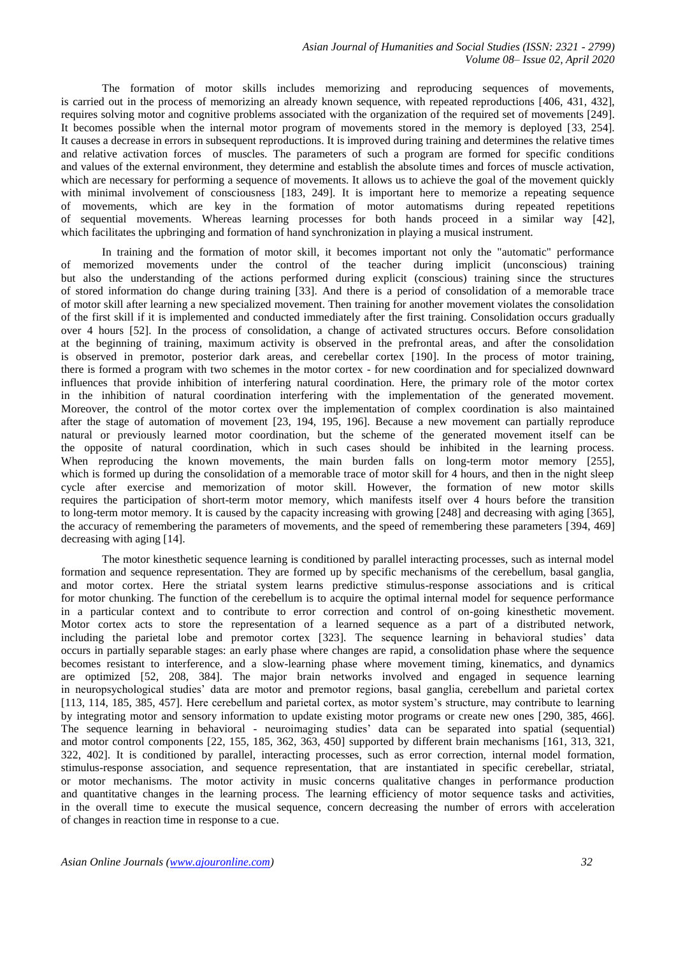The formation of motor skills includes memorizing and reproducing sequences of movements, is carried out in the process of memorizing an already known sequence, with repeated reproductions [406, 431, 432], requires solving motor and cognitive problems associated with the organization of the required set of movements [249]. It becomes possible when the internal motor program of movements stored in the memory is deployed [33, 254]. It causes a decrease in errors in subsequent reproductions. It is improved during training and determines the relative times and relative activation forces of muscles. The parameters of such a program are formed for specific conditions and values of the external environment, they determine and establish the absolute times and forces of muscle activation, which are necessary for performing a sequence of movements. It allows us to achieve the goal of the movement quickly with minimal involvement of consciousness [183, 249]. It is important here to memorize a repeating sequence of movements, which are key in the formation of motor automatisms during repeated repetitions of sequential movements. Whereas learning processes for both hands proceed in a similar way [42], which facilitates the upbringing and formation of hand synchronization in playing a musical instrument.

In training and the formation of motor skill, it becomes important not only the "automatic" performance of memorized movements under the control of the teacher during implicit (unconscious) training but also the understanding of the actions performed during explicit (conscious) training since the structures of stored information do change during training [33]. And there is a period of consolidation of a memorable trace of motor skill after learning a new specialized movement. Then training for another movement violates the consolidation of the first skill if it is implemented and conducted immediately after the first training. Consolidation occurs gradually over 4 hours [52]. In the process of consolidation, a change of activated structures occurs. Before consolidation at the beginning of training, maximum activity is observed in the prefrontal areas, and after the consolidation is observed in premotor, posterior dark areas, and cerebellar cortex [190]. In the process of motor training, there is formed a program with two schemes in the motor cortex - for new coordination and for specialized downward influences that provide inhibition of interfering natural coordination. Here, the primary role of the motor cortex in the inhibition of natural coordination interfering with the implementation of the generated movement. Moreover, the control of the motor cortex over the implementation of complex coordination is also maintained after the stage of automation of movement [23, 194, 195, 196]. Because a new movement can partially reproduce natural or previously learned motor coordination, but the scheme of the generated movement itself can be the opposite of natural coordination, which in such cases should be inhibited in the learning process. When reproducing the known movements, the main burden falls on long-term motor memory [255], which is formed up during the consolidation of a memorable trace of motor skill for 4 hours, and then in the night sleep cycle after exercise and memorization of motor skill. However, the formation of new motor skills requires the participation of short-term motor memory, which manifests itself over 4 hours before the transition to long-term motor memory. It is caused by the capacity increasing with growing [248] and decreasing with aging [365], the accuracy of remembering the parameters of movements, and the speed of remembering these parameters [394, 469] decreasing with aging [14].

The motor kinesthetic sequence learning is conditioned by parallel interacting processes, such as internal model formation and sequence representation. They are formed up by specific mechanisms of the cerebellum, basal ganglia, and motor cortex. Here the striatal system learns predictive stimulus-response associations and is critical for motor chunking. The function of the cerebellum is to acquire the optimal internal model for sequence performance in a particular context and to contribute to error correction and control of on-going kinesthetic movement. Motor cortex acts to store the representation of a learned sequence as a part of a distributed network, including the parietal lobe and premotor cortex [323]. The sequence learning in behavioral studies' data occurs in partially separable stages: an early phase where changes are rapid, a consolidation phase where the sequence becomes resistant to interference, and a slow-learning phase where movement timing, kinematics, and dynamics are optimized [52, 208, 384]. The major brain networks involved and engaged in sequence learning in neuropsychological studies' data are motor and premotor regions, basal ganglia, cerebellum and parietal cortex [113, 114, 185, 385, 457]. Here cerebellum and parietal cortex, as motor system's structure, may contribute to learning by integrating motor and sensory information to update existing motor programs or create new ones [290, 385, 466]. The sequence learning in behavioral - neuroimaging studies' data can be separated into spatial (sequential) and motor control components [22, 155, 185, 362, 363, 450] supported by different brain mechanisms [161, 313, 321, 322, 402]. It is conditioned by parallel, interacting processes, such as error correction, internal model formation, stimulus-response association, and sequence representation, that are instantiated in specific cerebellar, striatal, or motor mechanisms. The motor activity in music concerns qualitative changes in performance production and quantitative changes in the learning process. The learning efficiency of motor sequence tasks and activities, in the overall time to execute the musical sequence, concern decreasing the number of errors with acceleration of changes in reaction time in response to a cue.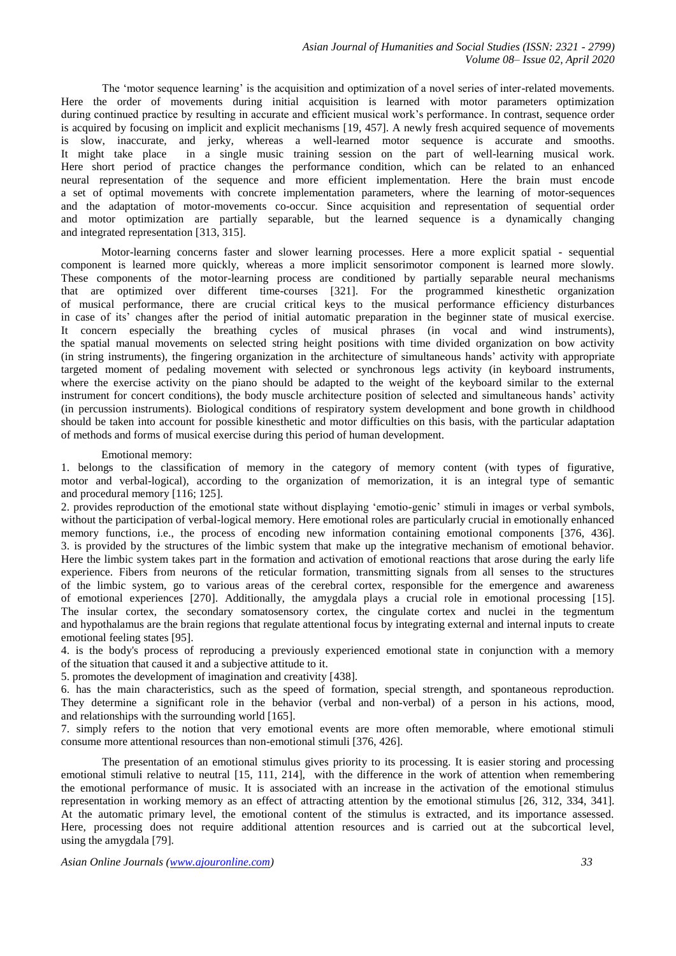The 'motor sequence learning' is the acquisition and optimization of a novel series of inter-related movements. Here the order of movements during initial acquisition is learned with motor parameters optimization during continued practice by resulting in accurate and efficient musical work's performance. In contrast, sequence order is acquired by focusing on implicit and explicit mechanisms [19, 457]. A newly fresh acquired sequence of movements is slow, inaccurate, and jerky, whereas a well-learned motor sequence is accurate and smooths. It might take place in a single music training session on the part of well-learning musical work. Here short period of practice changes the performance condition, which can be related to an enhanced neural representation of the sequence and more efficient implementation. Here the brain must encode a set of optimal movements with concrete implementation parameters, where the learning of motor-sequences and the adaptation of motor-movements co-occur. Since acquisition and representation of sequential order and motor optimization are partially separable, but the learned sequence is a dynamically changing and integrated representation [313, 315].

Motor-learning concerns faster and slower learning processes. Here a more explicit spatial - sequential component is learned more quickly, whereas a more implicit sensorimotor component is learned more slowly. These components of the motor-learning process are conditioned by partially separable neural mechanisms that are optimized over different time-courses [321]. For the programmed kinesthetic organization of musical performance, there are crucial critical keys to the musical performance efficiency disturbances in case of its' changes after the period of initial automatic preparation in the beginner state of musical exercise. It concern especially the breathing cycles of musical phrases (in vocal and wind instruments), the spatial manual movements on selected string height positions with time divided organization on bow activity (in string instruments), the fingering organization in the architecture of simultaneous hands' activity with appropriate targeted moment of pedaling movement with selected or synchronous legs activity (in keyboard instruments, where the exercise activity on the piano should be adapted to the weight of the keyboard similar to the external instrument for concert conditions), the body muscle architecture position of selected and simultaneous hands' activity (in percussion instruments). Biological conditions of respiratory system development and bone growth in childhood should be taken into account for possible kinesthetic and motor difficulties on this basis, with the particular adaptation of methods and forms of musical exercise during this period of human development.

#### Emotional memory:

1. belongs to the classification of memory in the category of memory content (with types of figurative, motor and verbal-logical), according to the organization of memorization, it is an integral type of semantic and procedural memory [116; 125].

2. provides reproduction of the emotional state without displaying 'emotio-genic' stimuli in images or verbal symbols, without the participation of verbal-logical memory. Here emotional roles are particularly crucial in emotionally enhanced memory functions, i.e., the process of encoding new information containing emotional components [376, 436]. 3. is provided by the structures of the limbic system that make up the integrative mechanism of emotional behavior. Here the limbic system takes part in the formation and activation of emotional reactions that arose during the early life experience. Fibers from neurons of the reticular formation, transmitting signals from all senses to the structures of the limbic system, go to various areas of the cerebral cortex, responsible for the emergence and awareness of emotional experiences [270]. Additionally, the amygdala plays a crucial role in emotional processing [15]. The insular cortex, the secondary somatosensory cortex, the cingulate cortex and nuclei in the tegmentum and hypothalamus are the brain regions that regulate attentional focus by integrating external and internal inputs to create emotional feeling states [95].

4. is the body's process of reproducing a previously experienced emotional state in conjunction with a memory of the situation that caused it and a subjective attitude to it.

5. promotes the development of imagination and creativity [438].

6. has the main characteristics, such as the speed of formation, special strength, and spontaneous reproduction. They determine a significant role in the behavior (verbal and non-verbal) of a person in his actions, mood, and relationships with the surrounding world [165].

7. simply refers to the notion that very emotional events are more often memorable, where emotional stimuli consume more attentional resources than non-emotional stimuli [376, 426].

The presentation of an emotional stimulus gives priority to its processing. It is easier storing and processing emotional stimuli relative to neutral [15, 111, 214], with the difference in the work of attention when remembering the emotional performance of music. It is associated with an increase in the activation of the emotional stimulus representation in working memory as an effect of attracting attention by the emotional stimulus [26, 312, 334, 341]. At the automatic primary level, the emotional content of the stimulus is extracted, and its importance assessed. Here, processing does not require additional attention resources and is carried out at the subcortical level, using the amygdala [79].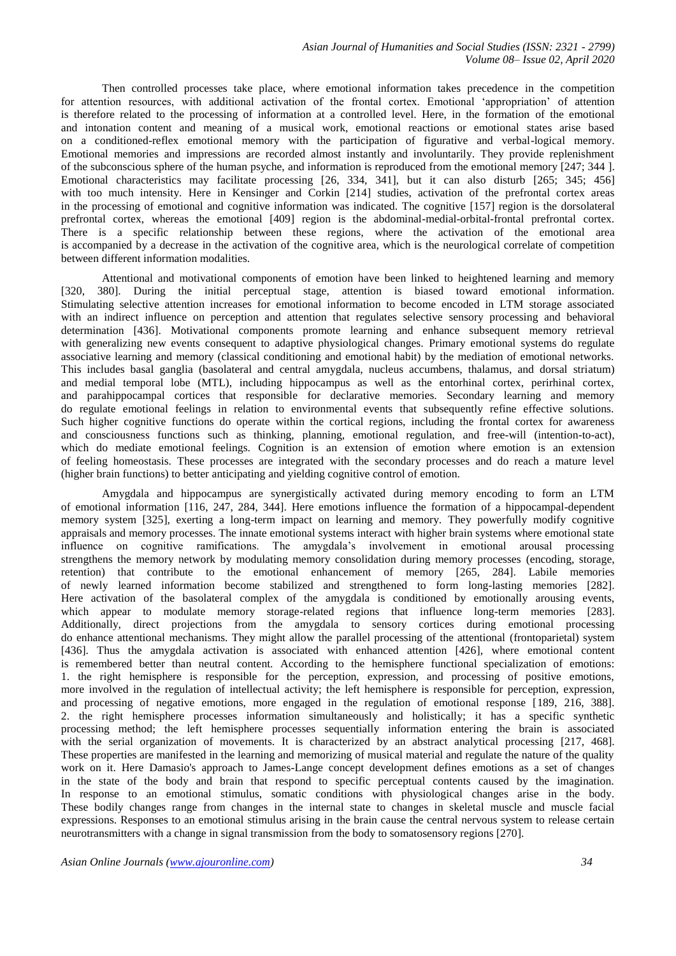Then controlled processes take place, where emotional information takes precedence in the competition for attention resources, with additional activation of the frontal cortex. Emotional 'appropriation' of attention is therefore related to the processing of information at a controlled level. Here, in the formation of the emotional and intonation content and meaning of a musical work, emotional reactions or emotional states arise based on a conditioned-reflex emotional memory with the participation of figurative and verbal-logical memory. Emotional memories and impressions are recorded almost instantly and involuntarily. They provide replenishment of the subconscious sphere of the human psyche, and information is reproduced from the emotional memory [247; 344 ]. Emotional characteristics may facilitate processing [26, 334, 341], but it can also disturb [265; 345; 456] with too much intensity. Here in Kensinger and Corkin [214] studies, activation of the prefrontal cortex areas in the processing of emotional and cognitive information was indicated. The cognitive [157] region is the dorsolateral prefrontal cortex, whereas the emotional [409] region is the abdominal-medial-orbital-frontal prefrontal cortex. There is a specific relationship between these regions, where the activation of the emotional area is accompanied by a decrease in the activation of the cognitive area, which is the neurological correlate of competition between different information modalities.

Attentional and motivational components of emotion have been linked to heightened learning and memory [320, 380]. During the initial perceptual stage, attention is biased toward emotional information. Stimulating selective attention increases for emotional information to become encoded in LTM storage associated with an indirect influence on perception and attention that regulates selective sensory processing and behavioral determination [436]. Motivational components promote learning and enhance subsequent memory retrieval with generalizing new events consequent to adaptive physiological changes. Primary emotional systems do regulate associative learning and memory (classical conditioning and emotional habit) by the mediation of emotional networks. This includes basal ganglia (basolateral and central amygdala, nucleus accumbens, thalamus, and dorsal striatum) and medial temporal lobe (MTL), including hippocampus as well as the entorhinal cortex, perirhinal cortex, and parahippocampal cortices that responsible for declarative memories. Secondary learning and memory do regulate emotional feelings in relation to environmental events that subsequently refine effective solutions. Such higher cognitive functions do operate within the cortical regions, including the frontal cortex for awareness and consciousness functions such as thinking, planning, emotional regulation, and free-will (intention-to-act), which do mediate emotional feelings. Cognition is an extension of emotion where emotion is an extension of feeling homeostasis. These processes are integrated with the secondary processes and do reach a mature level (higher brain functions) to better anticipating and yielding cognitive control of emotion.

Amygdala and hippocampus are synergistically activated during memory encoding to form an LTM of emotional information [116, 247, 284, 344]. Here emotions influence the formation of a hippocampal-dependent memory system [325], exerting a long-term impact on learning and memory. They powerfully modify cognitive appraisals and memory processes. The innate emotional systems interact with higher brain systems where emotional state influence on cognitive ramifications. The amygdala's involvement in emotional arousal processing strengthens the memory network by modulating memory consolidation during memory processes (encoding, storage, retention) that contribute to the emotional enhancement of memory [265, 284]. Labile memories of newly learned information become stabilized and strengthened to form long-lasting memories [282]. Here activation of the basolateral complex of the amygdala is conditioned by emotionally arousing events, which appear to modulate memory storage-related regions that influence long-term memories [283]. Additionally, direct projections from the amygdala to sensory cortices during emotional processing do enhance attentional mechanisms. They might allow the parallel processing of the attentional (frontoparietal) system [436]. Thus the amygdala activation is associated with enhanced attention [426], where emotional content is remembered better than neutral content. According to the hemisphere functional specialization of emotions: 1. the right hemisphere is responsible for the perception, expression, and processing of positive emotions, more involved in the regulation of intellectual activity; the left hemisphere is responsible for perception, expression, and processing of negative emotions, more engaged in the regulation of emotional response [189, 216, 388]. 2. the right hemisphere processes information simultaneously and holistically; it has a specific synthetic processing method; the left hemisphere processes sequentially information entering the brain is associated with the serial organization of movements. It is characterized by an abstract analytical processing [217, 468]. These properties are manifested in the learning and memorizing of musical material and regulate the nature of the quality work on it. Here Damasio's approach to James-Lange concept development defines emotions as a set of changes in the state of the body and brain that respond to specific perceptual contents caused by the imagination. In response to an emotional stimulus, somatic conditions with physiological changes arise in the body. These bodily changes range from changes in the internal state to changes in skeletal muscle and muscle facial expressions. Responses to an emotional stimulus arising in the brain cause the central nervous system to release certain neurotransmitters with a change in signal transmission from the body to somatosensory regions [270].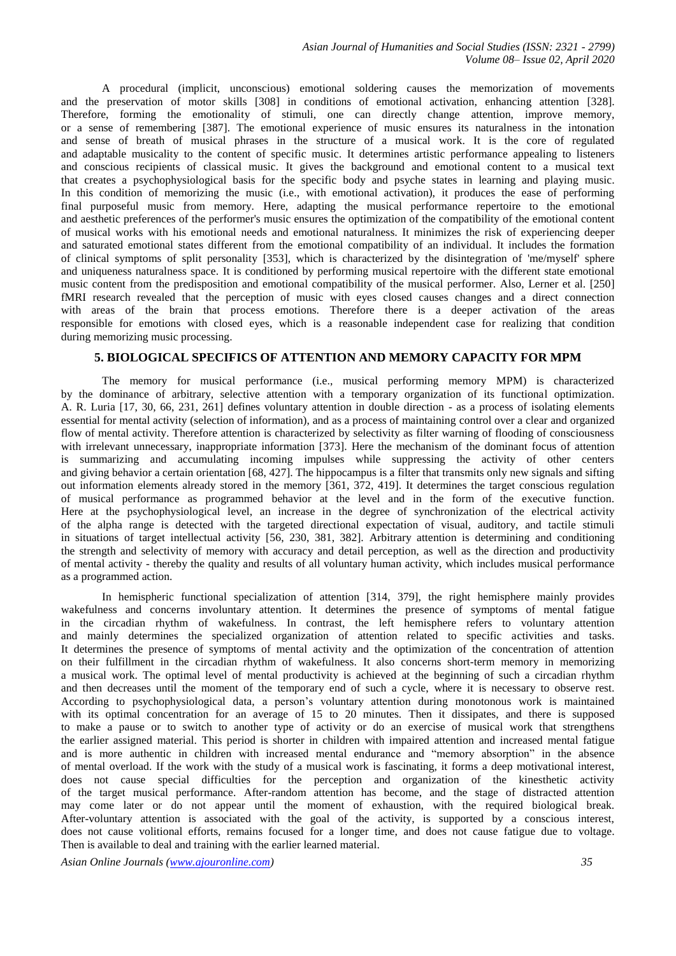A procedural (implicit, unconscious) emotional soldering causes the memorization of movements and the preservation of motor skills [308] in conditions of emotional activation, enhancing attention [328]. Therefore, forming the emotionality of stimuli, one can directly change attention, improve memory, or a sense of remembering [387]. The emotional experience of music ensures its naturalness in the intonation and sense of breath of musical phrases in the structure of a musical work. It is the core of regulated and adaptable musicality to the content of specific music. It determines artistic performance appealing to listeners and conscious recipients of classical music. It gives the background and emotional content to a musical text that creates a psychophysiological basis for the specific body and psyche states in learning and playing music. In this condition of memorizing the music (i.e., with emotional activation), it produces the ease of performing final purposeful music from memory. Here, adapting the musical performance repertoire to the emotional and aesthetic preferences of the performer's music ensures the optimization of the compatibility of the emotional content of musical works with his emotional needs and emotional naturalness. It minimizes the risk of experiencing deeper and saturated emotional states different from the emotional compatibility of an individual. It includes the formation of clinical symptoms of split personality [353], which is characterized by the disintegration of 'me/myself' sphere and uniqueness naturalness space. It is conditioned by performing musical repertoire with the different state emotional music content from the predisposition and emotional compatibility of the musical performer. Also, Lerner et al. [250] fMRI research revealed that the perception of music with eyes closed causes changes and a direct connection with areas of the brain that process emotions. Therefore there is a deeper activation of the areas responsible for emotions with closed eyes, which is a reasonable independent case for realizing that condition during memorizing music processing.

# **5. BIOLOGICAL SPECIFICS OF ATTENTION AND MEMORY CAPACITY FOR MPM**

The memory for musical performance (i.e., musical performing memory MPM) is characterized by the dominance of arbitrary, selective attention with a temporary organization of its functional optimization. A. R. Luria [17, 30, 66, 231, 261] defines voluntary attention in double direction - as a process of isolating elements essential for mental activity (selection of information), and as a process of maintaining control over a clear and organized flow of mental activity. Therefore attention is characterized by selectivity as filter warning of flooding of consciousness with irrelevant unnecessary, inappropriate information [373]. Here the mechanism of the dominant focus of attention is summarizing and accumulating incoming impulses while suppressing the activity of other centers and giving behavior a certain orientation [68, 427]. The hippocampus is a filter that transmits only new signals and sifting out information elements already stored in the memory [361, 372, 419]. It determines the target conscious regulation of musical performance as programmed behavior at the level and in the form of the executive function. Here at the psychophysiological level, an increase in the degree of synchronization of the electrical activity of the alpha range is detected with the targeted directional expectation of visual, auditory, and tactile stimuli in situations of target intellectual activity [56, 230, 381, 382]. Arbitrary attention is determining and conditioning the strength and selectivity of memory with accuracy and detail perception, as well as the direction and productivity of mental activity - thereby the quality and results of all voluntary human activity, which includes musical performance as a programmed action.

In hemispheric functional specialization of attention [314, 379], the right hemisphere mainly provides wakefulness and concerns involuntary attention. It determines the presence of symptoms of mental fatigue in the circadian rhythm of wakefulness. In contrast, the left hemisphere refers to voluntary attention and mainly determines the specialized organization of attention related to specific activities and tasks. It determines the presence of symptoms of mental activity and the optimization of the concentration of attention on their fulfillment in the circadian rhythm of wakefulness. It also concerns short-term memory in memorizing a musical work. The optimal level of mental productivity is achieved at the beginning of such a circadian rhythm and then decreases until the moment of the temporary end of such a cycle, where it is necessary to observe rest. According to psychophysiological data, a person's voluntary attention during monotonous work is maintained with its optimal concentration for an average of 15 to 20 minutes. Then it dissipates, and there is supposed to make a pause or to switch to another type of activity or do an exercise of musical work that strengthens the earlier assigned material. This period is shorter in children with impaired attention and increased mental fatigue and is more authentic in children with increased mental endurance and "memory absorption" in the absence of mental overload. If the work with the study of a musical work is fascinating, it forms a deep motivational interest, does not cause special difficulties for the perception and organization of the kinesthetic activity of the target musical performance. After-random attention has become, and the stage of distracted attention may come later or do not appear until the moment of exhaustion, with the required biological break. After-voluntary attention is associated with the goal of the activity, is supported by a conscious interest, does not cause volitional efforts, remains focused for a longer time, and does not cause fatigue due to voltage. Then is available to deal and training with the earlier learned material.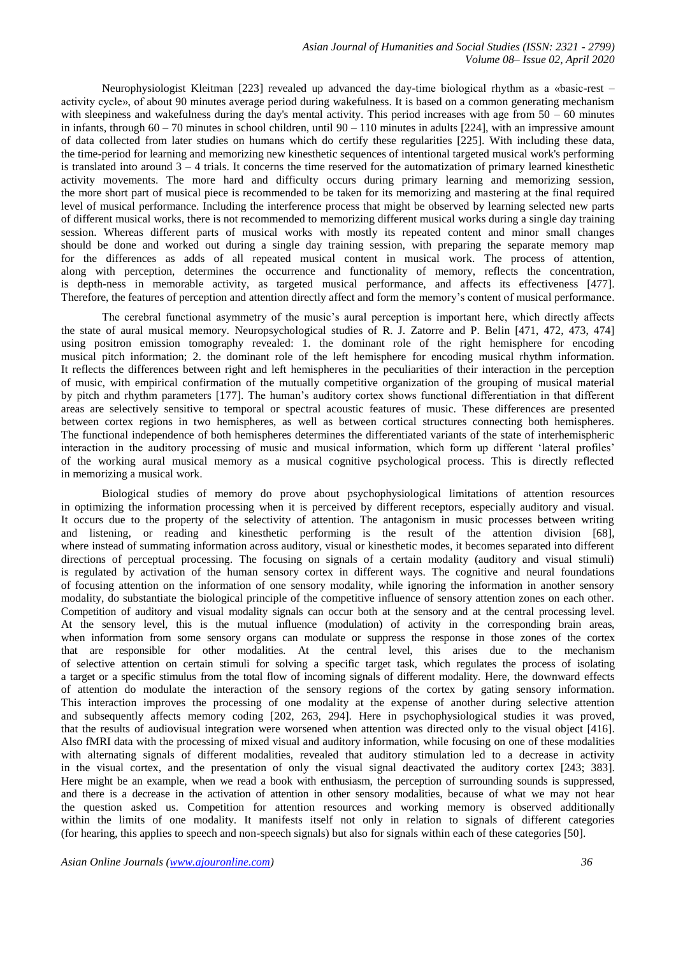Neurophysiologist Kleitman [223] revealed up advanced the day-time biological rhythm as a «basic-rest – activity cycle», of about 90 minutes average period during wakefulness. It is based on a common generating mechanism with sleepiness and wakefulness during the day's mental activity. This period increases with age from  $50 - 60$  minutes in infants, through 60 – 70 minutes in school children, until 90 – 110 minutes in adults [224], with an impressive amount of data collected from later studies on humans which do certify these regularities [225]. With including these data, the time-period for learning and memorizing new kinesthetic sequences of intentional targeted musical work's performing is translated into around 3 – 4 trials. It concerns the time reserved for the automatization of primary learned kinesthetic activity movements. The more hard and difficulty occurs during primary learning and memorizing session, the more short part of musical piece is recommended to be taken for its memorizing and mastering at the final required level of musical performance. Including the interference process that might be observed by learning selected new parts of different musical works, there is not recommended to memorizing different musical works during a single day training session. Whereas different parts of musical works with mostly its repeated content and minor small changes should be done and worked out during a single day training session, with preparing the separate memory map for the differences as adds of all repeated musical content in musical work. The process of attention, along with perception, determines the occurrence and functionality of memory, reflects the concentration, is depth-ness in memorable activity, as targeted musical performance, and affects its effectiveness [477]. Therefore, the features of perception and attention directly affect and form the memory's content of musical performance.

The cerebral functional asymmetry of the music's aural perception is important here, which directly affects the state of aural musical memory. Neuropsychological studies of R. J. Zatorre and P. Belin [471, 472, 473, 474] using positron emission tomography revealed: 1. the dominant role of the right hemisphere for encoding musical pitch information; 2. the dominant role of the left hemisphere for encoding musical rhythm information. It reflects the differences between right and left hemispheres in the peculiarities of their interaction in the perception of music, with empirical confirmation of the mutually competitive organization of the grouping of musical material by pitch and rhythm parameters [177]. The human's auditory cortex shows functional differentiation in that different areas are selectively sensitive to temporal or spectral acoustic features of music. These differences are presented between cortex regions in two hemispheres, as well as between cortical structures connecting both hemispheres. The functional independence of both hemispheres determines the differentiated variants of the state of interhemispheric interaction in the auditory processing of music and musical information, which form up different 'lateral profiles' of the working aural musical memory as a musical cognitive psychological process. This is directly reflected in memorizing a musical work.

Biological studies of memory do prove about psychophysiological limitations of attention resources in optimizing the information processing when it is perceived by different receptors, especially auditory and visual. It occurs due to the property of the selectivity of attention. The antagonism in music processes between writing and listening, or reading and kinesthetic performing is the result of the attention division [68], where instead of summating information across auditory, visual or kinesthetic modes, it becomes separated into different directions of perceptual processing. The focusing on signals of a certain modality (auditory and visual stimuli) is regulated by activation of the human sensory cortex in different ways. The cognitive and neural foundations of focusing attention on the information of one sensory modality, while ignoring the information in another sensory modality, do substantiate the biological principle of the competitive influence of sensory attention zones on each other. Competition of auditory and visual modality signals can occur both at the sensory and at the central processing level. At the sensory level, this is the mutual influence (modulation) of activity in the corresponding brain areas, when information from some sensory organs can modulate or suppress the response in those zones of the cortex that are responsible for other modalities. At the central level, this arises due to the mechanism of selective attention on certain stimuli for solving a specific target task, which regulates the process of isolating a target or a specific stimulus from the total flow of incoming signals of different modality. Here, the downward effects of attention do modulate the interaction of the sensory regions of the cortex by gating sensory information. This interaction improves the processing of one modality at the expense of another during selective attention and subsequently affects memory coding [202, 263, 294]. Here in psychophysiological studies it was proved, that the results of audiovisual integration were worsened when attention was directed only to the visual object [416]. Also fMRI data with the processing of mixed visual and auditory information, while focusing on one of these modalities with alternating signals of different modalities, revealed that auditory stimulation led to a decrease in activity in the visual cortex, and the presentation of only the visual signal deactivated the auditory cortex [243; 383]. Here might be an example, when we read a book with enthusiasm, the perception of surrounding sounds is suppressed, and there is a decrease in the activation of attention in other sensory modalities, because of what we may not hear the question asked us. Competition for attention resources and working memory is observed additionally within the limits of one modality. It manifests itself not only in relation to signals of different categories (for hearing, this applies to speech and non-speech signals) but also for signals within each of these categories [50].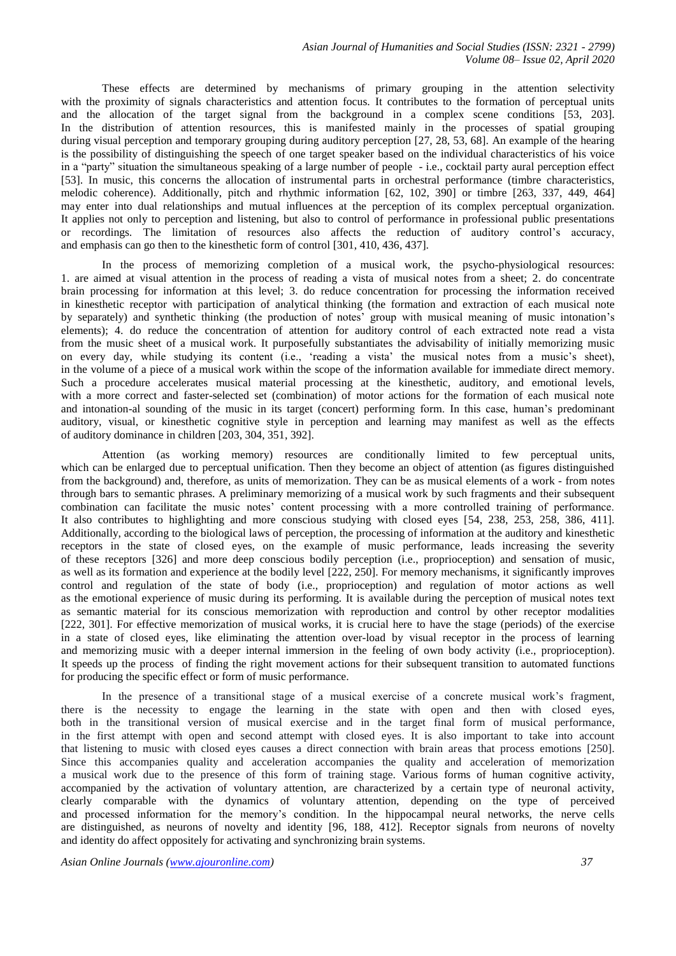These effects are determined by mechanisms of primary grouping in the attention selectivity with the proximity of signals characteristics and attention focus. It contributes to the formation of perceptual units and the allocation of the target signal from the background in a complex scene conditions [53, 203]. In the distribution of attention resources, this is manifested mainly in the processes of spatial grouping during visual perception and temporary grouping during auditory perception [27, 28, 53, 68]. An example of the hearing is the possibility of distinguishing the speech of one target speaker based on the individual characteristics of his voice in a "party" situation the simultaneous speaking of a large number of people - i.e., cocktail party aural perception effect [53]. In music, this concerns the allocation of instrumental parts in orchestral performance (timbre characteristics, melodic coherence). Additionally, pitch and rhythmic information [62, 102, 390] or timbre [263, 337, 449, 464] may enter into dual relationships and mutual influences at the perception of its complex perceptual organization. It applies not only to perception and listening, but also to control of performance in professional public presentations or recordings. The limitation of resources also affects the reduction of auditory control's accuracy, and emphasis can go then to the kinesthetic form of control [301, 410, 436, 437].

In the process of memorizing completion of a musical work, the psycho-physiological resources: 1. are aimed at visual attention in the process of reading a vista of musical notes from a sheet; 2. do concentrate brain processing for information at this level; 3. do reduce concentration for processing the information received in kinesthetic receptor with participation of analytical thinking (the formation and extraction of each musical note by separately) and synthetic thinking (the production of notes' group with musical meaning of music intonation's elements); 4. do reduce the concentration of attention for auditory control of each extracted note read a vista from the music sheet of a musical work. It purposefully substantiates the advisability of initially memorizing music on every day, while studying its content (i.e., 'reading a vista' the musical notes from a music's sheet), in the volume of a piece of a musical work within the scope of the information available for immediate direct memory. Such a procedure accelerates musical material processing at the kinesthetic, auditory, and emotional levels, with a more correct and faster-selected set (combination) of motor actions for the formation of each musical note and intonation-al sounding of the music in its target (concert) performing form. In this case, human's predominant auditory, visual, or kinesthetic cognitive style in perception and learning may manifest as well as the effects of auditory dominance in children [203, 304, 351, 392].

Attention (as working memory) resources are conditionally limited to few perceptual units, which can be enlarged due to perceptual unification. Then they become an object of attention (as figures distinguished from the background) and, therefore, as units of memorization. They can be as musical elements of a work - from notes through bars to semantic phrases. A preliminary memorizing of a musical work by such fragments and their subsequent combination can facilitate the music notes' content processing with a more controlled training of performance. It also contributes to highlighting and more conscious studying with closed eyes [54, 238, 253, 258, 386, 411]. Additionally, according to the biological laws of perception, the processing of information at the auditory and kinesthetic receptors in the state of closed eyes, on the example of music performance, leads increasing the severity of these receptors [326] and more deep conscious bodily perception (i.e., proprioception) and sensation of music, as well as its formation and experience at the bodily level [222, 250]. For memory mechanisms, it significantly improves control and regulation of the state of body (i.e., proprioception) and regulation of motor actions as well as the emotional experience of music during its performing. It is available during the perception of musical notes text as semantic material for its conscious memorization with reproduction and control by other receptor modalities [222, 301]. For effective memorization of musical works, it is crucial here to have the stage (periods) of the exercise in a state of closed eyes, like eliminating the attention over-load by visual receptor in the process of learning and memorizing music with a deeper internal immersion in the feeling of own body activity (i.e., proprioception). It speeds up the process of finding the right movement actions for their subsequent transition to automated functions for producing the specific effect or form of music performance.

In the presence of a transitional stage of a musical exercise of a concrete musical work's fragment, there is the necessity to engage the learning in the state with open and then with closed eyes, both in the transitional version of musical exercise and in the target final form of musical performance, in the first attempt with open and second attempt with closed eyes. It is also important to take into account that listening to music with closed eyes causes a direct connection with brain areas that process emotions [250]. Since this accompanies quality and acceleration accompanies the quality and acceleration of memorization a musical work due to the presence of this form of training stage. Various forms of human cognitive activity, accompanied by the activation of voluntary attention, are characterized by a certain type of neuronal activity, clearly comparable with the dynamics of voluntary attention, depending on the type of perceived and processed information for the memory's condition. In the hippocampal neural networks, the nerve cells are distinguished, as neurons of novelty and identity [96, 188, 412]. Receptor signals from neurons of novelty and identity do affect oppositely for activating and synchronizing brain systems.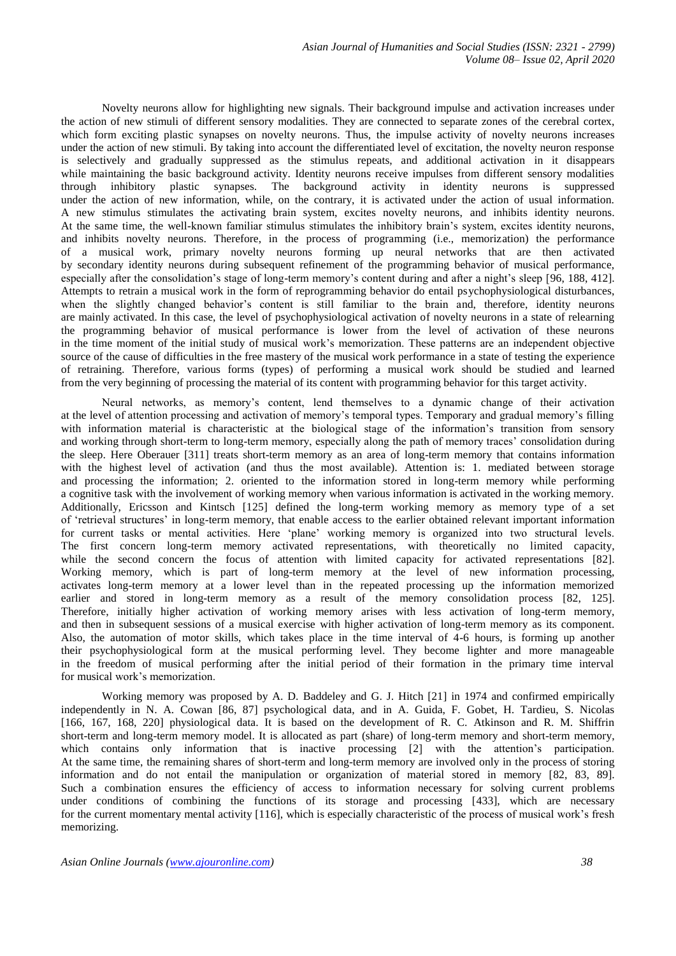Novelty neurons allow for highlighting new signals. Their background impulse and activation increases under the action of new stimuli of different sensory modalities. They are connected to separate zones of the cerebral cortex, which form exciting plastic synapses on novelty neurons. Thus, the impulse activity of novelty neurons increases under the action of new stimuli. By taking into account the differentiated level of excitation, the novelty neuron response is selectively and gradually suppressed as the stimulus repeats, and additional activation in it disappears while maintaining the basic background activity. Identity neurons receive impulses from different sensory modalities through inhibitory plastic synapses. The background activity in identity neurons is suppressed under the action of new information, while, on the contrary, it is activated under the action of usual information. A new stimulus stimulates the activating brain system, excites novelty neurons, and inhibits identity neurons. At the same time, the well-known familiar stimulus stimulates the inhibitory brain's system, excites identity neurons, and inhibits novelty neurons. Therefore, in the process of programming (i.e., memorization) the performance of a musical work, primary novelty neurons forming up neural networks that are then activated by secondary identity neurons during subsequent refinement of the programming behavior of musical performance, especially after the consolidation's stage of long-term memory's content during and after a night's sleep [96, 188, 412]. Attempts to retrain a musical work in the form of reprogramming behavior do entail psychophysiological disturbances, when the slightly changed behavior's content is still familiar to the brain and, therefore, identity neurons are mainly activated. In this case, the level of psychophysiological activation of novelty neurons in a state of relearning the programming behavior of musical performance is lower from the level of activation of these neurons in the time moment of the initial study of musical work's memorization. These patterns are an independent objective source of the cause of difficulties in the free mastery of the musical work performance in a state of testing the experience of retraining. Therefore, various forms (types) of performing a musical work should be studied and learned from the very beginning of processing the material of its content with programming behavior for this target activity.

Neural networks, as memory's content, lend themselves to a dynamic change of their activation at the level of attention processing and activation of memory's temporal types. Temporary and gradual memory's filling with information material is characteristic at the biological stage of the information's transition from sensory and working through short-term to long-term memory, especially along the path of memory traces' consolidation during the sleep. Here Oberauer [311] treats short-term memory as an area of long-term memory that contains information with the highest level of activation (and thus the most available). Attention is: 1. mediated between storage and processing the information; 2. oriented to the information stored in long-term memory while performing a cognitive task with the involvement of working memory when various information is activated in the working memory. Additionally, Ericsson and Kintsch [125] defined the long-term working memory as memory type of a set of 'retrieval structures' in long-term memory, that enable access to the earlier obtained relevant important information for current tasks or mental activities. Here 'plane' working memory is organized into two structural levels. The first concern long-term memory activated representations, with theoretically no limited capacity, while the second concern the focus of attention with limited capacity for activated representations [82]. Working memory, which is part of long-term memory at the level of new information processing, activates long-term memory at a lower level than in the repeated processing up the information memorized earlier and stored in long-term memory as a result of the memory consolidation process [82, 125]. Therefore, initially higher activation of working memory arises with less activation of long-term memory, and then in subsequent sessions of a musical exercise with higher activation of long-term memory as its component. Also, the automation of motor skills, which takes place in the time interval of 4-6 hours, is forming up another their psychophysiological form at the musical performing level. They become lighter and more manageable in the freedom of musical performing after the initial period of their formation in the primary time interval for musical work's memorization.

Working memory was proposed by A. D. Baddeley and G. J. Hitch [21] in 1974 and confirmed empirically independently in N. A. Cowan [86, 87] psychological data, and in A. Guida, F. Gobet, H. Tardieu, S. Nicolas [166, 167, 168, 220] physiological data. It is based on the development of R. C. Atkinson and R. M. Shiffrin short-term and long-term memory model. It is allocated as part (share) of long-term memory and short-term memory, which contains only information that is inactive processing [2] with the attention's participation. At the same time, the remaining shares of short-term and long-term memory are involved only in the process of storing information and do not entail the manipulation or organization of material stored in memory [82, 83, 89]. Such a combination ensures the efficiency of access to information necessary for solving current problems under conditions of combining the functions of its storage and processing [433], which are necessary for the current momentary mental activity [116], which is especially characteristic of the process of musical work's fresh memorizing.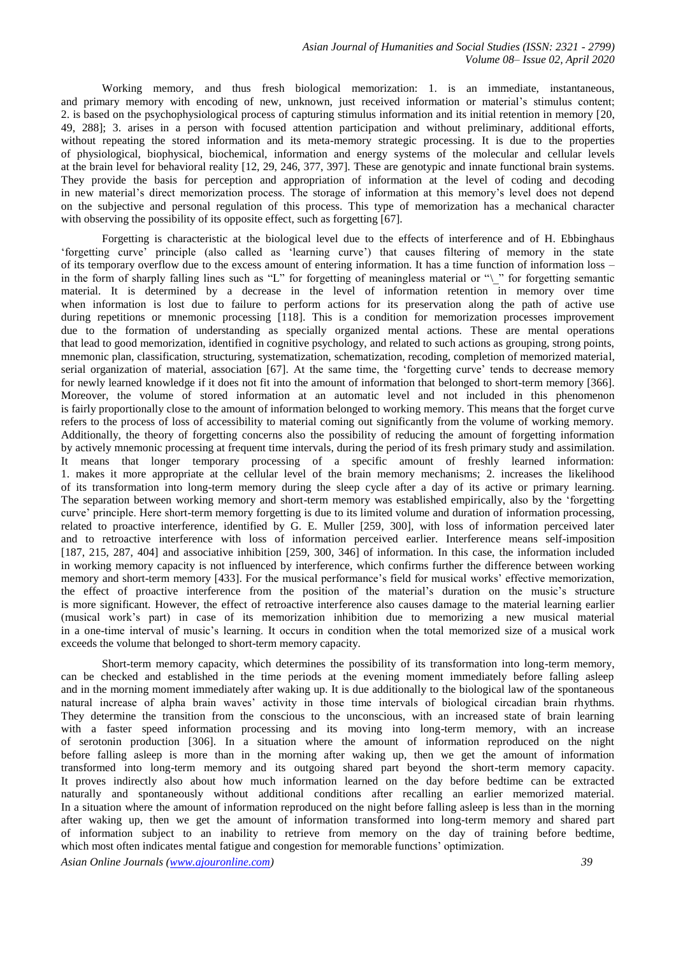Working memory, and thus fresh biological memorization: 1. is an immediate, instantaneous, and primary memory with encoding of new, unknown, just received information or material's stimulus content; 2. is based on the psychophysiological process of capturing stimulus information and its initial retention in memory [20, 49, 288]; 3. arises in a person with focused attention participation and without preliminary, additional efforts, without repeating the stored information and its meta-memory strategic processing. It is due to the properties of physiological, biophysical, biochemical, information and energy systems of the molecular and cellular levels at the brain level for behavioral reality [12, 29, 246, 377, 397]. These are genotypic and innate functional brain systems. They provide the basis for perception and appropriation of information at the level of coding and decoding in new material's direct memorization process. The storage of information at this memory's level does not depend on the subjective and personal regulation of this process. This type of memorization has a mechanical character with observing the possibility of its opposite effect, such as forgetting [67].

Forgetting is characteristic at the biological level due to the effects of interference and of H. Ebbinghaus 'forgetting curve' principle (also called as 'learning curve') that causes filtering of memory in the state of its temporary overflow due to the excess amount of entering information. It has a time function of information loss – in the form of sharply falling lines such as "L" for forgetting of meaningless material or "\\_" for forgetting semantic material. It is determined by a decrease in the level of information retention in memory over time when information is lost due to failure to perform actions for its preservation along the path of active use during repetitions or mnemonic processing [118]. This is a condition for memorization processes improvement due to the formation of understanding as specially organized mental actions. These are mental operations that lead to good memorization, identified in cognitive psychology, and related to such actions as grouping, strong points, mnemonic plan, classification, structuring, systematization, schematization, recoding, completion of memorized material, serial organization of material, association [67]. At the same time, the 'forgetting curve' tends to decrease memory for newly learned knowledge if it does not fit into the amount of information that belonged to short-term memory [366]. Moreover, the volume of stored information at an automatic level and not included in this phenomenon is fairly proportionally close to the amount of information belonged to working memory. This means that the forget curve refers to the process of loss of accessibility to material coming out significantly from the volume of working memory. Additionally, the theory of forgetting concerns also the possibility of reducing the amount of forgetting information by actively mnemonic processing at frequent time intervals, during the period of its fresh primary study and assimilation. It means that longer temporary processing of a specific amount of freshly learned information: 1. makes it more appropriate at the cellular level of the brain memory mechanisms; 2. increases the likelihood of its transformation into long-term memory during the sleep cycle after a day of its active or primary learning. The separation between working memory and short-term memory was established empirically, also by the 'forgetting curve' principle. Here short-term memory forgetting is due to its limited volume and duration of information processing, related to proactive interference, identified by G. E. Muller [259, 300], with loss of information perceived later and to retroactive interference with loss of information perceived earlier. Interference means self-imposition [187, 215, 287, 404] and associative inhibition [259, 300, 346] of information. In this case, the information included in working memory capacity is not influenced by interference, which confirms further the difference between working memory and short-term memory [433]. For the musical performance's field for musical works' effective memorization, the effect of proactive interference from the position of the material's duration on the music's structure is more significant. However, the effect of retroactive interference also causes damage to the material learning earlier (musical work's part) in case of its memorization inhibition due to memorizing a new musical material in a one-time interval of music's learning. It occurs in condition when the total memorized size of a musical work exceeds the volume that belonged to short-term memory capacity.

Short-term memory capacity, which determines the possibility of its transformation into long-term memory, can be checked and established in the time periods at the evening moment immediately before falling asleep and in the morning moment immediately after waking up. It is due additionally to the biological law of the spontaneous natural increase of alpha brain waves' activity in those time intervals of biological circadian brain rhythms. They determine the transition from the conscious to the unconscious, with an increased state of brain learning with a faster speed information processing and its moving into long-term memory, with an increase of serotonin production [306]. In a situation where the amount of information reproduced on the night before falling asleep is more than in the morning after waking up, then we get the amount of information transformed into long-term memory and its outgoing shared part beyond the short-term memory capacity. It proves indirectly also about how much information learned on the day before bedtime can be extracted naturally and spontaneously without additional conditions after recalling an earlier memorized material. In a situation where the amount of information reproduced on the night before falling asleep is less than in the morning after waking up, then we get the amount of information transformed into long-term memory and shared part of information subject to an inability to retrieve from memory on the day of training before bedtime, which most often indicates mental fatigue and congestion for memorable functions' optimization.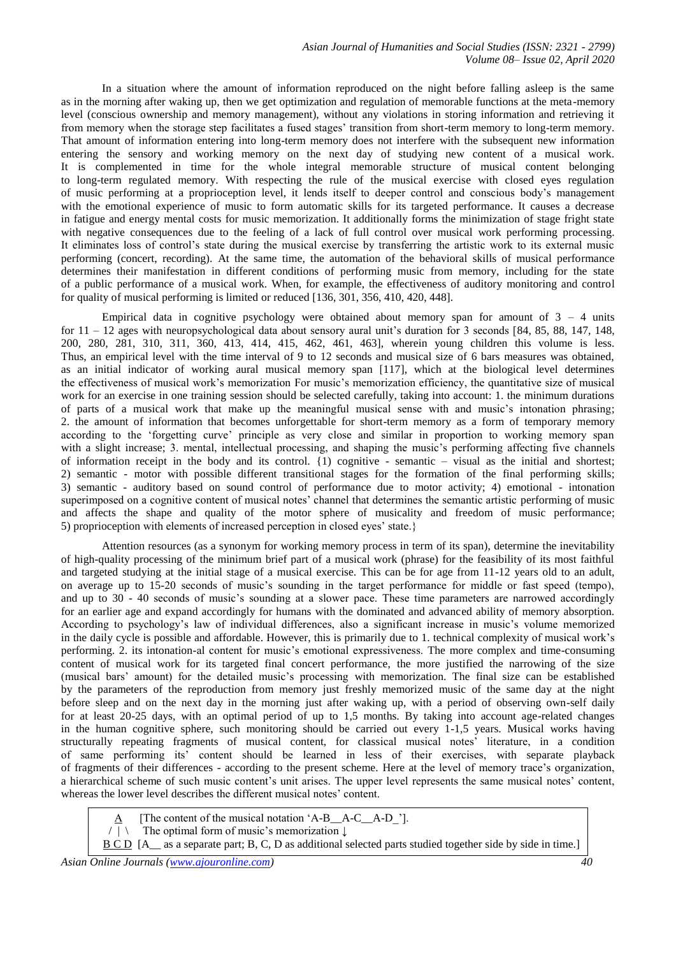*Asian Journal of Humanities and Social Studies (ISSN: 2321 - 2799) Volume 08– Issue 02, April 2020*

In a situation where the amount of information reproduced on the night before falling asleep is the same as in the morning after waking up, then we get optimization and regulation of memorable functions at the meta-memory level (conscious ownership and memory management), without any violations in storing information and retrieving it from memory when the storage step facilitates a fused stages' transition from short-term memory to long-term memory. That amount of information entering into long-term memory does not interfere with the subsequent new information entering the sensory and working memory on the next day of studying new content of a musical work. It is complemented in time for the whole integral memorable structure of musical content belonging to long-term regulated memory. With respecting the rule of the musical exercise with closed eyes regulation of music performing at a proprioception level, it lends itself to deeper control and conscious body's management with the emotional experience of music to form automatic skills for its targeted performance. It causes a decrease in fatigue and energy mental costs for music memorization. It additionally forms the minimization of stage fright state with negative consequences due to the feeling of a lack of full control over musical work performing processing. It eliminates loss of control's state during the musical exercise by transferring the artistic work to its external music performing (concert, recording). At the same time, the automation of the behavioral skills of musical performance determines their manifestation in different conditions of performing music from memory, including for the state of a public performance of a musical work. When, for example, the effectiveness of auditory monitoring and control for quality of musical performing is limited or reduced [136, 301, 356, 410, 420, 448].

Empirical data in cognitive psychology were obtained about memory span for amount of  $3 - 4$  units for  $11 - 12$  ages with neuropsychological data about sensory aural unit's duration for 3 seconds [84, 85, 88, 147, 148, 200, 280, 281, 310, 311, 360, 413, 414, 415, 462, 461, 463], wherein young children this volume is less. Thus, an empirical level with the time interval of 9 to 12 seconds and musical size of 6 bars measures was obtained, as an initial indicator of working aural musical memory span [117], which at the biological level determines the effectiveness of musical work's memorization For music's memorization efficiency, the quantitative size of musical work for an exercise in one training session should be selected carefully, taking into account: 1. the minimum durations of parts of a musical work that make up the meaningful musical sense with and music's intonation phrasing; 2. the amount of information that becomes unforgettable for short-term memory as a form of temporary memory according to the 'forgetting curve' principle as very close and similar in proportion to working memory span with a slight increase; 3. mental, intellectual processing, and shaping the music's performing affecting five channels of information receipt in the body and its control. {1) cognitive - semantic – visual as the initial and shortest; 2) semantic - motor with possible different transitional stages for the formation of the final performing skills; 3) semantic - auditory based on sound control of performance due to motor activity; 4) emotional - intonation superimposed on a cognitive content of musical notes' channel that determines the semantic artistic performing of music and affects the shape and quality of the motor sphere of musicality and freedom of music performance; 5) proprioception with elements of increased perception in closed eyes' state.}

Attention resources (as a synonym for working memory process in term of its span), determine the inevitability of high-quality processing of the minimum brief part of a musical work (phrase) for the feasibility of its most faithful and targeted studying at the initial stage of a musical exercise. This can be for age from 11-12 years old to an adult, on average up to 15-20 seconds of music's sounding in the target performance for middle or fast speed (tempo), and up to 30 - 40 seconds of music's sounding at a slower pace. These time parameters are narrowed accordingly for an earlier age and expand accordingly for humans with the dominated and advanced ability of memory absorption. According to psychology's law of individual differences, also a significant increase in music's volume memorized in the daily cycle is possible and affordable. However, this is primarily due to 1. technical complexity of musical work's performing. 2. its intonation-al content for music's emotional expressiveness. The more complex and time-consuming content of musical work for its targeted final concert performance, the more justified the narrowing of the size (musical bars' amount) for the detailed music's processing with memorization. The final size can be established by the parameters of the reproduction from memory just freshly memorized music of the same day at the night before sleep and on the next day in the morning just after waking up, with a period of observing own-self daily for at least 20-25 days, with an optimal period of up to 1,5 months. By taking into account age-related changes in the human cognitive sphere, such monitoring should be carried out every 1-1,5 years. Musical works having structurally repeating fragments of musical content, for classical musical notes' literature, in a condition of same performing its' content should be learned in less of their exercises, with separate playback of fragments of their differences - according to the present scheme. Here at the level of memory trace's organization, a hierarchical scheme of such music content's unit arises. The upper level represents the same musical notes' content, whereas the lower level describes the different musical notes' content.

[The content of the musical notation 'A-B\_\_A-C\_\_A-D\_'].

 $/ \ \ | \ \ \ \$  The optimal form of music's memorization  $\ \ \ \ \ \$ 

B C D [A\_\_ as a separate part; B, C, D as additional selected parts studied together side by side in time.]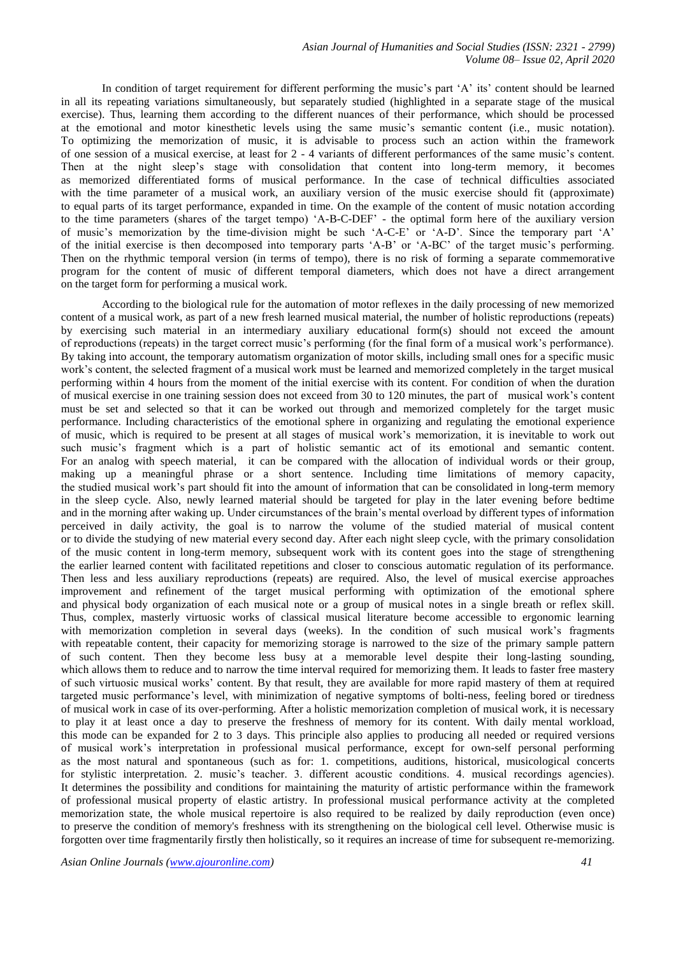In condition of target requirement for different performing the music's part 'A' its' content should be learned in all its repeating variations simultaneously, but separately studied (highlighted in a separate stage of the musical exercise). Thus, learning them according to the different nuances of their performance, which should be processed at the emotional and motor kinesthetic levels using the same music's semantic content (i.e., music notation). To optimizing the memorization of music, it is advisable to process such an action within the framework of one session of a musical exercise, at least for 2 - 4 variants of different performances of the same music's content. Then at the night sleep's stage with consolidation that content into long-term memory, it becomes as memorized differentiated forms of musical performance. In the case of technical difficulties associated with the time parameter of a musical work, an auxiliary version of the music exercise should fit (approximate) to equal parts of its target performance, expanded in time. On the example of the content of music notation according to the time parameters (shares of the target tempo) 'A-B-C-DEF' - the optimal form here of the auxiliary version of music's memorization by the time-division might be such 'A-C-E' or 'A-D'. Since the temporary part 'A' of the initial exercise is then decomposed into temporary parts 'A-B' or 'A-BC' of the target music's performing. Then on the rhythmic temporal version (in terms of tempo), there is no risk of forming a separate commemorative program for the content of music of different temporal diameters, which does not have a direct arrangement on the target form for performing a musical work.

According to the biological rule for the automation of motor reflexes in the daily processing of new memorized content of a musical work, as part of a new fresh learned musical material, the number of holistic reproductions (repeats) by exercising such material in an intermediary auxiliary educational form(s) should not exceed the amount of reproductions (repeats) in the target correct music's performing (for the final form of a musical work's performance). By taking into account, the temporary automatism organization of motor skills, including small ones for a specific music work's content, the selected fragment of a musical work must be learned and memorized completely in the target musical performing within 4 hours from the moment of the initial exercise with its content. For condition of when the duration of musical exercise in one training session does not exceed from 30 to 120 minutes, the part of musical work's content must be set and selected so that it can be worked out through and memorized completely for the target music performance. Including characteristics of the emotional sphere in organizing and regulating the emotional experience of music, which is required to be present at all stages of musical work's memorization, it is inevitable to work out such music's fragment which is a part of holistic semantic act of its emotional and semantic content. For an analog with speech material, it can be compared with the allocation of individual words or their group, making up a meaningful phrase or a short sentence. Including time limitations of memory capacity, the studied musical work's part should fit into the amount of information that can be consolidated in long-term memory in the sleep cycle. Also, newly learned material should be targeted for play in the later evening before bedtime and in the morning after waking up. Under circumstances of the brain's mental overload by different types of information perceived in daily activity, the goal is to narrow the volume of the studied material of musical content or to divide the studying of new material every second day. After each night sleep cycle, with the primary consolidation of the music content in long-term memory, subsequent work with its content goes into the stage of strengthening the earlier learned content with facilitated repetitions and closer to conscious automatic regulation of its performance. Then less and less auxiliary reproductions (repeats) are required. Also, the level of musical exercise approaches improvement and refinement of the target musical performing with optimization of the emotional sphere and physical body organization of each musical note or a group of musical notes in a single breath or reflex skill. Thus, complex, masterly virtuosic works of classical musical literature become accessible to ergonomic learning with memorization completion in several days (weeks). In the condition of such musical work's fragments with repeatable content, their capacity for memorizing storage is narrowed to the size of the primary sample pattern of such content. Then they become less busy at a memorable level despite their long-lasting sounding, which allows them to reduce and to narrow the time interval required for memorizing them. It leads to faster free mastery of such virtuosic musical works' content. By that result, they are available for more rapid mastery of them at required targeted music performance's level, with minimization of negative symptoms of bolti-ness, feeling bored or tiredness of musical work in case of its over-performing. After a holistic memorization completion of musical work, it is necessary to play it at least once a day to preserve the freshness of memory for its content. With daily mental workload, this mode can be expanded for 2 to 3 days. This principle also applies to producing all needed or required versions of musical work's interpretation in professional musical performance, except for own-self personal performing as the most natural and spontaneous (such as for: 1. competitions, auditions, historical, musicological concerts for stylistic interpretation. 2. music's teacher. 3. different acoustic conditions. 4. musical recordings agencies). It determines the possibility and conditions for maintaining the maturity of artistic performance within the framework of professional musical property of elastic artistry. In professional musical performance activity at the completed memorization state, the whole musical repertoire is also required to be realized by daily reproduction (even once) to preserve the condition of memory's freshness with its strengthening on the biological cell level. Otherwise music is forgotten over time fragmentarily firstly then holistically, so it requires an increase of time for subsequent re-memorizing.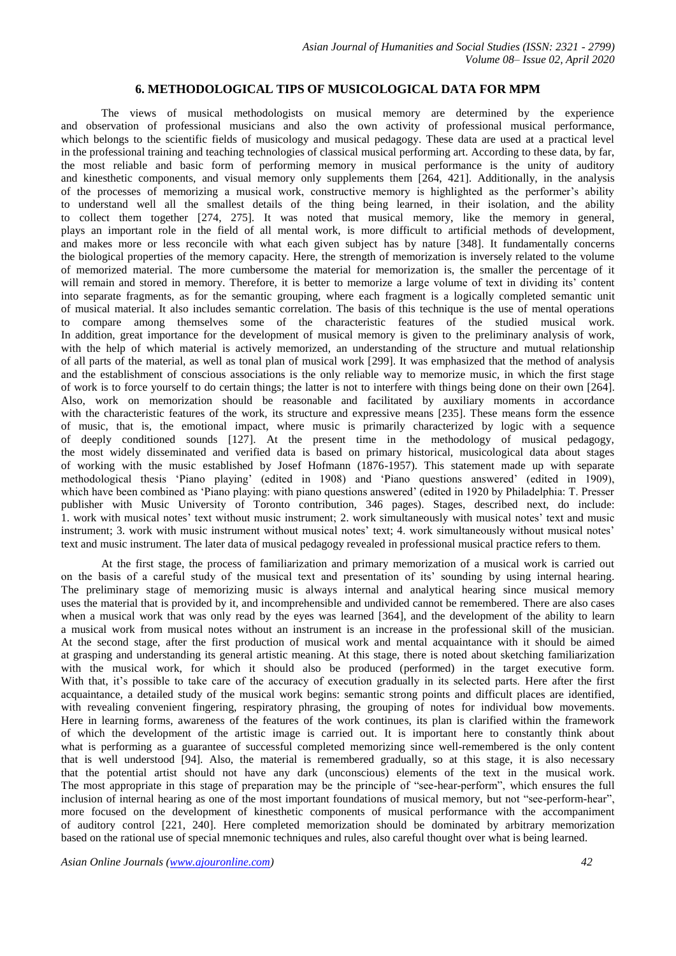## **6. METHODOLOGICAL TIPS OF MUSICOLOGICAL DATA FOR MPM**

The views of musical methodologists on musical memory are determined by the experience and observation of professional musicians and also the own activity of professional musical performance, which belongs to the scientific fields of musicology and musical pedagogy. These data are used at a practical level in the professional training and teaching technologies of classical musical performing art. According to these data, by far, the most reliable and basic form of performing memory in musical performance is the unity of auditory and kinesthetic components, and visual memory only supplements them [264, 421]. Additionally, in the analysis of the processes of memorizing a musical work, constructive memory is highlighted as the performer's ability to understand well all the smallest details of the thing being learned, in their isolation, and the ability to collect them together [274, 275]. It was noted that musical memory, like the memory in general, plays an important role in the field of all mental work, is more difficult to artificial methods of development, and makes more or less reconcile with what each given subject has by nature [348]. It fundamentally concerns the biological properties of the memory capacity. Here, the strength of memorization is inversely related to the volume of memorized material. The more cumbersome the material for memorization is, the smaller the percentage of it will remain and stored in memory. Therefore, it is better to memorize a large volume of text in dividing its' content into separate fragments, as for the semantic grouping, where each fragment is a logically completed semantic unit of musical material. It also includes semantic correlation. The basis of this technique is the use of mental operations to compare among themselves some of the characteristic features of the studied musical work. In addition, great importance for the development of musical memory is given to the preliminary analysis of work, with the help of which material is actively memorized, an understanding of the structure and mutual relationship of all parts of the material, as well as tonal plan of musical work [299]. It was emphasized that the method of analysis and the establishment of conscious associations is the only reliable way to memorize music, in which the first stage of work is to force yourself to do certain things; the latter is not to interfere with things being done on their own [264]. Also, work on memorization should be reasonable and facilitated by auxiliary moments in accordance with the characteristic features of the work, its structure and expressive means [235]. These means form the essence of music, that is, the emotional impact, where music is primarily characterized by logic with a sequence of deeply conditioned sounds [127]. At the present time in the methodology of musical pedagogy, the most widely disseminated and verified data is based on primary historical, musicological data about stages of working with the music established by Josef Hofmann (1876-1957). This statement made up with separate methodological thesis 'Piano playing' (edited in 1908) and 'Piano questions answered' (edited in 1909), which have been combined as 'Piano playing: with piano questions answered' (edited in 1920 by Philadelphia: T. Presser publisher with Music University of Toronto contribution, 346 pages). Stages, described next, do include: 1. work with musical notes' text without music instrument; 2. work simultaneously with musical notes' text and music instrument; 3. work with music instrument without musical notes' text; 4. work simultaneously without musical notes' text and music instrument. The later data of musical pedagogy revealed in professional musical practice refers to them.

At the first stage, the process of familiarization and primary memorization of a musical work is carried out on the basis of a careful study of the musical text and presentation of its' sounding by using internal hearing. The preliminary stage of memorizing music is always internal and analytical hearing since musical memory uses the material that is provided by it, and incomprehensible and undivided cannot be remembered. There are also cases when a musical work that was only read by the eyes was learned [364], and the development of the ability to learn a musical work from musical notes without an instrument is an increase in the professional skill of the musician. At the second stage, after the first production of musical work and mental acquaintance with it should be aimed at grasping and understanding its general artistic meaning. At this stage, there is noted about sketching familiarization with the musical work, for which it should also be produced (performed) in the target executive form. With that, it's possible to take care of the accuracy of execution gradually in its selected parts. Here after the first acquaintance, a detailed study of the musical work begins: semantic strong points and difficult places are identified, with revealing convenient fingering, respiratory phrasing, the grouping of notes for individual bow movements. Here in learning forms, awareness of the features of the work continues, its plan is clarified within the framework of which the development of the artistic image is carried out. It is important here to constantly think about what is performing as a guarantee of successful completed memorizing since well-remembered is the only content that is well understood [94]. Also, the material is remembered gradually, so at this stage, it is also necessary that the potential artist should not have any dark (unconscious) elements of the text in the musical work. The most appropriate in this stage of preparation may be the principle of "see-hear-perform", which ensures the full inclusion of internal hearing as one of the most important foundations of musical memory, but not "see-perform-hear", more focused on the development of kinesthetic components of musical performance with the accompaniment of auditory control [221, 240]. Here completed memorization should be dominated by arbitrary memorization based on the rational use of special mnemonic techniques and rules, also careful thought over what is being learned.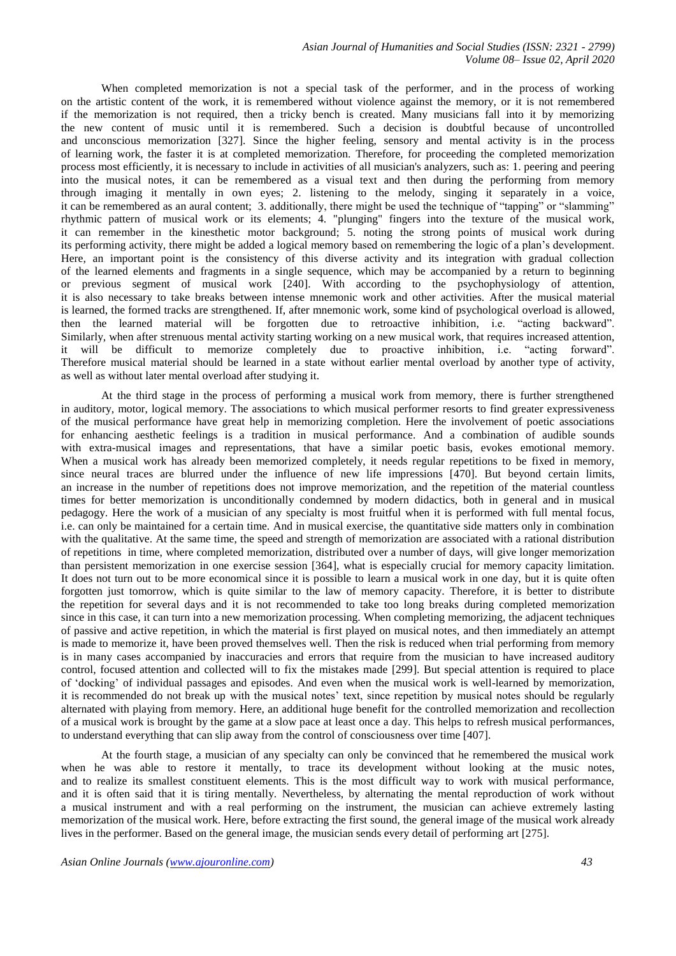*Asian Journal of Humanities and Social Studies (ISSN: 2321 - 2799) Volume 08– Issue 02, April 2020*

When completed memorization is not a special task of the performer, and in the process of working on the artistic content of the work, it is remembered without violence against the memory, or it is not remembered if the memorization is not required, then a tricky bench is created. Many musicians fall into it by memorizing the new content of music until it is remembered. Such a decision is doubtful because of uncontrolled and unconscious memorization [327]. Since the higher feeling, sensory and mental activity is in the process of learning work, the faster it is at completed memorization. Therefore, for proceeding the completed memorization process most efficiently, it is necessary to include in activities of all musician's analyzers, such as: 1. peering and peering into the musical notes, it can be remembered as a visual text and then during the performing from memory through imaging it mentally in own eyes; 2. listening to the melody, singing it separately in a voice, it can be remembered as an aural content; 3. additionally, there might be used the technique of "tapping" or "slamming" rhythmic pattern of musical work or its elements; 4. "plunging" fingers into the texture of the musical work, it can remember in the kinesthetic motor background; 5. noting the strong points of musical work during its performing activity, there might be added a logical memory based on remembering the logic of a plan's development. Here, an important point is the consistency of this diverse activity and its integration with gradual collection of the learned elements and fragments in a single sequence, which may be accompanied by a return to beginning or previous segment of musical work [240]. With according to the psychophysiology of attention, it is also necessary to take breaks between intense mnemonic work and other activities. After the musical material is learned, the formed tracks are strengthened. If, after mnemonic work, some kind of psychological overload is allowed, then the learned material will be forgotten due to retroactive inhibition, i.e. "acting backward". Similarly, when after strenuous mental activity starting working on a new musical work, that requires increased attention, it will be difficult to memorize completely due to proactive inhibition, i.e. "acting forward". Therefore musical material should be learned in a state without earlier mental overload by another type of activity, as well as without later mental overload after studying it.

At the third stage in the process of performing a musical work from memory, there is further strengthened in auditory, motor, logical memory. The associations to which musical performer resorts to find greater expressiveness of the musical performance have great help in memorizing completion. Here the involvement of poetic associations for enhancing aesthetic feelings is a tradition in musical performance. And a combination of audible sounds with extra-musical images and representations, that have a similar poetic basis, evokes emotional memory. When a musical work has already been memorized completely, it needs regular repetitions to be fixed in memory, since neural traces are blurred under the influence of new life impressions [470]. But beyond certain limits, an increase in the number of repetitions does not improve memorization, and the repetition of the material countless times for better memorization is unconditionally condemned by modern didactics, both in general and in musical pedagogy. Here the work of a musician of any specialty is most fruitful when it is performed with full mental focus, i.e. can only be maintained for a certain time. And in musical exercise, the quantitative side matters only in combination with the qualitative. At the same time, the speed and strength of memorization are associated with a rational distribution of repetitions in time, where completed memorization, distributed over a number of days, will give longer memorization than persistent memorization in one exercise session [364], what is especially crucial for memory capacity limitation. It does not turn out to be more economical since it is possible to learn a musical work in one day, but it is quite often forgotten just tomorrow, which is quite similar to the law of memory capacity. Therefore, it is better to distribute the repetition for several days and it is not recommended to take too long breaks during completed memorization since in this case, it can turn into a new memorization processing. When completing memorizing, the adjacent techniques of passive and active repetition, in which the material is first played on musical notes, and then immediately an attempt is made to memorize it, have been proved themselves well. Then the risk is reduced when trial performing from memory is in many cases accompanied by inaccuracies and errors that require from the musician to have increased auditory control, focused attention and collected will to fix the mistakes made [299]. But special attention is required to place of 'docking' of individual passages and episodes. And even when the musical work is well-learned by memorization, it is recommended do not break up with the musical notes' text, since repetition by musical notes should be regularly alternated with playing from memory. Here, an additional huge benefit for the controlled memorization and recollection of a musical work is brought by the game at a slow pace at least once a day. This helps to refresh musical performances, to understand everything that can slip away from the control of consciousness over time [407].

At the fourth stage, a musician of any specialty can only be convinced that he remembered the musical work when he was able to restore it mentally, to trace its development without looking at the music notes, and to realize its smallest constituent elements. This is the most difficult way to work with musical performance, and it is often said that it is tiring mentally. Nevertheless, by alternating the mental reproduction of work without a musical instrument and with a real performing on the instrument, the musician can achieve extremely lasting memorization of the musical work. Here, before extracting the first sound, the general image of the musical work already lives in the performer. Based on the general image, the musician sends every detail of performing art [275].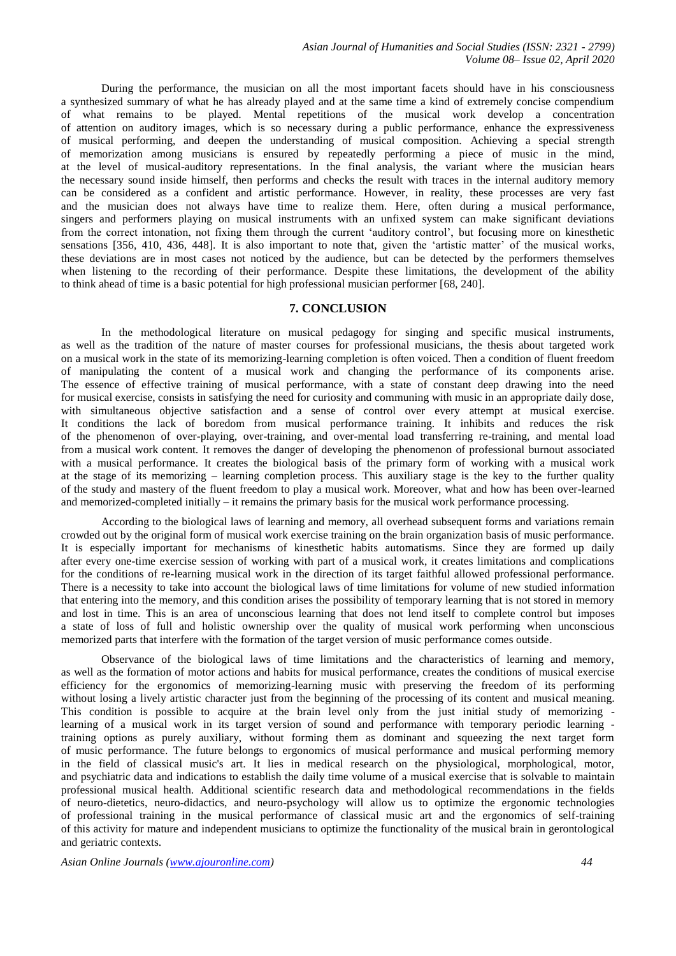During the performance, the musician on all the most important facets should have in his consciousness a synthesized summary of what he has already played and at the same time a kind of extremely concise compendium of what remains to be played. Mental repetitions of the musical work develop a concentration of attention on auditory images, which is so necessary during a public performance, enhance the expressiveness of musical performing, and deepen the understanding of musical composition. Achieving a special strength of memorization among musicians is ensured by repeatedly performing a piece of music in the mind, at the level of musical-auditory representations. In the final analysis, the variant where the musician hears the necessary sound inside himself, then performs and checks the result with traces in the internal auditory memory can be considered as a confident and artistic performance. However, in reality, these processes are very fast and the musician does not always have time to realize them. Here, often during a musical performance, singers and performers playing on musical instruments with an unfixed system can make significant deviations from the correct intonation, not fixing them through the current 'auditory control', but focusing more on kinesthetic sensations [356, 410, 436, 448]. It is also important to note that, given the 'artistic matter' of the musical works, these deviations are in most cases not noticed by the audience, but can be detected by the performers themselves when listening to the recording of their performance. Despite these limitations, the development of the ability to think ahead of time is a basic potential for high professional musician performer [68, 240].

## **7. CONCLUSION**

In the methodological literature on musical pedagogy for singing and specific musical instruments, as well as the tradition of the nature of master courses for professional musicians, the thesis about targeted work on a musical work in the state of its memorizing-learning completion is often voiced. Then a condition of fluent freedom of manipulating the content of a musical work and changing the performance of its components arise. The essence of effective training of musical performance, with a state of constant deep drawing into the need for musical exercise, consists in satisfying the need for curiosity and communing with music in an appropriate daily dose, with simultaneous objective satisfaction and a sense of control over every attempt at musical exercise. It conditions the lack of boredom from musical performance training. It inhibits and reduces the risk of the phenomenon of over-playing, over-training, and over-mental load transferring re-training, and mental load from a musical work content. It removes the danger of developing the phenomenon of professional burnout associated with a musical performance. It creates the biological basis of the primary form of working with a musical work at the stage of its memorizing – learning completion process. This auxiliary stage is the key to the further quality of the study and mastery of the fluent freedom to play a musical work. Moreover, what and how has been over-learned and memorized-completed initially – it remains the primary basis for the musical work performance processing.

According to the biological laws of learning and memory, all overhead subsequent forms and variations remain crowded out by the original form of musical work exercise training on the brain organization basis of music performance. It is especially important for mechanisms of kinesthetic habits automatisms. Since they are formed up daily after every one-time exercise session of working with part of a musical work, it creates limitations and complications for the conditions of re-learning musical work in the direction of its target faithful allowed professional performance. There is a necessity to take into account the biological laws of time limitations for volume of new studied information that entering into the memory, and this condition arises the possibility of temporary learning that is not stored in memory and lost in time. This is an area of unconscious learning that does not lend itself to complete control but imposes a state of loss of full and holistic ownership over the quality of musical work performing when unconscious memorized parts that interfere with the formation of the target version of music performance comes outside.

Observance of the biological laws of time limitations and the characteristics of learning and memory, as well as the formation of motor actions and habits for musical performance, creates the conditions of musical exercise efficiency for the ergonomics of memorizing-learning music with preserving the freedom of its performing without losing a lively artistic character just from the beginning of the processing of its content and musical meaning. This condition is possible to acquire at the brain level only from the just initial study of memorizing learning of a musical work in its target version of sound and performance with temporary periodic learning training options as purely auxiliary, without forming them as dominant and squeezing the next target form of music performance. The future belongs to ergonomics of musical performance and musical performing memory in the field of classical music's art. It lies in medical research on the physiological, morphological, motor, and psychiatric data and indications to establish the daily time volume of a musical exercise that is solvable to maintain professional musical health. Additional scientific research data and methodological recommendations in the fields of neuro-dietetics, neuro-didactics, and neuro-psychology will allow us to optimize the ergonomic technologies of professional training in the musical performance of classical music art and the ergonomics of self-training of this activity for mature and independent musicians to optimize the functionality of the musical brain in gerontological and geriatric contexts.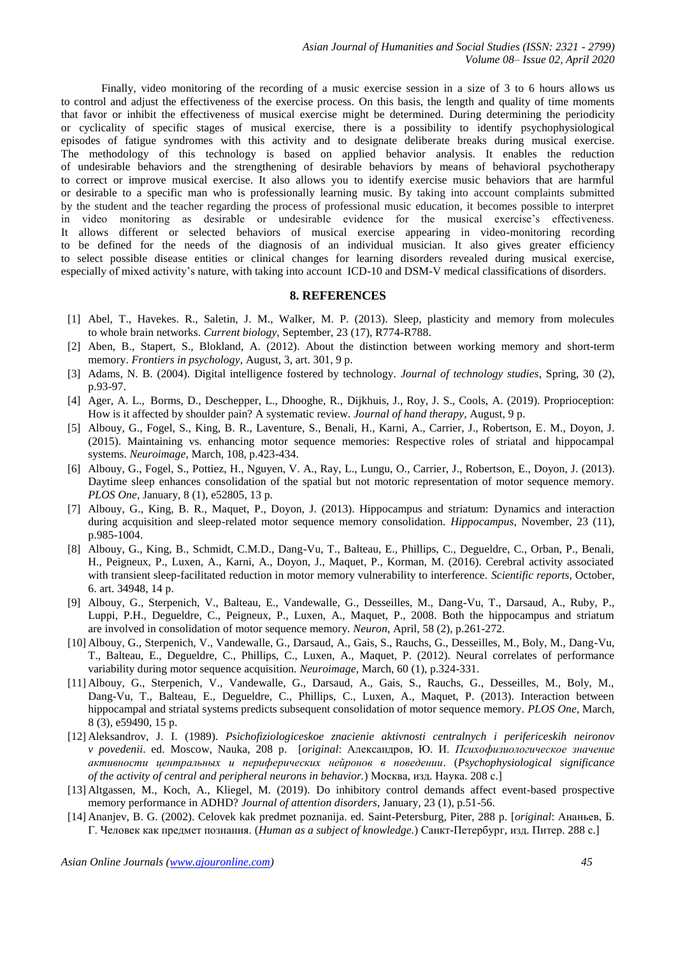Finally, video monitoring of the recording of a music exercise session in a size of 3 to 6 hours allows us to control and adjust the effectiveness of the exercise process. On this basis, the length and quality of time moments that favor or inhibit the effectiveness of musical exercise might be determined. During determining the periodicity or cyclicality of specific stages of musical exercise, there is a possibility to identify psychophysiological episodes of fatigue syndromes with this activity and to designate deliberate breaks during musical exercise. The methodology of this technology is based on applied behavior analysis. It enables the reduction of undesirable behaviors and the strengthening of desirable behaviors by means of behavioral psychotherapy to correct or improve musical exercise. It also allows you to identify exercise music behaviors that are harmful or desirable to a specific man who is professionally learning music. By taking into account complaints submitted by the student and the teacher regarding the process of professional music education, it becomes possible to interpret in video monitoring as desirable or undesirable evidence for the musical exercise's effectiveness. It allows different or selected behaviors of musical exercise appearing in video-monitoring recording to be defined for the needs of the diagnosis of an individual musician. It also gives greater efficiency to select possible disease entities or clinical changes for learning disorders revealed during musical exercise, especially of mixed activity's nature, with taking into account ICD-10 and DSM-V medical classifications of disorders.

## **8. REFERENCES**

- [1] Abel, T., Havekes. R., Saletin, J. M., Walker, M. P. (2013). Sleep, plasticity and memory from molecules to whole brain networks. *Current biology*, September, 23 (17), R774-R788.
- [2] Aben, B., Stapert, S., Blokland, A. (2012). About the distinction between working memory and short-term memory. *Frontiers in psychology*, August, 3, art. 301, 9 p.
- [3] Adams, N. B. (2004). Digital intelligence fostered by technology. *Journal of technology studies*, Spring, 30 (2), p.93-97.
- [4] Ager, A. L., Borms, D., Deschepper, L., Dhooghe, R., Dijkhuis, J., Roy, J. S., Cools, A. (2019). Proprioception: How is it affected by shoulder pain? A systematic review. *Journal of hand therapy*, August, 9 p.
- [5] Albouy, G., Fogel, S., King, B. R., Laventure, S., Benali, H., Karni, A., Carrier, J., Robertson, E. M., Doyon, J. (2015). Maintaining vs. enhancing motor sequence memories: Respective roles of striatal and hippocampal systems. *Neuroimage*, March, 108, p.423-434.
- [6] Albouy, G., Fogel, S., Pottiez, H., Nguyen, V. A., Ray, L., Lungu, O., Carrier, J., Robertson, E., Doyon, J. (2013). Daytime sleep enhances consolidation of the spatial but not motoric representation of motor sequence memory. *PLOS One*, January, 8 (1), e52805, 13 p.
- [7] Albouy, G., King, B. R., Maquet, P., Doyon, J. (2013). Hippocampus and striatum: Dynamics and interaction during acquisition and sleep-related motor sequence memory consolidation. *Hippocampus*, November, 23 (11), p.985-1004.
- [8] Albouy, G., King, B., Schmidt, C.M.D., Dang-Vu, T., Balteau, E., Phillips, C., Degueldre, C., Orban, P., Benali, H., Peigneux, P., Luxen, A., Karni, A., Doyon, J., Maquet, P., Korman, M. (2016). Cerebral activity associated with transient sleep-facilitated reduction in motor memory vulnerability to interference. *Scientific reports*, October, 6. art. 34948, 14 p.
- [9] Albouy, G., Sterpenich, V., Balteau, E., Vandewalle, G., Desseilles, M., Dang-Vu, T., Darsaud, A., Ruby, P., Luppi, P.H., Degueldre, C., Peigneux, P., Luxen, A., Maquet, P., 2008. Both the hippocampus and striatum are involved in consolidation of motor sequence memory. *Neuron*, April, 58 (2), p.261-272.
- [10] Albouy, G., Sterpenich, V., Vandewalle, G., Darsaud, A., Gais, S., Rauchs, G., Desseilles, M., Boly, M., Dang-Vu, T., Balteau, E., Degueldre, C., Phillips, C., Luxen, A., Maquet, P. (2012). Neural correlates of performance variability during motor sequence acquisition. *Neuroimage*, March, 60 (1), p.324-331.
- [11] Albouy, G., Sterpenich, V., Vandewalle, G., Darsaud, A., Gais, S., Rauchs, G., Desseilles, M., Boly, M., Dang-Vu, T., Balteau, E., Degueldre, C., Phillips, C., Luxen, A., Maquet, P. (2013). Interaction between hippocampal and striatal systems predicts subsequent consolidation of motor sequence memory. *PLOS One*, March, 8 (3), e59490, 15 p.
- [12] Aleksandrov, J. I. (1989). *Psichofiziologiceskoe znacienie aktivnosti centralnych i perifericeskih neironov v povedenii*. ed. Moscow, Nauka, 208 p. [*original*: Александров, Ю. И. *Психофизиологическое значение активности центральных и периферических нейронов в поведении*. (*Psychophysiological significance of the activity of central and peripheral neurons in behavior.*) Москва, изд. Наука. 208 с.]
- [13] Altgassen, M., Koch, A., Kliegel, M. (2019). Do inhibitory control demands affect event-based prospective memory performance in ADHD? *Journal of attention disorders*, January, 23 (1), p.51-56.
- [14] Ananjev, B. G. (2002). Celovek kak predmet poznanija. ed. Saint-Petersburg, Piter, 288 p. [*original*: Ананьев, Б. Г. Человек как предмет познания. (*Human as a subject of knowledge.*) Санкт-Петербург, изд. Питер. 288 с.]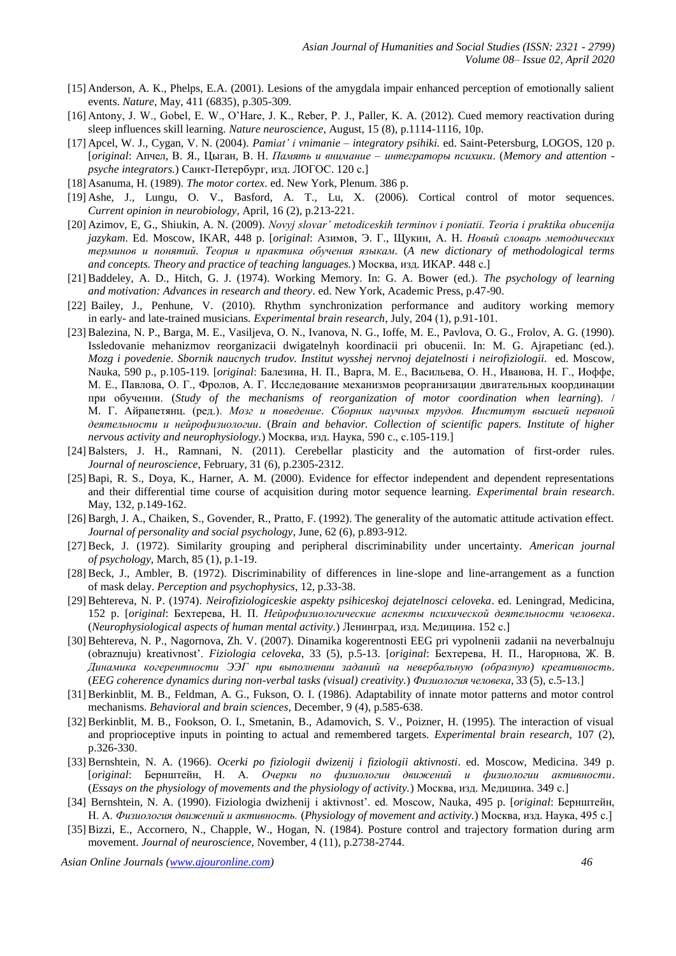- [15] Anderson, A. K., Phelps, E.A. (2001). Lesions of the amygdala impair enhanced perception of emotionally salient events. *Nature*, May, 411 (6835), p.305-309.
- [16] Antony, J. W., Gobel, E. W., O'Hare, J. K., Reber, P. J., Paller, K. A. (2012). Cued memory reactivation during sleep influences skill learning. *Nature neuroscience*, August, 15 (8), p.1114-1116, 10p.
- [17] Apcel, W. J., Cygan, V. N. (2004). *Pamiat' i vnimanie – integratory psihiki.* ed. Saint-Petersburg, LOGOS, 120 p. [*original*: Апчел, В. Я., Цыган, В. Н. *Память и внимание – интеграторы психики*. (*Memory and attention psyche integrators.*) Санкт-Петербург, изд. ЛОГОС. 120 с.]
- [18] Asanuma, H. (1989). *The motor cortex*. ed. New York, Plenum. 386 p.
- [19] Ashe, J., Lungu, O. V., Basford, A. T., Lu, X. (2006). Cortical control of motor sequences. *Current opinion in neurobiology*, April, 16 (2), p.213-221.
- [20] Azimov, E, G., Shiukin, A. N. (2009). *Novyj slovar' metodiceskih terminov i poniatii. Teoria i praktika obucenija jazykam*. Ed. Moscow, IKAR, 448 p. [*original*: Азимов, Э. Г., Щукин, А. Н. *Новый словарь методических терминов и понятий. Теория и практика обучения языкам*. (*A new dictionary of methodological terms and concepts. Theory and practice of teaching languages.*) Москва, изд. ИКАР. 448 с.]
- [21] Baddeley, A. D., Hitch, G. J. (1974). Working Memory. In: G. A. Bower (ed.). *The psychology of learning and motivation: Advances in research and theory*. ed. New York, Academic Press, p.47-90.
- [22] Bailey, J., Penhune, V. (2010). Rhythm synchronization performance and auditory working memory in early- and late-trained musicians. *Experimental brain research*, July, 204 (1), p.91-101.
- [23] Balezina, N. P., Barga, M. E., Vasiljeva, O. N., Ivanova, N. G., Ioffe, M. E., Pavlova, O. G., Frolov, A. G. (1990). Issledovanie mehanizmov reorganizacii dwigatelnyh koordinacii pri obucenii. In: M. G. Ajrapetianc (ed.). *Mozg i povedenie*. *Sbornik naucnych trudov. Institut wysshej nervnoj dejatelnosti i neirofiziologii*. ed. Moscow, Nauka, 590 p., p.105-119. [*original*: Балезина, Н. П., Варга, М. Е., Васильева, О. Н., Иванова, Н. Г., Иоффе, М. Е., Павлова, О. Г., Фролов, А. Г. Исследование механизмов реорганизации двигательных координации при обучении. (*Study of the mechanisms of reorganization of motor coordination when learning*). / М. Г. Айрапетянц. (ред.). *Мозг и поведение*. *Сборник научных трудов. Институт высшей нервной деятельности и нейрофизиологии*. (*Brain and behavior. Collection of scientific papers. Institute of higher nervous activity and neurophysiology.*) Москва, изд. Наука, 590 c., с.105-119.]
- [24] Balsters, J. H., Ramnani, N. (2011). Cerebellar plasticity and the automation of first-order rules. *Journal of neuroscience*, February, 31 (6), p.2305-2312.
- [25] Bapi, R. S., Doya, K., Harner, A. M. (2000). Evidence for effector independent and dependent representations and their differential time course of acquisition during motor sequence learning. *Experimental brain research*. May, 132, p.149-162.
- [26] Bargh, J. A., Chaiken, S., Govender, R., Pratto, F. (1992). The generality of the automatic attitude activation effect. *Journal of personality and social psychology*, June, 62 (6), p.893-912.
- [27] Beck, J. (1972). Similarity grouping and peripheral discriminability under uncertainty. *American journal of psychology*, March, 85 (1), p.1-19.
- [28] Beck, J., Ambler, B. (1972). Discriminability of differences in line-slope and line-arrangement as a function of mask delay. *Perception and psychophysics*, 12, p.33-38.
- [29] Behtereva, N. P. (1974). *Neirofiziologiceskie aspekty psihiceskoj dejatelnosci celoveka*. ed. Leningrad, Medicina, 152 p. [*original*: Бехтерева, Н. П. *Нейрофизиологические аспекты психической деятельности человека*. (*Neurophysiological aspects of human mental activity.*) Ленинград, изд. Медицина. 152 с.]
- [30] Behtereva, N. P., Nagornova, Zh. V. (2007). Dinamika kogerentnosti EEG pri vypolnenii zadanii na neverbalnuju (obraznuju) kreativnost'. *Fiziologia celoveka*, 33 (5), p.5-13. [*original*: Бехтерева, Н. П., Нагорнова, Ж. В. *Динамика когерентности ЭЭГ при выполнении заданий на невербальную (образную) креативность*. (*EEG coherence dynamics during non-verbal tasks (visual) creativity.*) *Физиология человека*, 33 (5), с.5-13.]
- [31] Berkinblit, M. B., Feldman, A. G., Fukson, O. I. (1986). Adaptability of innate motor patterns and motor control mechanisms. *Behavioral and brain sciences*, December, 9 (4), p.585-638.
- [32] Berkinblit, M. B., Fookson, O. I., Smetanin, B., Adamovich, S. V., Poizner, H. (1995). The interaction of visual and proprioceptive inputs in pointing to actual and remembered targets. *Experimental brain research*, 107 (2), p.326-330.
- [33] Bernshtein, N. A. (1966). *Ocerki po fiziologii dwizenij i fiziologii aktivnosti*. ed. Moscow, Medicina. 349 p. [*original*: Бернштейн, Н. А. *Очерки по физиологии движений и физиологии активности*. (*Essays on the physiology of movements and the physiology of activity.*) Москва, изд. Медицина. 349 с.]
- [34] Bernshtein, N. A. (1990). Fiziologia dwizhenij i aktivnost'. ed. Moscow, Nauka, 495 p. [*original*: Бернштейн, Н. А. *Физиология движений и активность.* (*Physiology of movement and activity.*) Москва, изд. Наука, 495 с.]
- [35] Bizzi, E., Accornero, N., Chapple, W., Hogan, N. (1984). Posture control and trajectory formation during arm movement. *Journal of neuroscience*, November, 4 (11), p.2738-2744.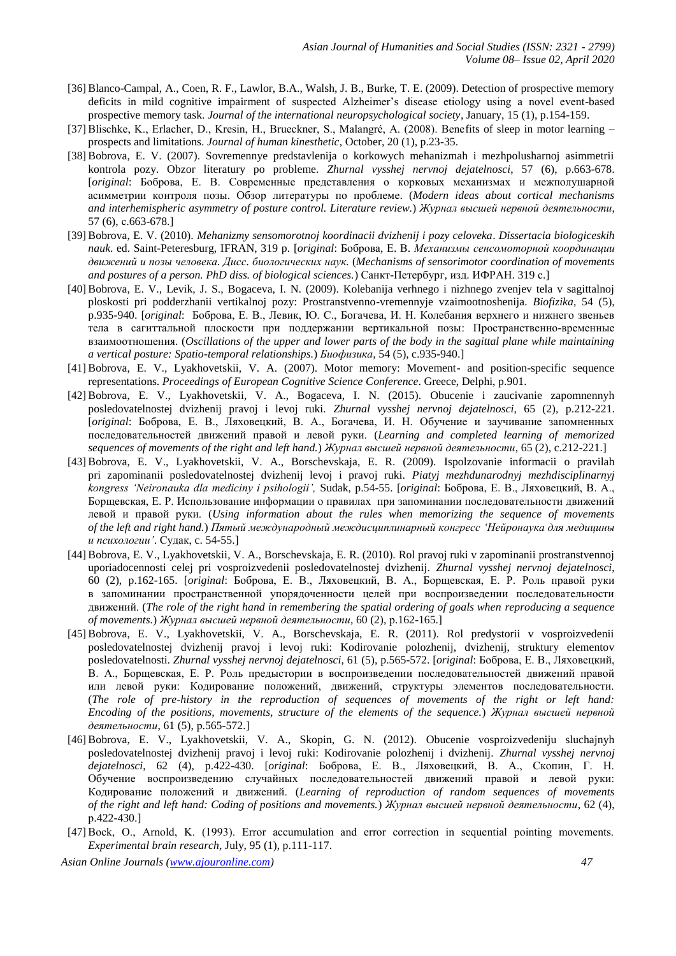- [36] Blanco-Campal, A., Coen, R. F., Lawlor, B.A., Walsh, J. B., Burke, T. E. (2009). Detection of prospective memory deficits in mild cognitive impairment of suspected Alzheimer's disease etiology using a novel event-based prospective memory task. *Journal of the international neuropsychological society*, January, 15 (1), p.154-159.
- [37] Blischke, K., Erlacher, D., Kresin, H., Brueckner, S., Malangré, A. (2008). Benefits of sleep in motor learning prospects and limitations. *Journal of human kinesthetic*, October, 20 (1), p.23-35.
- [38] Bobrova, E. V. (2007). Sovremennye predstavlenija o korkowych mehanizmah i mezhpolusharnoj asimmetrii kontrola pozy. Obzor literatury po probleme. *Zhurnal vysshej nervnoj dejatelnosci*, 57 (6), p.663-678. [*original*: Боброва, Е. В. Современные представления о корковых механизмах и межполушарной асимметрии контроля позы. Обзор литературы по проблеме. (*Modern ideas about cortical mechanisms and interhemispheric asymmetry of posture control. Literature review.*) *Журнал высшей нервной деятельности*, 57 (6), с.663-678.]
- [39] Bobrova, E. V. (2010). *Mehanizmy sensomorotnoj koordinacii dvizhenij i pozy celoveka*. *Dissertacia biologiceskih nauk*. ed. Saint-Peteresburg, IFRAN, 319 p. [*original*: Боброва, Е. В. *Механизмы сенсомоторной координации движений и позы человека. Дисс. биологических наук.* (*Mechanisms of sensorimotor coordination of movements and postures of a person. PhD diss. of biological sciences.*) Санкт-Петербург, изд. ИФРАН. 319 с.]
- [40] Bobrova, E. V., Levik, J. S., Bogaceva, I. N. (2009). Kolebanija verhnego i nizhnego zvenjev tela v sagittalnoj ploskosti pri podderzhanii vertikalnoj pozy: Prostranstvenno-vremennyje vzaimootnoshenija. *Biofizika*, 54 (5), p.935-940. [*original*: Боброва, Е. В., Левик, Ю. С., Богачева, И. Н. Колебания верхнего и нижнего звеньев тела в сагиттальной плоскости при поддержании вертикальной позы: Пространственно-временные взаимоотношения. (*Oscillations of the upper and lower parts of the body in the sagittal plane while maintaining a vertical posture: Spatio-temporal relationships.*) *Биофизика,* 54 (5), c.935-940.]
- [41] Bobrova, E. V., Lyakhovetskii, V. A. (2007). Motor memory: Movement- and position-specific sequence representations. *Proceedings of European Cognitive Science Conference*. Greece, Delphi, p.901.
- [42] Bobrova, E. V., Lyakhovetskii, V. A., Bogaceva, I. N. (2015). Obucenie i zaucivanie zapomnennyh posledovatelnostej dvizhenij pravoj i levoj ruki. *Zhurnal vysshej nervnoj dejatelnosci*, 65 (2), p.212-221. [*original*: Боброва, Е. В., Ляховецкий, В. А., Богачева, И. Н. Обучение и заучивание запомненных последовательностей движений правой и левой руки. (*Learning and completed learning of memorized sequences of movements of the right and left hand.*) *Журнал высшей нервной деятельности*, 65 (2), c.212-221.]
- [43] Bobrova, E. V., Lyakhovetskii, V. A., Borschevskaja, E. R. (2009). Ispolzovanie informacii o pravilah pri zapominanii posledovatelnostej dvizhenij levoj i pravoj ruki. *Piatyj mezhdunarodnyj mezhdisciplinarnyj kongress 'Neironauka dla mediciny i psihologii',* Sudak, p.54-55. [*original*: Боброва, Е. В., Ляховецкий, В. А., Борщевская, Е. Р. Использование информации о правилах при запоминании последовательности движений левой и правой руки. (*Using information about the rules when memorizing the sequence of movements of the left and right hand.*) *Пятый международный междисциплинарный конгресс 'Нейронаука для медицины и психологии'*. Судак, c. 54-55.]
- [44] Bobrova, E. V., Lyakhovetskii, V. A., Borschevskaja, E. R. (2010). Rol pravoj ruki v zapominanii prostranstvennoj uporiadocennosti celej pri vosproizvedenii posledovatelnostej dvizhenij. *Zhurnal vysshej nervnoj dejatelnosci*, 60 (2), p.162-165. [*original*: Боброва, Е. В., Ляховецкий, В. А., Борщевская, Е. Р. Роль правой руки в запоминании пространственной упорядоченности целей при воспроизведении последовательности движений. (*The role of the right hand in remembering the spatial ordering of goals when reproducing a sequence of movements.*) *Журнал высшей нервной деятельности*, 60 (2), р.162-165.]
- [45] Bobrova, E. V., Lyakhovetskii, V. A., Borschevskaja, E. R. (2011). Rol predystorii v vosproizvedenii posledovatelnostej dvizhenij pravoj i levoj ruki: Kodirovanie polozhenij, dvizhenij, struktury elementov posledovatelnosti. *Zhurnal vysshej nervnoj dejatelnosci*, 61 (5), p.565-572. [*original*: Боброва, Е. В., Ляховецкий, В. А., Борщевская, Е. Р. Роль предыстории в воспроизведении последовательностей движений правой или левой руки: Кодирование положений, движений, структуры элементов последовательности. (*The role of pre-history in the reproduction of sequences of movements of the right or left hand: Encoding of the positions, movements, structure of the elements of the sequence.*) *Журнал высшей нервной деятельности*, 61 (5), р.565-572.]
- [46] Bobrova, E. V., Lyakhovetskii, V. A., Skopin, G. N. (2012). Obucenie vosproizvedeniju sluchajnyh posledovatelnostej dvizhenij pravoj i levoj ruki: Kodirovanie polozhenij i dvizhenij. *Zhurnal vysshej nervnoj dejatelnosci*, 62 (4), p.422-430. [*original*: Боброва, Е. В., Ляховецкий, В. А., Скопин, Г. Н. Обучение воспроизведению случайных последовательностей движений правой и левой руки: Кодирование положений и движений. (*Learning of reproduction of random sequences of movements of the right and left hand: Coding of positions and movements.*) *Журнал высшей нервной деятельности*, 62 (4), р.422-430.]
- [47] Bock, O., Arnold, K. (1993). Error accumulation and error correction in sequential pointing movements. *Experimental brain research,* July, 95 (1), p.111-117.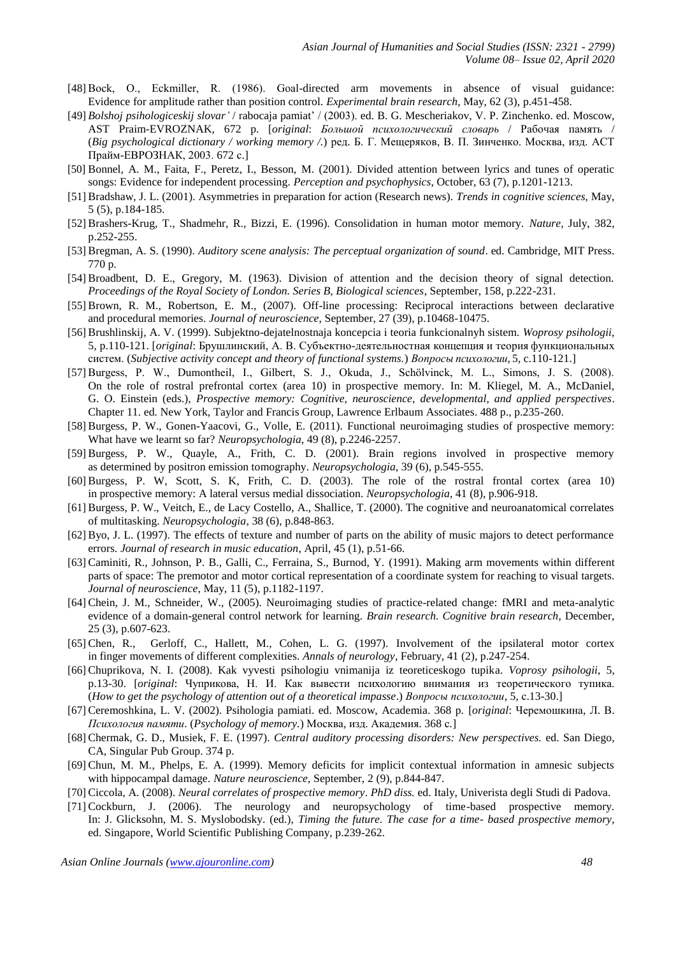- [48] Bock, O., Eckmiller, R. (1986). Goal-directed arm movements in absence of visual guidance: Evidence for amplitude rather than position control. *Experimental brain research,* May, 62 (3), p.451-458.
- [49] *Bolshoj psihologiceskij slovar'* / rabocaja pamiat' / (2003). ed. B. G. Mescheriakov, V. P. Zinchenko. ed. Moscow, AST Praim-EVROZNAK, 672 p. [*original*: *Большой психологический словарь* / Рабочая память / (*Big psychological dictionary / working memory /.*) ред. Б. Г. Мещеряков, В. П. Зинченко. Москва, изд. АСТ Прайм-ЕВРОЗНАК, 2003. 672 с.]
- [50] Bonnel, A. M., Faita, F., Peretz, I., Besson, M. (2001). Divided attention between lyrics and tunes of operatic songs: Evidence for independent processing. *Perception and psychophysics*, October, 63 (7), p.1201-1213.
- [51] Bradshaw, J. L. (2001). Asymmetries in preparation for action (Research news). *Trends in cognitive sciences*, May, 5 (5), p.184-185.
- [52] Brashers-Krug, T., Shadmehr, R., Bizzi, E. (1996). Consolidation in human motor memory. *Nature*, July, 382, p.252-255.
- [53] Bregman, A. S. (1990). *Auditory scene analysis: The perceptual organization of sound*. ed. Cambridge, MIT Press. 770 p.
- [54] Broadbent, D. E., Gregory, M. (1963). Division of attention and the decision theory of signal detection. *Proceedings of the Royal Society of London. Series B, Biological sciences*, September, 158, p.222-231.
- [55] Brown, R. M., Robertson, E. M., (2007). Off-line processing: Reciprocal interactions between declarative and procedural memories. *Journal of neuroscience*, September, 27 (39), p.10468-10475.
- [56] Brushlinskij, A. V. (1999). Subjektno-dejatelnostnaja koncepcia i teoria funkcionalnyh sistem. *Woprosy psihologii*, 5, p.110-121. [*original*: Брушлинский, А. В. Субъектно-деятельностная концепция и теория функциональных систем. (*Subjective activity concept and theory of functional systems.*) *Вопросы психологии,* 5, c.110-121.]
- [57] Burgess, P. W., Dumontheil, I., Gilbert, S. J., Okuda, J., Schӧlvinck, M. L., Simons, J. S. (2008). On the role of rostral prefrontal cortex (area 10) in prospective memory. In: M. Kliegel, M. A., McDaniel, G. O. Einstein (eds.), *Prospective memory: Cognitive, neuroscience, developmental, and applied perspectives*. Chapter 11. ed. New York, Taylor and Francis Group, Lawrence Erlbaum Associates. 488 p., p.235-260.
- [58] Burgess, P. W., Gonen-Yaacovi, G., Volle, E. (2011). Functional neuroimaging studies of prospective memory: What have we learnt so far? *Neuropsychologia*, 49 (8), p.2246-2257.
- [59] Burgess, P. W., Quayle, A., Frith, C. D. (2001). Brain regions involved in prospective memory as determined by positron emission tomography. *Neuropsychologia*, 39 (6), p.545-555.
- [60] Burgess, P. W, Scott, S. K, Frith, C. D. (2003). The role of the rostral frontal cortex (area 10) in prospective memory: A lateral versus medial dissociation. *Neuropsychologia*, 41 (8), p.906-918.
- [61] Burgess, P. W., Veitch, E., de Lacy Costello, A., Shallice, T. (2000). The cognitive and neuroanatomical correlates of multitasking. *Neuropsychologia*, 38 (6), p.848-863.
- [62] Byo, J. L. (1997). The effects of texture and number of parts on the ability of music majors to detect performance errors. *Journal of research in music education*, April, 45 (1), p.51-66.
- [63] Caminiti, R., Johnson, P. B., Galli, C., Ferraina, S., Burnod, Y. (1991). Making arm movements within different parts of space: The premotor and motor cortical representation of a coordinate system for reaching to visual targets. *Journal of neuroscience*, May, 11 (5), p.1182-1197.
- [64] Chein, J. M., Schneider, W., (2005). Neuroimaging studies of practice-related change: fMRI and meta-analytic evidence of a domain-general control network for learning. *Brain research. Cognitive brain research*, December, 25 (3), p.607-623.
- [65] Chen, R., Gerloff, C., Hallett, M., Cohen, L. G. (1997). Involvement of the ipsilateral motor cortex in finger movements of different complexities. *Annals of neurology*, February, 41 (2), p.247-254.
- [66] Chuprikova, N. I. (2008). Kak vyvesti psihologiu vnimanija iz teoreticeskogo tupika. *Voprosy psihologii*, 5, p.13-30. [*original*: Чуприкова, Н. И. Как вывести психологию внимания из теоретического тупика. (*How to get the psychology of attention out of a theoretical impasse*.) *Вопросы психологии*, 5, с.13-30.]
- [67] Ceremoshkina, L. V. (2002). Psihologia pamiati. ed. Moscow, Academia. 368 p. [*original*: Черемошкина, Л. В. *Психология памяти*. (*Psychology of memory.*) Москва, изд. Академия. 368 с*.*]
- [68] Chermak, G. D., Musiek, F. E. (1997). *Central auditory processing disorders: New perspectives.* ed. San Diego, CA, Singular Pub Group. 374 p.
- [69] Chun, M. M., Phelps, E. A. (1999). Memory deficits for implicit contextual information in amnesic subjects with hippocampal damage. *Nature neuroscience*, September, 2 (9), p.844-847.
- [70] Ciccola, A. (2008). *Neural correlates of prospective memory*. *PhD diss.* ed. Italy, Univerista degli Studi di Padova.
- [71] Cockburn, J. (2006). The neurology and neuropsychology of time-based prospective memory*.* In: J. Glicksohn, M. S. Myslobodsky. (ed.), *Timing the future. The case for a time- based prospective memory,*  ed. Singapore, World Scientific Publishing Company, p.239-262.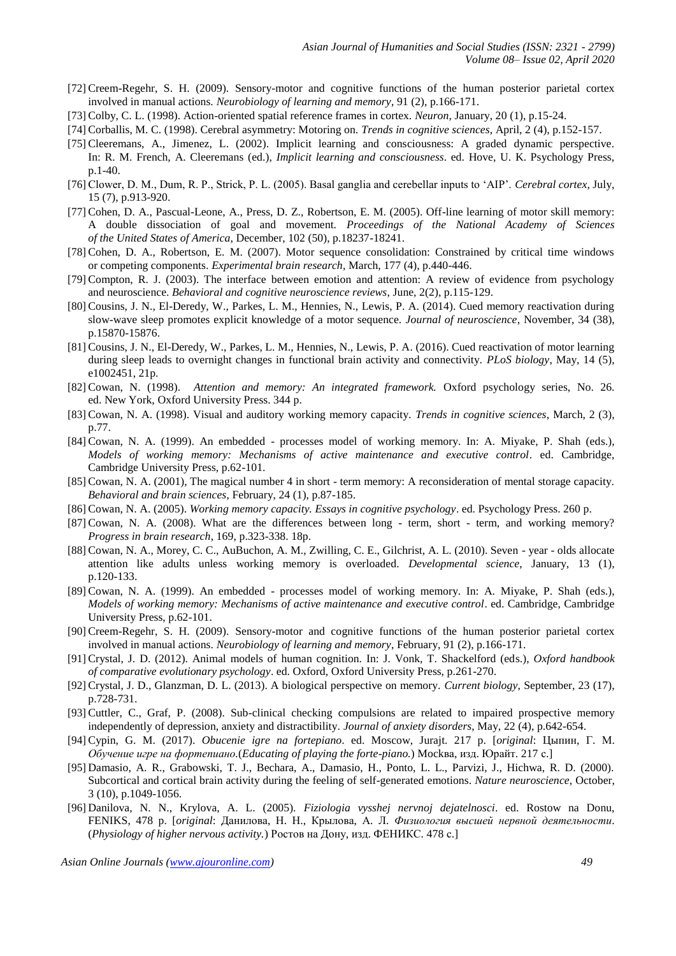- [72] Creem-Regehr, S. H. (2009). Sensory-motor and cognitive functions of the human posterior parietal cortex involved in manual actions. *Neurobiology of learning and memory*, 91 (2), p.166-171.
- [73] Colby, C. L. (1998). Action-oriented spatial reference frames in cortex. *Neuron*, January, 20 (1), p.15-24.
- [74] Corballis, M. C. (1998). Cerebral asymmetry: Motoring on. *Trends in cognitive sciences*, April, 2 (4), p.152-157.
- [75] Cleeremans, A., Jimenez, L. (2002). Implicit learning and consciousness: A graded dynamic perspective. In: R. M. French, A. Cleeremans (ed.), *Implicit learning and consciousness*. ed. Hove, U. K. Psychology Press, p.1-40.
- [76] Clower, D. M., Dum, R. P., Strick, P. L. (2005). Basal ganglia and cerebellar inputs to 'AIP'. *Cerebral cortex*, July, 15 (7), p.913-920.
- [77] Cohen, D. A., Pascual-Leone, A., Press, D. Z., Robertson, E. M. (2005). Off-line learning of motor skill memory: A double dissociation of goal and movement. *Proceedings of the National Academy of Sciences of the United States of America*, December, 102 (50), p.18237-18241.
- [78] Cohen, D. A., Robertson, E. M. (2007). Motor sequence consolidation: Constrained by critical time windows or competing components. *Experimental brain research*, March, 177 (4), p.440-446.
- [79] Compton, R. J. (2003). The interface between emotion and attention: A review of evidence from psychology and neuroscience. *Behavioral and cognitive neuroscience reviews*, June, 2(2), p.115-129.
- [80] Cousins, J. N., El-Deredy, W., Parkes, L. M., Hennies, N., Lewis, P. A. (2014). Cued memory reactivation during slow-wave sleep promotes explicit knowledge of a motor sequence. *Journal of neuroscience*, November, 34 (38), p.15870-15876.
- [81] Cousins, J. N., El-Deredy, W., Parkes, L. M., Hennies, N., Lewis, P. A. (2016). Cued reactivation of motor learning during sleep leads to overnight changes in functional brain activity and connectivity. *PLoS biology*, May, 14 (5), e1002451, 21p.
- [82] Cowan, N. (1998). *Attention and memory: An integrated framework.* Oxford psychology series, No. 26. ed. New York, Oxford University Press. 344 p.
- [83] Cowan, N. A. (1998). Visual and auditory working memory capacity. *Trends in cognitive sciences*, March, 2 (3), p.77.
- [84] Cowan, N. A. (1999). An embedded processes model of working memory. In: A. Miyake, P. Shah (eds.), *Models of working memory: Mechanisms of active maintenance and executive control*. ed. Cambridge, Cambridge University Press, p.62-101.
- [85] Cowan, N. A. (2001), The magical number 4 in short term memory: A reconsideration of mental storage capacity. *Behavioral and brain sciences*, February, 24 (1), p.87-185.
- [86] Cowan, N. A. (2005). *Working memory capacity. Essays in cognitive psychology*. ed. Psychology Press. 260 p.
- [87] Cowan, N. A. (2008). What are the differences between long term, short term, and working memory? *Progress in brain research*, 169, p.323-338. 18p.
- [88] Cowan, N. A., Morey, C. C., AuBuchon, A. M., Zwilling, C. E., Gilchrist, A. L. (2010). Seven year olds allocate attention like adults unless working memory is overloaded. *Developmental science*, January, 13 (1), p.120-133.
- [89] Cowan, N. A. (1999). An embedded processes model of working memory. In: A. Miyake, P. Shah (eds.), *Models of working memory: Mechanisms of active maintenance and executive control*. ed. Cambridge, Cambridge University Press, p.62-101.
- [90] Creem-Regehr, S. H. (2009). Sensory-motor and cognitive functions of the human posterior parietal cortex involved in manual actions. *Neurobiology of learning and memory*, February, 91 (2), p.166-171.
- [91] Crystal, J. D. (2012). Animal models of human cognition. In: J. Vonk, T. Shackelford (eds.), *Oxford handbook of comparative evolutionary psychology*. ed. Oxford, Oxford University Press, p.261-270.
- [92] Crystal, J. D., Glanzman, D. L. (2013). A biological perspective on memory. *Current biology*, September, 23 (17), p.728-731.
- [93] Cuttler, C., Graf, P. (2008). Sub-clinical checking compulsions are related to impaired prospective memory independently of depression, anxiety and distractibility. *Journal of anxiety disorders*, May, 22 (4), p.642-654.
- [94] Cypin, G. M. (2017). *Obucenie igre na fortepiano*. ed. Moscow, Jurajt. 217 p. [*original*: Цыпин, Г. М. *Обучение игре на фортепиано.*(*Educating of playing the forte-piano.*) Mockва, изд. Юрайт. 217 с.]
- [95] Damasio, A. R., Grabowski, T. J., Bechara, A., Damasio, H., Ponto, L. L., Parvizi, J., Hichwa, R. D. (2000). Subcortical and cortical brain activity during the feeling of self-generated emotions. *Nature neuroscience*, October, 3 (10), p.1049-1056.
- [96] Danilova, N. N., Krylova, A. L. (2005). *Fiziologia vysshej nervnoj dejatelnosci*. ed. Rostow na Donu, FENIKS, 478 p. [*original*: Данилова, Н. Н., Крылова, А. Л. *Физиология высшей нервной деятельности*. (*Physiology of higher nervous activity.*) Ростов на Дону, изд. ФЕНИКС. 478 с.]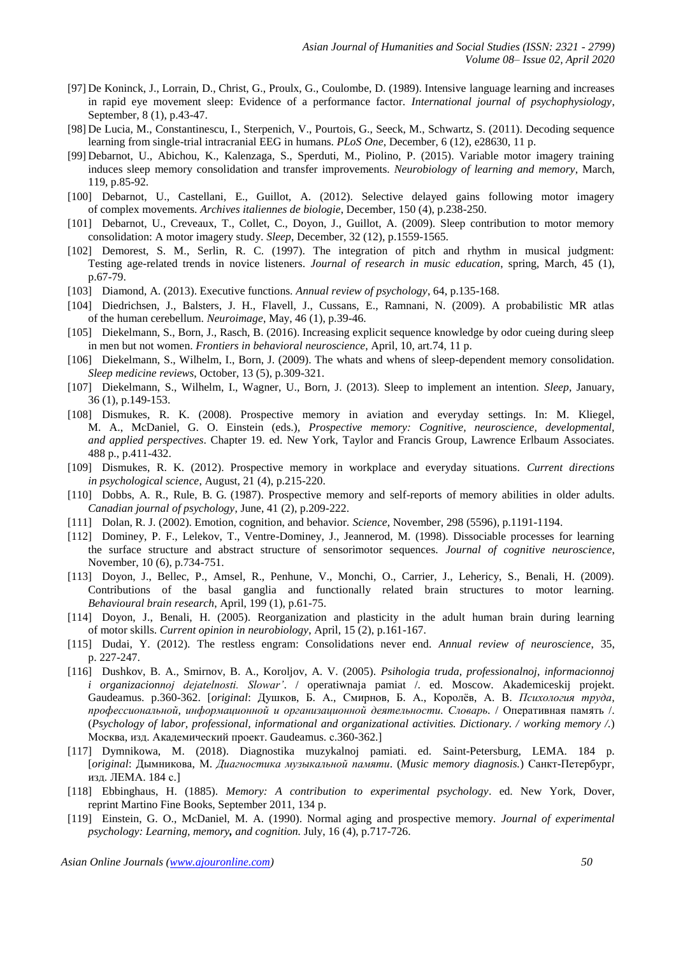- [97] De Koninck, J., Lorrain, D., Christ, G., Proulx, G., Coulombe, D. (1989). Intensive language learning and increases in rapid eye movement sleep: Evidence of a performance factor. *International journal of psychophysiology*, September, 8 (1), p.43-47.
- [98] De Lucia, M., Constantinescu, I., Sterpenich, V., Pourtois, G., Seeck, M., Schwartz, S. (2011). Decoding sequence learning from single-trial intracranial EEG in humans. *PLoS One*, December, 6 (12), e28630, 11 p.
- [99] Debarnot, U., Abichou, K., Kalenzaga, S., Sperduti, M., Piolino, P. (2015). Variable motor imagery training induces sleep memory consolidation and transfer improvements. *Neurobiology of learning and memory*, March, 119, p.85-92.
- [100] Debarnot, U., Castellani, E., Guillot, A. (2012). Selective delayed gains following motor imagery of complex movements. *Archives italiennes de biologie*, December, 150 (4), p.238-250.
- [101] Debarnot, U., Creveaux, T., Collet, C., Doyon, J., Guillot, A. (2009). Sleep contribution to motor memory consolidation: A motor imagery study. *Sleep*, December, 32 (12), p.1559-1565.
- [102] Demorest, S. M., Serlin, R. C. (1997). The integration of pitch and rhythm in musical judgment: Testing age-related trends in novice listeners. *Journal of research in music education*, spring, March, 45 (1), p.67-79.
- [103] Diamond, A. (2013). Executive functions. *Annual review of psychology*, 64, p.135-168.
- [104] Diedrichsen, J., Balsters, J. H., Flavell, J., Cussans, E., Ramnani, N. (2009). A probabilistic MR atlas of the human cerebellum. *Neuroimage*, May, 46 (1), p.39-46.
- [105] Diekelmann, S., Born, J., Rasch, B. (2016). Increasing explicit sequence knowledge by odor cueing during sleep in men but not women. *Frontiers in behavioral neuroscience*, April, 10, art.74, 11 p.
- [106] Diekelmann, S., Wilhelm, I., Born, J. (2009). The whats and whens of sleep-dependent memory consolidation. *Sleep medicine reviews*, October, 13 (5), p.309-321.
- [107] Diekelmann, S., Wilhelm, I., Wagner, U., Born, J. (2013). Sleep to implement an intention. *Sleep*, January, 36 (1), p.149-153.
- [108] Dismukes, R. K. (2008). Prospective memory in aviation and everyday settings. In: M. Kliegel, M. A., McDaniel, G. O. Einstein (eds.), *Prospective memory: Cognitive, neuroscience, developmental, and applied perspectives*. Chapter 19. ed. New York, Taylor and Francis Group, Lawrence Erlbaum Associates. 488 p., p.411-432.
- [109] Dismukes, R. K. (2012). Prospective memory in workplace and everyday situations. *Current directions in psychological science*, August, 21 (4), p.215-220.
- [110] Dobbs, A. R., Rule, B. G. (1987). Prospective memory and self-reports of memory abilities in older adults. *Canadian journal of psychology*, June, 41 (2), p.209-222.
- [111] Dolan, R. J. (2002). Emotion, cognition, and behavior. *Science*, November, 298 (5596), p.1191-1194.
- [112] Dominey, P. F., Lelekov, T., Ventre-Dominey, J., Jeannerod, M. (1998). Dissociable processes for learning the surface structure and abstract structure of sensorimotor sequences. *Journal of cognitive neuroscience*, November, 10 (6), p.734-751.
- [113] Doyon, J., Bellec, P., Amsel, R., Penhune, V., Monchi, O., Carrier, J., Lehericy, S., Benali, H. (2009). Contributions of the basal ganglia and functionally related brain structures to motor learning. *Behavioural brain research*, April, 199 (1), p.61-75.
- [114] Doyon, J., Benali, H. (2005). Reorganization and plasticity in the adult human brain during learning of motor skills. *Current opinion in neurobiology*, April, 15 (2), p.161-167.
- [115] Dudai, Y. (2012). The restless engram: Consolidations never end. *Annual review of neuroscience*, 35, p. 227-247.
- [116] Dushkov, B. A., Smirnov, B. A., Koroljov, A. V. (2005). *Psihologia truda, professionalnoj, informacionnoj i organizacionnoj dejatelnosti. Slowar'*. / operatiwnaja pamiat /. ed. Moscow. Akademiceskij projekt. Gaudeamus. p.360-362. [*original*: Душков, Б. А., Смирнов, Б. А., Королёв, А. В. *Психология труда, профессиональной, информационной и организационной деятельности. Словарь.* / Оперативная память /. (*Psychology of labor, professional, informational and organizational activities. Dictionary. / working memory /.*) Москва, изд. Академический проект. Gaudeamus. с.360-362.]
- [117] Dymnikowa, M. (2018). Diagnostika muzykalnoj pamiati. ed. Saint-Petersburg, LEMA. 184 p. [*original*: Дымникова, М. *Диагностика музыкальной памяти*. (*Music memory diagnosis.*) Санкт-Петербург, изд. ЛЕМА. 184 с.]
- [118] Ebbinghaus, H. (1885). *Memory: A contribution to experimental psychology*. ed. New York, Dover, reprint Martino Fine Books, September 2011, 134 p.
- [119] Einstein, G. O., McDaniel, M. A. (1990). Normal aging and prospective memory*. Journal of experimental psychology: Learning, memory, and cognition.* July, 16 (4), p.717-726.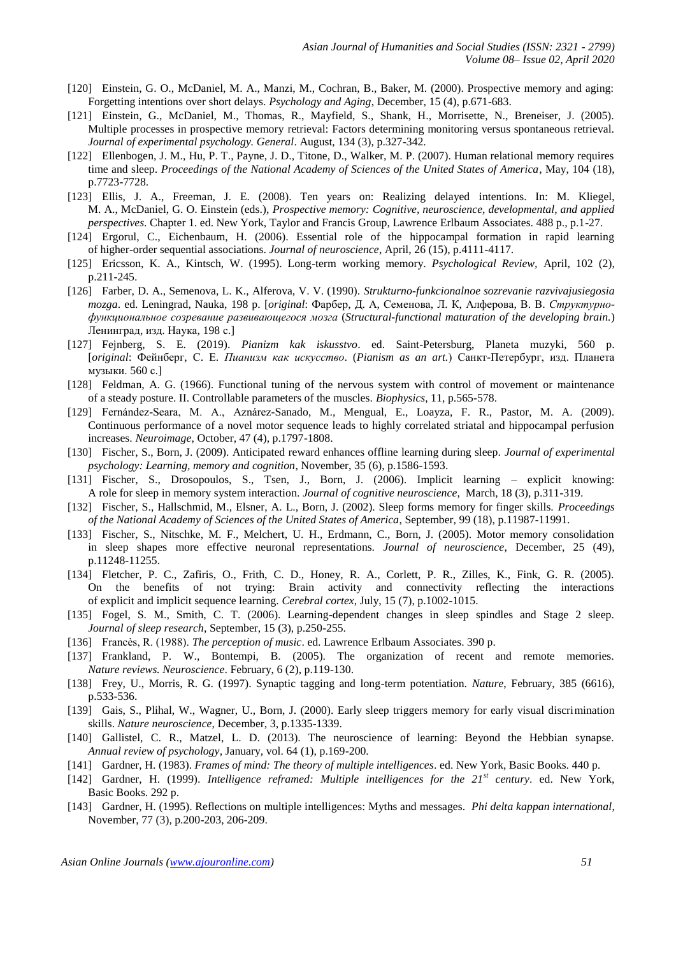- [120] Einstein, G. O., McDaniel, M. A., Manzi, M., Cochran, B., Baker, M. (2000). Prospective memory and aging: Forgetting intentions over short delays. *Psychology and Aging*, December, 15 (4), p.671-683.
- [121] Einstein, G., McDaniel, M., Thomas, R., Mayfield, S., Shank, H., Morrisette, N., Breneiser, J. (2005). Multiple processes in prospective memory retrieval: Factors determining monitoring versus spontaneous retrieval. *Journal of experimental psychology. General*. August, 134 (3), p.327-342.
- [122] Ellenbogen, J. M., Hu, P. T., Payne, J. D., Titone, D., Walker, M. P. (2007). Human relational memory requires time and sleep. *Proceedings of the National Academy of Sciences of the United States of America*, May, 104 (18), p.7723-7728.
- [123] Ellis, J. A., Freeman, J. E. (2008). Ten years on: Realizing delayed intentions. In: M. Kliegel, M. A., McDaniel, G. O. Einstein (eds.), *Prospective memory: Cognitive, neuroscience, developmental, and applied perspectives*. Chapter 1. ed. New York, Taylor and Francis Group, Lawrence Erlbaum Associates. 488 p., p.1-27.
- [124] Ergorul, C., Eichenbaum, H. (2006). Essential role of the hippocampal formation in rapid learning of higher-order sequential associations. *Journal of neuroscience*, April, 26 (15), p.4111-4117.
- [125] Ericsson, K. A., Kintsch, W. (1995). Long-term working memory. *Psychological Review,* April, 102 (2), p.211-245.
- [126] Farber, D. A., Semenova, L. K., Alferova, V. V. (1990). *Strukturno-funkcionalnoe sozrevanie razvivajusiegosia mozga*. ed. Leningrad, Nauka, 198 p. [*original*: Фарбер, Д. А, Семенова, Л. К, Алферова, В. В. *Структурнофункциональное созревание развивающегося мозга* (*Structural-functional maturation of the developing brain.*) Ленинград, изд. Наука, 198 с.]
- [127] Fejnberg, S. E. (2019). *Pianizm kak iskusstvo*. ed. Saint-Petersburg, Planeta muzyki, 560 p. [*original*: Фейнберг, С. Е. *Пианизм как искусство*. (*Pianism as an art.*) Санкт-Петербург, изд. Планета музыки. 560 с.]
- [128] Feldman, A. G. (1966). Functional tuning of the nervous system with control of movement or maintenance of a steady posture. II. Controllable parameters of the muscles. *Biophysics*, 11, p.565-578.
- [129] Fernández-Seara, M. A., Aznárez-Sanado, M., Mengual, E., Loayza, F. R., Pastor, M. A. (2009). Continuous performance of a novel motor sequence leads to highly correlated striatal and hippocampal perfusion increases. *Neuroimage*, October, 47 (4), p.1797-1808.
- [130] Fischer, S., Born, J. (2009). Anticipated reward enhances offline learning during sleep. *Journal of experimental psychology: Learning, memory and cognition*, November, 35 (6), p.1586-1593.
- [131] Fischer, S., Drosopoulos, S., Tsen, J., Born, J. (2006). Implicit learning explicit knowing: A role for sleep in memory system interaction. *Journal of cognitive neuroscience*, March, 18 (3), p.311-319.
- [132] Fischer, S., Hallschmid, M., Elsner, A. L., Born, J. (2002). Sleep forms memory for finger skills. *Proceedings of the National Academy of Sciences of the United States of America*, September, 99 (18), p.11987-11991.
- [133] Fischer, S., Nitschke, M. F., Melchert, U. H., Erdmann, C., Born, J. (2005). Motor memory consolidation in sleep shapes more effective neuronal representations. *Journal of neuroscience*, December, 25 (49), p.11248-11255.
- [134] Fletcher, P. C., Zafiris, O., Frith, C. D., Honey, R. A., Corlett, P. R., Zilles, K., Fink, G. R. (2005). On the benefits of not trying: Brain activity and connectivity reflecting the interactions of explicit and implicit sequence learning. *Cerebral cortex*, July, 15 (7), p.1002-1015.
- [135] Fogel, S. M., Smith, C. T. (2006). Learning-dependent changes in sleep spindles and Stage 2 sleep. *Journal of sleep research*, September, 15 (3), p.250-255.
- [136] Francès, R. (1988). *The perception of music*. ed. Lawrence Erlbaum Associates. 390 p.
- [137] Frankland, P. W., Bontempi, B. (2005). The organization of recent and remote memories. *Nature reviews. Neuroscience*. February, 6 (2), p.119-130.
- [138] Frey, U., Morris, R. G. (1997). Synaptic tagging and long-term potentiation. *Nature*, February, 385 (6616), p.533-536.
- [139] Gais, S., Plihal, W., Wagner, U., Born, J. (2000). Early sleep triggers memory for early visual discrimination skills. *Nature neuroscience*, December, 3, p.1335-1339.
- [140] Gallistel, C. R., Matzel, L. D. (2013). The neuroscience of learning: Beyond the Hebbian synapse. *Annual review of psychology*, January, vol. 64 (1), p.169-200.
- [141] Gardner, H. (1983). *Frames of mind: The theory of multiple intelligences*. ed. New York, Basic Books. 440 p.
- [142] Gardner, H. (1999). *Intelligence reframed: Multiple intelligences for the 21st century*. ed. New York, Basic Books. 292 p.
- [143] Gardner, H. (1995). Reflections on multiple intelligences: Myths and messages. *Phi delta kappan international*, November, 77 (3), p.200-203, 206-209.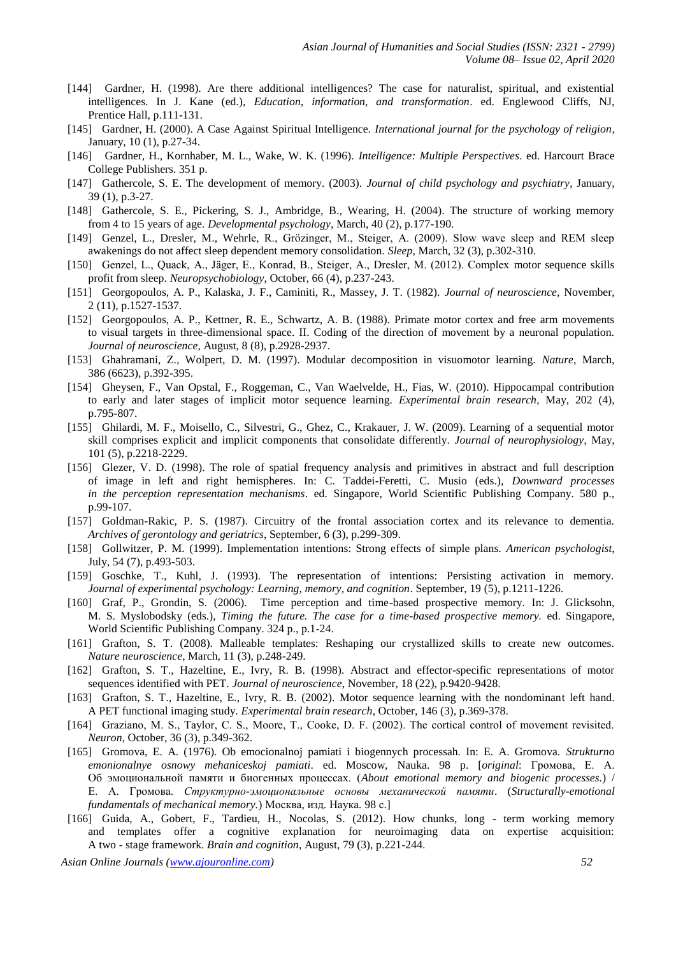- [144] Gardner, H. (1998). Are there additional intelligences? The case for naturalist, spiritual, and existential intelligences. In J. Kane (ed.), *Education, information, and transformation*. ed. Englewood Cliffs, NJ, Prentice Hall, p.111-131.
- [145] Gardner, H. (2000). A Case Against Spiritual Intelligence. *International journal for the psychology of religion*, January, 10 (1), p.27-34.
- [146] Gardner, H., Kornhaber, M. L., Wake, W. K. (1996). *Intelligence: Multiple Perspectives*. ed. Harcourt Brace College Publishers. 351 p.
- [147] Gathercole, S. E. The development of memory. (2003). *Journal of child psychology and psychiatry*, January, 39 (1), p.3-27.
- [148] Gathercole, S. E., Pickering, S. J., Ambridge, B., Wearing, H. (2004). The structure of working memory from 4 to 15 years of age. *Developmental psychology*, March, 40 (2), p.177-190.
- [149] Genzel, L., Dresler, M., Wehrle, R., Grözinger, M., Steiger, A. (2009). Slow wave sleep and REM sleep awakenings do not affect sleep dependent memory consolidation. *Sleep*, March, 32 (3), p.302-310.
- [150] Genzel, L., Quack, A., Jäger, E., Konrad, B., Steiger, A., Dresler, M. (2012). Complex motor sequence skills profit from sleep. *Neuropsychobiology*, October, 66 (4), p.237-243.
- [151] Georgopoulos, A. P., Kalaska, J. F., Caminiti, R., Massey, J. T. (1982). *Journal of neuroscience,* November, 2 (11), p.1527-1537.
- [152] Georgopoulos, A. P., Kettner, R. E., Schwartz, A. B. (1988). Primate motor cortex and free arm movements to visual targets in three-dimensional space. II. Coding of the direction of movement by a neuronal population. *Journal of neuroscience*, August, 8 (8), p.2928-2937.
- [153] Ghahramani, Z., Wolpert, D. M. (1997). Modular decomposition in visuomotor learning. *Nature*, March, 386 (6623), p.392-395.
- [154] Gheysen, F., Van Opstal, F., Roggeman, C., Van Waelvelde, H., Fias, W. (2010). Hippocampal contribution to early and later stages of implicit motor sequence learning. *Experimental brain research*, May, 202 (4), p.795-807.
- [155] Ghilardi, M. F., Moisello, C., Silvestri, G., Ghez, C., Krakauer, J. W. (2009). Learning of a sequential motor skill comprises explicit and implicit components that consolidate differently. *Journal of neurophysiology*, May, 101 (5), p.2218-2229.
- [156] Glezer, V. D. (1998). The role of spatial frequency analysis and primitives in abstract and full description of image in left and right hemispheres. In: C. Taddei-Feretti, C. Musio (eds.), *Downward processes in the perception representation mechanisms*. ed. Singapore, World Scientific Publishing Company. 580 p., p.99-107.
- [157] Goldman-Rakic, P. S. (1987). Circuitry of the frontal association cortex and its relevance to dementia. *Archives of gerontology and geriatrics*, September, 6 (3), p.299-309.
- [158] Gollwitzer, P. M. (1999). Implementation intentions: Strong effects of simple plans. *American psychologist*, July, 54 (7), p.493-503.
- [159] Goschke, T., Kuhl, J. (1993). The representation of intentions: Persisting activation in memory. *Journal of experimental psychology: Learning, memory, and cognition*. September, 19 (5), p.1211-1226.
- [160] Graf, P., Grondin, S. (2006). Time perception and time-based prospective memory*.* In: J. Glicksohn, M. S. Myslobodsky (eds.), *Timing the future. The case for a time-based prospective memory.* ed. Singapore, World Scientific Publishing Company. 324 p., p.1-24.
- [161] Grafton, S. T. (2008). Malleable templates: Reshaping our crystallized skills to create new outcomes. *Nature neuroscience*, March, 11 (3), p.248-249.
- [162] Grafton, S. T., Hazeltine, E., Ivry, R. B. (1998). Abstract and effector-specific representations of motor sequences identified with PET. *Journal of neuroscience*, November, 18 (22), p.9420-9428.
- [163] Grafton, S. T., Hazeltine, E., Ivry, R. B. (2002). Motor sequence learning with the nondominant left hand. A PET functional imaging study. *Experimental brain research*, October, 146 (3), p.369-378.
- [164] Graziano, M. S., Taylor, C. S., Moore, T., Cooke, D. F. (2002). The сortical сontrol of movement revisited. *Neuron*, October, 36 (3), p.349-362.
- [165] Gromova, E. A. (1976). Ob emocionalnoj pamiati i biogennych processah. In: E. A. Gromova. *Strukturno emonionalnye osnowy mehaniceskoj pamiati*. ed. Moscow, Nauka. 98 p. [*original*: Громова, Е. А. Об эмоциональной памяти и биогенных процессах. (*About emotional memory and biogenic processes.*) / Е. А. Громова. *Структурно-эмоциональные основы механической памяти*. (*Structurally-emotional fundamentals of mechanical memory.*) Москва, изд. Наука. 98 с.]
- [166] Guida, A., Gobert, F., Tardieu, H., Nocolas, S. (2012). How chunks, long term working memory and templates offer a cognitive explanation for neuroimaging data on expertise acquisition: A two - stage framework. *Brain and cognition*, August, 79 (3), p.221-244.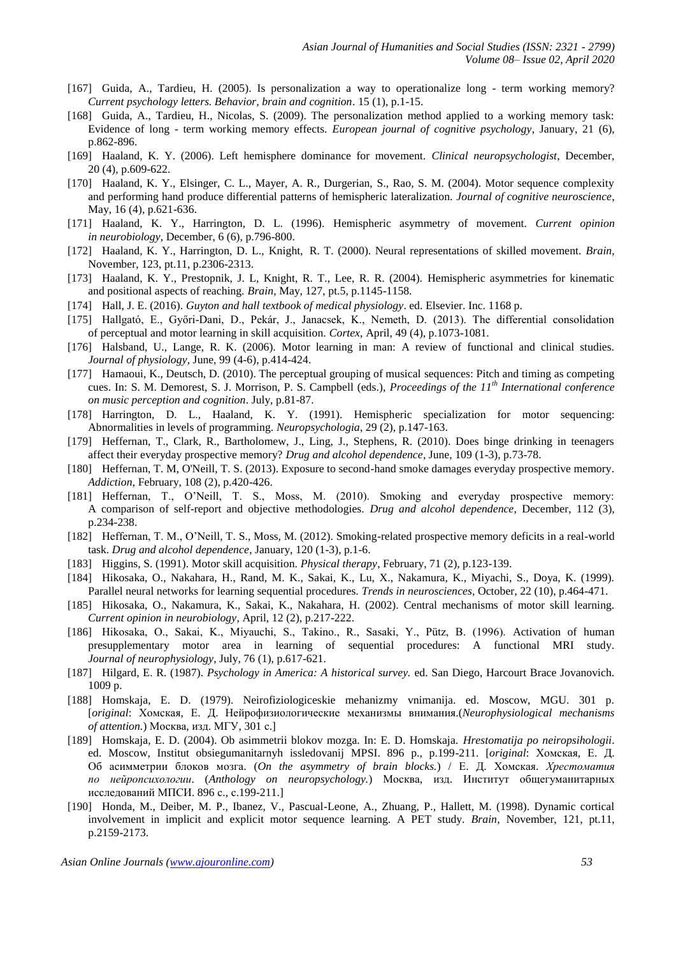- [167] Guida, A., Tardieu, H. (2005). Is personalization a way to operationalize long term working memory? *Current psychology letters. Behavior, brain and cognition*. 15 (1), p.1-15.
- [168] Guida, A., Tardieu, H., Nicolas, S. (2009). The personalization method applied to a working memory task: Evidence of long - term working memory effects. *European journal of cognitive psychology*, January, 21 (6), p.862-896.
- [169] Haaland, K. Y. (2006). Left hemisphere dominance for movement. *Clinical neuropsychologist*, December, 20 (4), p.609-622.
- [170] Haaland, K. Y., Elsinger, C. L., Mayer, A. R., Durgerian, S., Rao, S. M. (2004). Motor sequence complexity and performing hand produce differential patterns of hemispheric lateralization. *Journal of cognitive neuroscience*, May, 16 (4), p.621-636.
- [171] Haaland, K. Y., Harrington, D. L. (1996). Hemispheric asymmetry of movement. *Current opinion in neurobiology*, December, 6 (6), p.796-800.
- [172] Haaland, K. Y., Harrington, D. L., Knight, R. T. (2000). Neural representations of skilled movement. *Brain*, November, 123, pt.11, p.2306-2313.
- [173] Haaland, K. Y., Prestopnik, J. L, Knight, R. T., Lee, R. R. (2004). Hemispheric asymmetries for kinematic and positional aspects of reaching. *Brain,* May, 127, pt.5, p.1145-1158.
- [174] Hall, J. E. (2016). *Guyton and hall textbook of medical physiology*. ed. Elsevier. Inc. 1168 p.
- [175] Hallgató, E., Győri-Dani, D., Pekár, J., Janacsek, K., Nemeth, D. (2013). The differential consolidation of perceptual and motor learning in skill acquisition. *Cortex*, April, 49 (4), p.1073-1081.
- [176] Halsband, U., Lange, R. K. (2006). Motor learning in man: A review of functional and clinical studies. *Journal of physiology,* June, 99 (4-6), p.414-424.
- [177] Hamaoui, K., Deutsch, D. (2010). The perceptual grouping of musical sequences: Pitch and timing as competing cues. In: S. M. Demorest, S. J. Morrison, P. S. Campbell (eds.), *Proceedings of the 11th International conference on music perception and cognition*. July, p.81-87.
- [178] Harrington, D. L., Haaland, K. Y. (1991). Hemispheric specialization for motor sequencing: Abnormalities in levels of programming. *Neuropsychologia*, 29 (2), p.147-163.
- [179] Heffernan, T., Clark, R., Bartholomew, J., Ling, J., Stephens, R. (2010). Does binge drinking in teenagers affect their everyday prospective memory? *Drug and alcohol dependence*, June, 109 (1-3), p.73-78.
- [180] Heffernan, T. M, O'Neill, T. S. (2013). Exposure to second-hand smoke damages everyday prospective memory. *Addiction*, February, 108 (2), p.420-426.
- [181] Heffernan, T., O'Neill, T. S., Moss, M. (2010). Smoking and everyday prospective memory: A comparison of self-report and objective methodologies. *Drug and alcohol dependence*, December, 112 (3), p.234-238.
- [182] Heffernan, T. M., O'Neill, T. S., Moss, M. (2012). Smoking-related prospective memory deficits in a real-world task. *Drug and alcohol dependence*, January, 120 (1-3), p.1-6.
- [183] Higgins, S. (1991). Motor skill acquisition. *Physical therapy*, February, 71 (2), p.123-139.
- [184] Hikosaka, O., Nakahara, H., Rand, M. K., Sakai, K., Lu, X., Nakamura, K., Miyachi, S., Doya, K. (1999). Parallel neural networks for learning sequential procedures. *Trends in neurosciences*, October, 22 (10), p.464-471.
- [185] Hikosaka, O., Nakamura, K., Sakai, K., Nakahara, H. (2002). Central mechanisms of motor skill learning. *Current opinion in neurobiology*, April, 12 (2), p.217-222.
- [186] Hikosaka, O., Sakai, K., Miyauchi, S., Takino., R., Sasaki, Y., Pütz, B. (1996). Activation of human presupplementary motor area in learning of sequential procedures: A functional MRI study. *Journal of neurophysiology*, July, 76 (1), p.617-621.
- [187] Hilgard, E. R. (1987). *Psychology in America: A historical survey.* ed. San Diego, Harcourt Brace Jovanovich. 1009 p.
- [188] Homskaja, E. D. (1979). Neirofiziologiceskie mehanizmy vnimanija. ed. Moscow, MGU. 301 p. [*original*: Хомская, Е. Д. Нейрофизиологические механизмы внимания.(*Neurophysiological mechanisms of attention.*) Москва, изд. МГУ, 301 с.]
- [189] Homskaja, E. D. (2004). Ob asimmetrii blokov mozga. In: E. D. Homskaja. *Hrestomatija po neiropsihologii*. ed. Moscow, Institut obsiegumanitarnyh issledovanij MPSI. 896 p., p.199-211. [*original*: Хомская, Е. Д. Об асимметрии блоков мозга. (*On the asymmetry of brain blocks.*) / Е. Д. Хомская. *Хрестоматия по нейропсихологии*. (*Anthology on neuropsychology.*) Москва, изд. Институт общегуманитарных исследований МПСИ. 896 с., с.199-211.]
- [190] Honda, M., Deiber, M. P., Ibanez, V., Pascual-Leone, A., Zhuang, P., Hallett, M. (1998). Dynamic cortical involvement in implicit and explicit motor sequence learning. A PET study. *Brain,* November, 121, pt.11, p.2159-2173.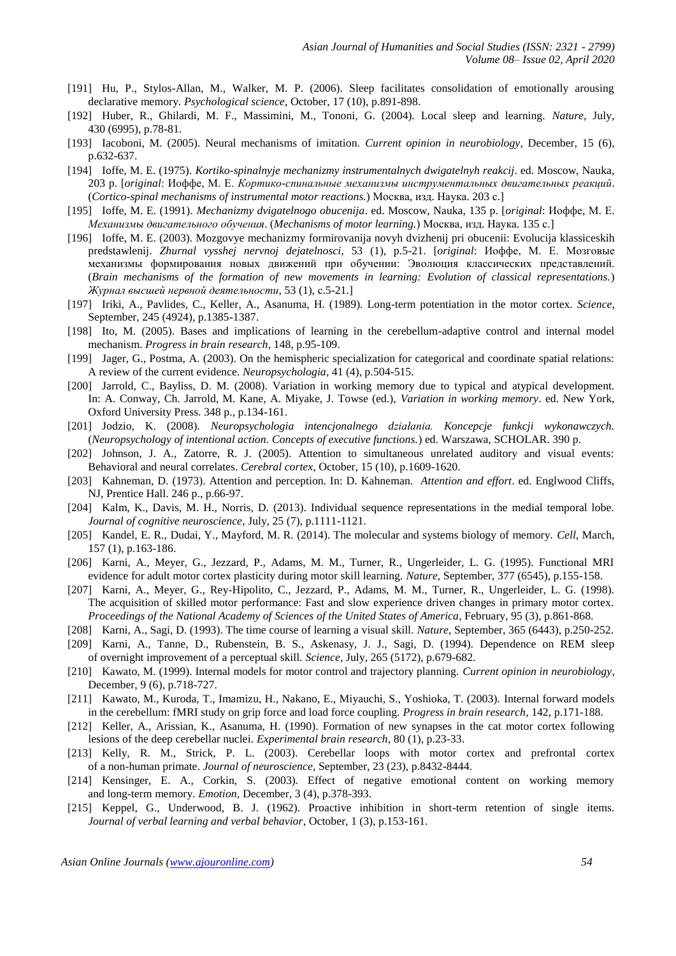- [191] Hu, P., Stylos-Allan, M., Walker, M. P. (2006). Sleep facilitates consolidation of emotionally arousing declarative memory. *Psychological science*, October, 17 (10), p.891-898.
- [192] Huber, R., Ghilardi, M. F., Massimini, M., Tononi, G. (2004). Local sleep and learning. *Nature*, July, 430 (6995), p.78-81.
- [193] Iacoboni, M. (2005). Neural mechanisms of imitation. *Current opinion in neurobiology*, December, 15 (6), p.632-637.
- [194] Ioffe, M. E. (1975). *Kortiko-spinalnyje mechanizmy instrumentalnych dwigatelnyh reakcij*. ed. Moscow, Nauka, 203 p. [*original*: Иоффе, М. Е. *Кортико-спинальные механизмы инструментальных двигательных реакций*. (*Cortico-spinal mechanisms of instrumental motor reactions.*) Москва, изд. Наука. 203 с.]
- [195] Ioffe, M. E. (1991). *Mechanizmy dvigatelnogo obucenija*. ed. Moscow, Nauka, 135 p. [*original*: Иоффе, М. Е. *Механизмы двигательного обучения*. (*Mechanisms of motor learning.*) Москва, изд. Наука. 135 с.]
- [196] Ioffe, M. E. (2003). Mozgovye mechanizmy formirovanija novyh dvizhenij pri obucenii: Evolucija klassiceskih predstawlenij. *Zhurnal vysshej nervnoj dejatelnosci*, 53 (1), p.5-21. [*original*: Иоффе, М. Е. Мозговые механизмы формирования новых движений при обучении: Эволюция классических представлений. (*Brain mechanisms of the formation of new movements in learning: Evolution of classical representations.*) *Журнал высшей нервной деятельности*, 53 (1), с.5-21.]
- [197] Iriki, A., Pavlides, C., Keller, A., Asanuma, H. (1989). Long-term potentiation in the motor cortex. *Science*, September, 245 (4924), p.1385-1387.
- [198] Ito, M. (2005). Bases and implications of learning in the cerebellum-adaptive control and internal model mechanism. *Progress in brain research*, 148, p.95-109.
- [199] Jager, G., Postma, A. (2003). On the hemispheric specialization for categorical and coordinate spatial relations: A review of the current evidence. *Neuropsychologia*, 41 (4), p.504-515.
- [200] Jarrold, C., Bayliss, D. M. (2008). Variation in working memory due to typical and atypical development. In: A. Conway, Ch. Jarrold, M. Kane, A. Miyake, J. Towse (ed.), *Variation in working memory*. ed. New York, Oxford University Press. 348 p., p.134-161.
- [201] Jodzio, K. (2008). *Neuropsychologia intencjonalnego działania. Koncepcje funkcji wykonawczych.*  (*Neuropsychology of intentional action. Concepts of executive functions.*) ed. Warszawa, SCHOLAR. 390 p.
- [202] Johnson, J. A., Zatorre, R. J. (2005). Attention to simultaneous unrelated auditory and visual events: Behavioral and neural correlates. *Cerebral cortex*, October, 15 (10), p.1609-1620.
- [203] Kahneman, D. (1973). Attention and perception. In: D. Kahneman. *Attention and effort*. ed. Englwood Cliffs, NJ, Prentice Hall. 246 p., p.66-97.
- [204] Kalm, K., Davis, M. H., Norris, D. (2013). Individual sequence representations in the medial temporal lobe. *Journal of cognitive neuroscience*, July, 25 (7), p.1111-1121.
- [205] Kandel, E. R., Dudai, Y., Mayford, M. R. (2014). The molecular and systems biology of memory. *Cell*, March, 157 (1), p.163-186.
- [206] Karni, A., Meyer, G., Jezzard, P., Adams, M. M., Turner, R., Ungerleider, L. G. (1995). Functional MRI evidence for adult motor cortex plasticity during motor skill learning. *Nature*, September, 377 (6545), p.155-158.
- [207] Karni, A., Meyer, G., Rey-Hipolito, C., Jezzard, P., Adams, M. M., Turner, R., Ungerleider, L. G. (1998). The acquisition of skilled motor performance: Fast and slow experience driven changes in primary motor cortex. *Proceedings of the National Academy of Sciences of the United States of America*, February, 95 (3), p.861-868.
- [208] Karni, A., Sagi, D. (1993). The time course of learning a visual skill. *Nature*, September, 365 (6443), p.250-252.
- [209] Karni, A., Tanne, D., Rubenstein, B. S., Askenasy, J. J., Sagi, D. (1994). Dependence on REM sleep of overnight improvement of a perceptual skill. *Science,* July, 265 (5172), p.679-682.
- [210] Kawato, M. (1999). Internal models for motor control and trajectory planning. *Current opinion in neurobiology*, December, 9 (6), p.718-727.
- [211] Kawato, M., Kuroda, T., Imamizu, H., Nakano, E., Miyauchi, S., Yoshioka, T. (2003). Internal forward models in the cerebellum: fMRI study on grip force and load force coupling. *Progress in brain research*, 142, p.171-188.
- [212] Keller, A., Arissian, K., Asanuma, H. (1990). Formation of new synapses in the cat motor cortex following lesions of the deep cerebellar nuclei. *Experimental brain research*, 80 (1), p.23-33.
- [213] Kelly, R. M., Strick, P. L. (2003). Cerebellar loops with motor cortex and prefrontal cortex of a non-human primate. *Journal of neuroscience*, September, 23 (23), p.8432-8444.
- [214] Kensinger, E. A., Corkin, S. (2003). Effect of negative emotional content on working memory and long-term memory. *Emotion,* December, 3 (4), p.378-393.
- [215] Keppel, G., Underwood, B. J. (1962). Proactive inhibition in short-term retention of single items. *Journal of verbal learning and verbal behavior*, October, 1 (3), p.153-161.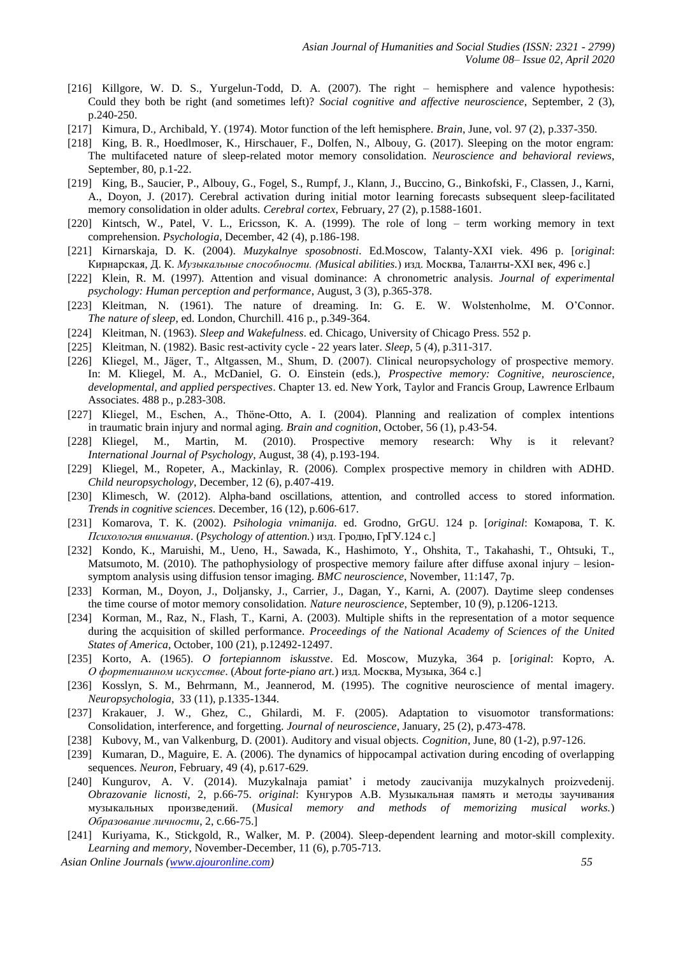- [216] Killgore, W. D. S., Yurgelun-Todd, D. A. (2007). The right hemisphere and valence hypothesis: Could they both be right (and sometimes left)? *Social cognitive and affective neuroscience*, September, 2 (3), p.240-250.
- [217] Kimura, D., Archibald, Y. (1974). Motor function of the left hemisphere. *Brain*, June, vol. 97 (2), p.337-350.
- [218] King, B. R., Hoedlmoser, K., Hirschauer, F., Dolfen, N., Albouy, G. (2017). Sleeping on the motor engram: The multifaceted nature of sleep-related motor memory consolidation. *Neuroscience and behavioral reviews*, September, 80, p.1-22.
- [219] King, B., Saucier, P., Albouy, G., Fogel, S., Rumpf, J., Klann, J., Buccino, G., Binkofski, F., Classen, J., Karni, A., Doyon, J. (2017). Cerebral activation during initial motor learning forecasts subsequent sleep-facilitated memory consolidation in older adults. *Cerebral cortex*, February, 27 (2), p.1588-1601.
- [220] Kintsch, W., Patel, V. L., Ericsson, K. A. (1999). The role of long term working memory in text comprehension. *Psychologia*, December, 42 (4), p.186-198.
- [221] Kirnarskaja, D. K. (2004). *Muzykalnye sposobnosti*. Ed.Moscow, Talanty-XXI viek. 496 p. [*original*: Кирнарская, Д. К. *Музыкальные способности. (Musical abilities.*) изд. Москва, Таланты-XXI век, 496 с.]
- [222] Klein, R. M. (1997). Attention and visual dominance: A chronometric analysis. *Journal of experimental psychology: Human perception and performance*, August, 3 (3), p.365-378.
- [223] Kleitman, N. (1961). The nature of dreaming. In: G. E. W. Wolstenholme, M. O'Connor. *The nature of sleep*, ed. London, Churchill. 416 p., p.349-364.
- [224] Kleitman, N. (1963). *Sleep and Wakefulness*. ed. Chicago, University of Chicago Press. 552 p.
- [225] Kleitman, N. (1982). Basic rest-activity cycle 22 years later. *Sleep*, 5 (4), p.311-317.
- [226] Kliegel, M., Jӓger, T., Altgassen, M., Shum, D. (2007). Clinical neuropsychology of prospective memory. In: M. Kliegel, M. A., McDaniel, G. O. Einstein (eds.), *Prospective memory: Cognitive, neuroscience, developmental, and applied perspectives*. Chapter 13. ed. New York, Taylor and Francis Group, Lawrence Erlbaum Associates. 488 p., p.283-308.
- [227] Kliegel, M., Eschen, A., Thöne-Otto, A. I. (2004). Planning and realization of complex intentions in traumatic brain injury and normal aging. *Brain and cognition*, October, 56 (1), p.43-54.
- [228] Kliegel, M., Martin, M. (2010). Prospective memory research: Why is it relevant? *International Journal of Psychology*, August, 38 (4), p.193-194.
- [229] Kliegel, M., Ropeter, A., Mackinlay, R. (2006). Complex prospective memory in children with ADHD*. Child neuropsychology*, December, 12 (6), p.407-419.
- [230] Klimesch, W. (2012). Alpha-band oscillations, attention, and controlled access to stored information. *Trends in cognitive sciences*. December, 16 (12), p.606-617.
- [231] Komarova, T. K. (2002). *Psihologia vnimanija*. ed. Grodno, GrGU. 124 p. [*original*: Комарова, Т. К. *Психология внимания*. (*Psychology of attention.*) изд. Гродно, ГрГУ.124 c.]
- [232] Kondo, K., Maruishi, M., Ueno, H., Sawada, K., Hashimoto, Y., Ohshita, T., Takahashi, T., Ohtsuki, T., Matsumoto, M. (2010). The pathophysiology of prospective memory failure after diffuse axonal injury – lesionsymptom analysis using diffusion tensor imaging. *BMC neuroscience*, November, 11:147, 7p.
- [233] Korman, M., Doyon, J., Doljansky, J., Carrier, J., Dagan, Y., Karni, A. (2007). Daytime sleep condenses the time course of motor memory consolidation. *Nature neuroscience*, September, 10 (9), p.1206-1213.
- [234] Korman, M., Raz, N., Flash, T., Karni, A. (2003). Multiple shifts in the representation of a motor sequence during the acquisition of skilled performance. *Proceedings of the National Academy of Sciences of the United States of America*, October, 100 (21), p.12492-12497.
- [235] Korto, A. (1965). *O fortepiannom iskusstve*. Ed. Moscow, Muzyka, 364 p. [*original*: Корто, А. *О фортепианном искусстве*. (*About forte-piano art.*) изд. Москва, Музыка, 364 с.]
- [236] Kosslyn, S. M., Behrmann, M., Jeannerod, M. (1995). The cognitive neuroscience of mental imagery. *Neuropsychologia*, 33 (11), p.1335-1344.
- [237] Krakauer, J. W., Ghez, C., Ghilardi, M. F. (2005). Adaptation to visuomotor transformations: Consolidation, interference, and forgetting. *Journal of neuroscience*, January, 25 (2), p.473-478.
- [238] Kubovy, M., van Valkenburg, D. (2001). Auditory and visual objects. *Cognition*, June, 80 (1-2), p.97-126.
- [239] Kumaran, D., Maguire, E. A. (2006). The dynamics of hippocampal activation during encoding of overlapping sequences. *Neuron*, February, 49 (4), p.617-629.
- [240] Kungurov, A. V. (2014). Muzykalnaja pamiat' i metody zaucivanija muzykalnych proizvedenij. *Obrazovanie licnosti*, 2, p.66-75. *original*: Кунгуров А.В. Музыкальная память и методы заучивания музыкальных произведений. (*Musical memory and methods of memorizing musical works.*) *Образование личности*, 2, c.66-75.]
- [241] Kuriyama, K., Stickgold, R., Walker, M. P. (2004). Sleep-dependent learning and motor-skill complexity. *Learning and memory*, November-December, 11 (6), p.705-713.

*Asian Online Journals [\(www.ajouronline.com\)](http://www.ajouronline.com/) 55*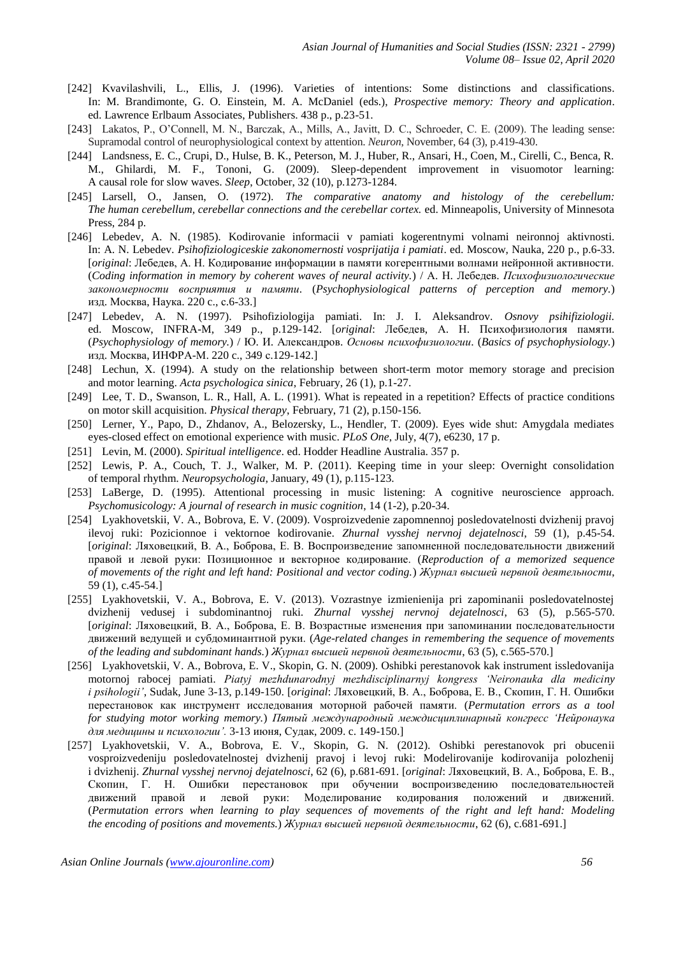- [242] Kvavilashvili, L., Ellis, J. (1996). Varieties of intentions: Some distinctions and classifications. In: M. Brandimonte, G. O. Einstein, M. A. McDaniel (eds.), *Prospective memory: Theory and application*. ed. Lawrence Erlbaum Associates, Publishers. 438 p., p.23-51.
- [243] Lakatos, P., O'Connell, M. N., Barczak, A., Mills, A., Javitt, D. C., Schroeder, C. E. (2009). The leading sense: Supramodal control of neurophysiological context by attention. *Neuron*, November, 64 (3), p.419-430.
- [244] Landsness, E. C., Crupi, D., Hulse, B. K., Peterson, M. J., Huber, R., Ansari, H., Coen, M., Cirelli, C., Benca, R. M., Ghilardi, M. F., Tononi, G. (2009). Sleep-dependent improvement in visuomotor learning: A causal role for slow waves. *Sleep*, October, 32 (10), p.1273-1284.
- [245] Larsell, O., Jansen, O. (1972). *The comparative anatomy and histology of the cerebellum: The human cerebellum, cerebellar connections and the cerebellar cortex.* ed. Minneapolis, University of Minnesota Press, 284 p.
- [246] Lebedev, A. N. (1985). Kodirovanie informacii v pamiati kogerentnymi volnami neironnoj aktivnosti. In: A. N. Lebedev. *Psihofiziologiceskie zakonomernosti vosprijatija i pamiati*. ed. Moscow, Nauka, 220 p., p.6-33. [*original*: Лебедев, А. Н. Кодирование информации в памяти когерентными волнами нейронной активности. (*Coding information in memory by coherent waves of neural activity.*) / А. Н. Лебедев. *Психофизиологические закономерности восприятия и памяти*. (*Psychophysiological patterns of perception and memory.*) изд. Москва, Наука. 220 c., с.6-33.]
- [247] Lebedev, A. N. (1997). Psihofiziologija pamiati. In: J. I. Aleksandrov. *Osnovy psihifiziologii.* ed. Moscow, INFRA-M, 349 p., p.129-142. [*original*: Лебедев, А. Н. Психофизиология памяти. (*Psychophysiology of memory.*) / Ю. И. Александров. *Основы психофизиологии*. (*Basics of psychophysiology.*) изд. Москва, ИНФРА-М. 220 c., 349 с.129-142.]
- [248] Lechun, X. (1994). A study on the relationship between short-term motor memory storage and precision and motor learning. *Acta psychologica sinica*, February, 26 (1), p.1-27.
- [249] Lee, T. D., Swanson, L. R., Hall, A. L. (1991). What is repeated in a repetition? Effects of practice conditions on motor skill acquisition. *Physical therapy*, February, 71 (2), p.150-156.
- [250] Lerner, Y., Papo, D., Zhdanov, A., Belozersky, L., Hendler, T. (2009). Eyes wide shut: Amygdala mediates eyes-closed effect on emotional experience with music. *PLoS One*, July, 4(7), e6230, 17 p.
- [251] Levin, M. (2000). *Spiritual intelligence*. ed. Hodder Headline Australia. 357 p.
- [252] Lewis, P. A., Couch, T. J., Walker, M. P. (2011). Keeping time in your sleep: Overnight consolidation of temporal rhythm. *Neuropsychologia*, January, 49 (1), p.115-123.
- [253] LaBerge, D. (1995). Attentional processing in music listening: A cognitive neuroscience approach. *Psychomusicology: A journal of research in music cognition*, 14 (1-2), p.20-34.
- [254] Lyakhovetskii, V. A., Bobrova, E. V. (2009). Vosproizvedenie zapomnennoj posledovatelnosti dvizhenij pravoj ilevoj ruki: Pozicionnoe i vektornoe kodirovanie. *Zhurnal vysshej nervnoj dejatelnosci*, 59 (1), p.45-54. [*original*: Ляховецкий, В. А., Боброва, Е. В. Воспроизведение запомненной последовательности движений правой и левой руки: Позиционное и векторное кодирование. (*Reproduction of a memorized sequence of movements of the right and left hand: Positional and vector coding.*) *Журнал высшей нервной деятельности*, 59 (1), c.45-54.]
- [255] Lyakhovetskii, V. A., Bobrova, E. V. (2013). Vozrastnye izmienienija pri zapominanii posledovatelnostej dvizhenij vedusej i subdominantnoj ruki. *Zhurnal vysshej nervnoj dejatelnosci*, 63 (5), p.565-570. [*original*: Ляховецкий, В. А., Боброва, Е. В. Возрастные изменения при запоминании последовательности движений ведущей и субдоминантной руки. (*Age-related changes in remembering the sequence of movements of the leading and subdominant hands.*) *Журнал высшей нервной деятельности*, 63 (5), c.565-570.]
- [256] Lyakhovetskii, V. A., Bobrova, E. V., Skopin, G. N. (2009). Oshibki perestanovok kak instrument issledovanija motornoj rabocej pamiati. *Piatyj mezhdunarodnyj mezhdisciplinarnyj kongress 'Neironauka dla mediciny i psihologii'*, Sudak, June 3-13, p.149-150. [*original*: Ляховецкий, В. А., Боброва, Е. В., Скопин, Г. Н. Ошибки перестановок как инструмент исследования моторной рабочей памяти. (*Permutation errors as a tool for studying motor working memory.*) *Пятый международный междисциплинарный конгресс 'Нейронаука для медицины и психологии'.* 3-13 июня, Судак, 2009. c. 149-150.]
- [257] Lyakhovetskii, V. A., Bobrova, E. V., Skopin, G. N. (2012). Oshibki perestanovok pri obucenii vosproizvedeniju posledovatelnostej dvizhenij pravoj i levoj ruki: Modelirovanije kodirovanija polozhenij i dvizhenij. *Zhurnal vysshej nervnoj dejatelnosci*, 62 (6), p.681-691. [*original*: Ляховецкий, В. А., Боброва, Е. В., Скопин, Г. Н. Ошибки перестановок при обучении воспроизведению последовательностей движений правой и левой руки: Моделирование кодирования положений и движений. (*Permutation errors when learning to play sequences of movements of the right and left hand: Modeling the encoding of positions and movements.*) *Журнал высшей нервной деятельности*, 62 (6), c.681-691.]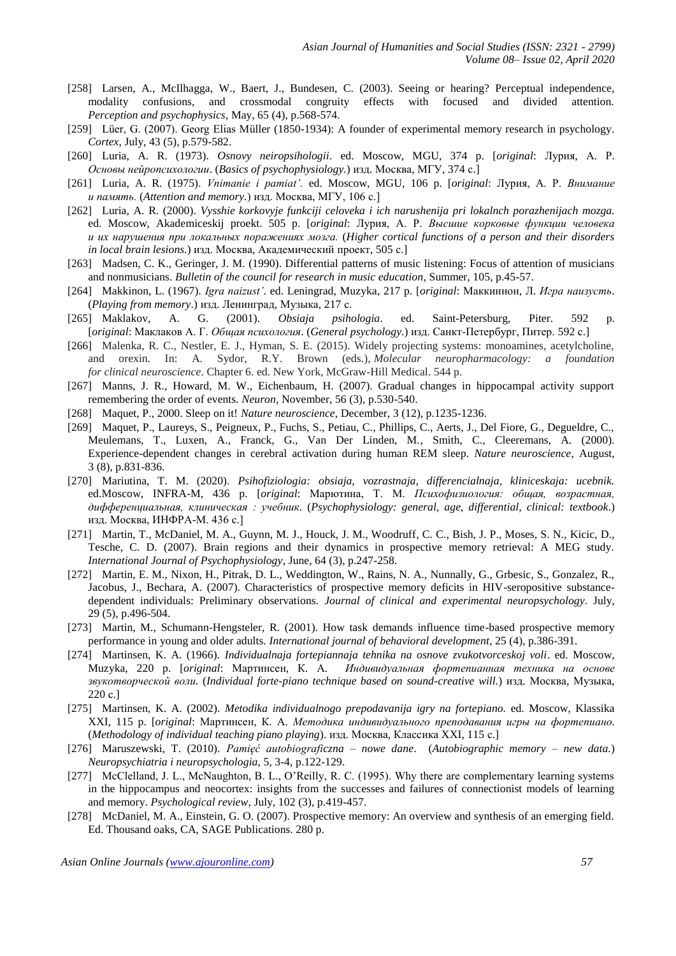- [258] Larsen, A., McIlhagga, W., Baert, J., Bundesen, C. (2003). Seeing or hearing? Perceptual independence, modality confusions, and crossmodal congruity effects with focused and divided attention. *Perception and psychophysics*, May, 65 (4), p.568-574.
- [259] Lüer, G. (2007). Georg Elias Müller (1850-1934): A founder of experimental memory research in psychology. *Cortex*, July, 43 (5), p.579-582.
- [260] Luria, A. R. (1973). *Osnovy neiropsihologii*. ed. Moscow, MGU, 374 p. [*original*: Лурия, А. Р. *Основы нейропсихологии*. (*Basics of psychophysiology.*) изд. Москва, МГУ, 374 с.]
- [261] Luria, A. R. (1975). *Vnimanie i pamiat'.* ed. Moscow, MGU, 106 p. [*original*: Лурия, А. Р. *Внимание и память.* (*Attention and memory.*) изд. Москва, МГУ, 106 с.]
- [262] Luria, A. R. (2000). *Vysshie korkovyje funkciji celoveka i ich narushenija pri lokalnch porazhenijach mozga.*  ed. Moscow, Akademiceskij proekt. 505 p. [*original*: Лурия, А. Р. *Высшие корковые функции человека и их нарушения при локальных поражениях мозга.* (*Higher cortical functions of a person and their disorders in local brain lesions.*) изд. Москва, Академический проект, 505 с.]
- [263] Madsen, C. K., Geringer, J. M. (1990). Differential patterns of music listening: Focus of attention of musicians and nonmusicians. *Bulletin of the council for research in music education*, Summer, 105, p.45-57.
- [264] Makkinon, L. (1967). *Igra naizust'*. ed. Leningrad, Muzyka, 217 p. [*original*: Маккиннон, Л. *Игра наизусть*. (*Playing from memory*.) изд. Ленинград, Музыка, 217 с.
- [265] Maklakov, A. G. (2001). *Obsiaja psihologia*. ed. Saint-Petersburg, Piter. 592 p. [*original*: Маклаков А. Г. *Общая психология*. (*General psychology.*) изд. Санкт-Петербург, Питер. 592 с.]
- [266] Malenka, R. C., Nestler, E. J., Hyman, S. E. (2015). Widely projecting systems: monoamines, acetylcholine, and orexin. In: A. Sydor, R.Y. Brown (eds.), *Molecular neuropharmacology: a foundation for clinical neuroscience*. Chapter 6. ed. New York, McGraw-Hill Medical. 544 p.
- [267] Manns, J. R., Howard, M. W., Eichenbaum, H. (2007). Gradual changes in hippocampal activity support remembering the order of events. *Neuron*, November, 56 (3), p.530-540.
- [268] Maquet, P., 2000. Sleep on it! *Nature neuroscience*, December, 3 (12), p.1235-1236.
- [269] Maquet, P., Laureys, S., Peigneux, P., Fuchs, S., Petiau, C., Phillips, C., Aerts, J., Del Fiore, G., Degueldre, C., Meulemans, T., Luxen, A., Franck, G., Van Der Linden, M., Smith, C., Cleeremans, A. (2000). Experience-dependent changes in cerebral activation during human REM sleep. *Nature neuroscience*, August, 3 (8), p.831-836.
- [270] Mariutina, T. M. (2020). *Psihofiziologia: obsiaja, vozrastnaja, differencialnaja, kliniceskaja: ucebnik.* ed.Moscow, INFRA-M, 436 p. [*original*: Марютина, Т. М. *Психофизиология: общая, возрастная, дифференциальная, клиническая : учебник*. (*Psychophysiology: general, age, differential, clinical: textbook*.) изд. Москва, ИНФРА-М. 436 с.]
- [271] Martin, T., McDaniel, M. A., Guynn, M. J., Houck, J. M., Woodruff, C. C., Bish, J. P., Moses, S. N., Kicic, D., Tesche, C. D. (2007). Brain regions and their dynamics in prospective memory retrieval: A MEG study. *International Journal of Psychophysiology*, June, 64 (3), p.247-258.
- [272] Martin, E. M., Nixon, H., Pitrak, D. L., Weddington, W., Rains, N. A., Nunnally, G., Grbesic, S., Gonzalez, R., Jacobus, J., Bechara, A. (2007). Characteristics of prospective memory deficits in HIV-seropositive substancedependent individuals: Preliminary observations. *Journal of clinical and experimental neuropsychology*. July, 29 (5), p.496-504.
- [273] Martin, M., Schumann-Hengsteler, R. (2001). How task demands influence time-based prospective memory performance in young and older adults. *International journal of behavioral development*, 25 (4), p.386-391.
- [274] Martinsen, K. A. (1966). *Individualnaja fortepiannaja tehnika na osnove zvukotvorceskoj voli*. ed. Moscow, Muzyka, 220 p. [*original*: Мартинсен, К. А. *Индивидуальная фортепианная техника на основе звукотворческой воли.* (*Individual forte-piano technique based on sound-creative will.*) изд. Москва, Музыка, 220 с.]
- [275] Martinsen, K. A. (2002). *Metodika individualnogo prepodavanija igry na fortepiano.* ed. Moscow, Klassika XXI, 115 p. [*original*: Мартинсен, К. А. *Методика индивидуального преподавания игры на фортепиано.* (*Methodology of individual teaching piano playing*). изд. Москва, Классика XXI, 115 с.]
- [276] Maruszewski, T. (2010). *Pamięć autobiograficzna – nowe dane*. (*Autobiographic memory – new data.*) *Neuropsychiatria i neuropsychologia*, 5, 3-4, p.122-129.
- [277] McClelland, J. L., McNaughton, B. L., O'Reilly, R. C. (1995). Why there are complementary learning systems in the hippocampus and neocortex: insights from the successes and failures of connectionist models of learning and memory. *Psychological review*, July, 102 (3), p.419-457.
- [278] McDaniel, M. A., Einstein, G. O. (2007). Prospective memory: An overview and synthesis of an emerging field. Ed. Thousand oaks, CA, SAGE Publications. 280 p.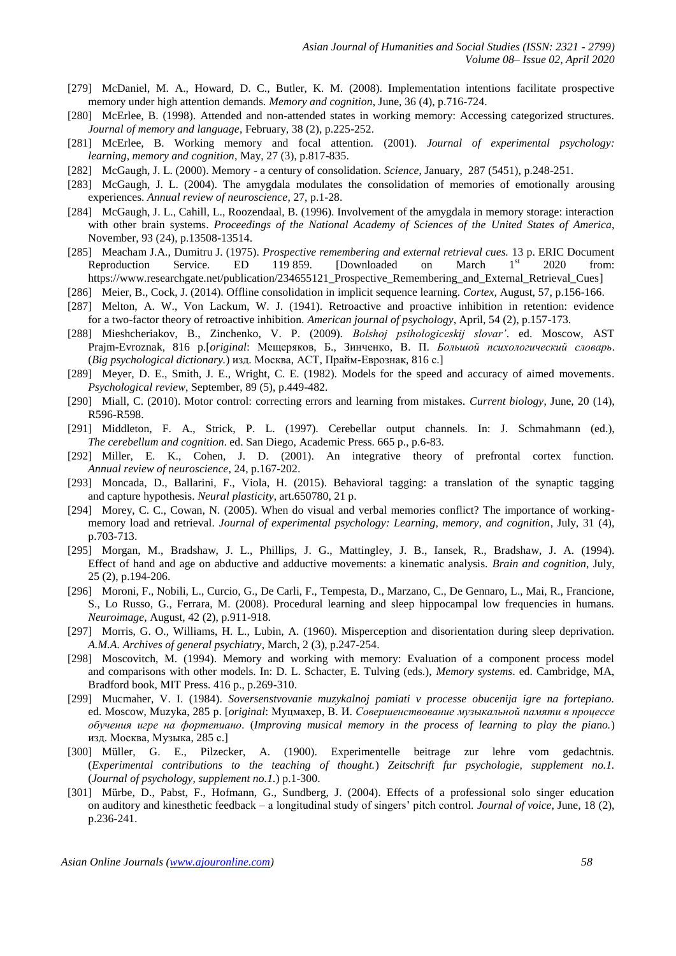- [279] McDaniel, M. A., Howard, D. C., Butler, K. M. (2008). Implementation intentions facilitate prospective memory under high attention demands. *Memory and cognition*, June, 36 (4), p.716-724.
- [280] McErlee, B. (1998). Attended and non-attended states in working memory: Accessing categorized structures. *Journal of memory and language*, February, 38 (2), p.225-252.
- [281] McErlee, B. Working memory and focal attention. (2001). *Journal of experimental psychology: learning, memory and cognition*, May, 27 (3), p.817-835.
- [282] McGaugh, J. L. (2000). Memory a century of consolidation. *Science*, January, 287 (5451), p.248-251.
- [283] McGaugh, J. L. (2004). The amygdala modulates the consolidation of memories of emotionally arousing experiences. *Annual review of neuroscience*, 27, p.1-28.
- [284] McGaugh, J. L., Cahill, L., Roozendaal, B. (1996). Involvement of the amygdala in memory storage: interaction with other brain systems. *Proceedings of the National Academy of Sciences of the United States of America*, November, 93 (24), p.13508-13514.
- [285] Meacham J.A., Dumitru J. (1975). *Prospective remembering and external retrieval cues.* 13 p. ERIC Document Reproduction Service. ED 119 859. [Downloaded on March  $1<sup>st</sup>$  2020 from: [https://www.researchgate.net/publication/234655121\\_Prospective\\_Remembering\\_and\\_External\\_Retrieval\\_Cues\]](https://www.researchgate.net/publication/234655121_Prospective_Remembering_and_External_Retrieval_Cues)
- [286] Meier, B., Cock, J. (2014). Offline consolidation in implicit sequence learning. *Cortex*, August, 57, p.156-166.
- [287] Melton, A. W., Von Lackum, W. J. (1941). Retroactive and proactive inhibition in retention: evidence for a two-factor theory of retroactive inhibition. *American journal of psychology*, April, 54 (2), p.157-173.
- [288] Mieshcheriakov, B., Zinchenko, V. P. (2009). *Bolshoj psihologiceskij slovar'*. ed. Moscow, AST Prajm-Evroznak, 816 p.[*original*: Мещеряков, Б., Зинченко, В. П. *Большой психологический словарь*. (*Big psychological dictionary.*) изд. Москва, АСТ, Прайм-Еврознак, 816 с.]
- [289] Meyer, D. E., Smith, J. E., Wright, C. E. (1982). Models for the speed and accuracy of aimed movements. *Psychological review*, September, 89 (5), p.449-482.
- [290] Miall, C. (2010). Motor control: correcting errors and learning from mistakes. *Current biology*, June, 20 (14), R596-R598.
- [291] Middleton, F. A., Strick, P. L. (1997). Cerebellar output channels. In: J. Schmahmann (ed.), *The cerebellum and cognition*. ed. San Diego, Academic Press. 665 p., p.6-83.
- [292] Miller, E. K., Cohen, J. D. (2001). An integrative theory of prefrontal cortex function. *Annual review of neuroscience*, 24, p.167-202.
- [293] Moncada, D., Ballarini, F., Viola, H. (2015). Behavioral tagging: a translation of the synaptic tagging and capture hypothesis. *Neural plasticity*, art.650780, 21 p.
- [294] Morey, C. C., Cowan, N. (2005). When do visual and verbal memories conflict? The importance of workingmemory load and retrieval. *Journal of experimental psychology: Learning, memory, and cognition*, July, 31 (4), p.703-713.
- [295] Morgan, M., Bradshaw, J. L., Phillips, J. G., Mattingley, J. B., Iansek, R., Bradshaw, J. A. (1994). Effect of hand and age on abductive and adductive movements: a kinematic analysis. *Brain and cognition*, July, 25 (2), p.194-206.
- [296] Moroni, F., Nobili, L., Curcio, G., De Carli, F., Tempesta, D., Marzano, C., De Gennaro, L., Mai, R., Francione, S., Lo Russo, G., Ferrara, M. (2008). Procedural learning and sleep hippocampal low frequencies in humans. *Neuroimage*, August, 42 (2), p.911-918.
- [297] Morris, G. O., Williams, H. L., Lubin, A. (1960). Misperception and disorientation during sleep deprivation. *A.M.A. Archives of general psychiatry*, March, 2 (3), p.247-254.
- [298] Moscovitch, M. (1994). Memory and working with memory: Evaluation of a component process model and comparisons with other models. In: D. L. Schacter, E. Tulving (eds.), *Memory systems*. ed. Cambridge, MA, Bradford book, MIT Press. 416 p., p.269-310.
- [299] Mucmaher, V. I. (1984). *Soversenstvovanie muzykalnoj pamiati v processe obucenija igre na fortepiano.* ed. Moscow, Muzyka, 285 p. [*original*: Муцмахер, В. И. *Совершенствование музыкальной памяти в процессе обучения игре на фортепиано.* (*Improving musical memory in the process of learning to play the piano.*) изд. Москва, Музыка, 285 с.]
- [300] Müller, G. E., Pilzecker, A. (1900). Experimentelle beitrage zur lehre vom gedachtnis. (*Experimental contributions to the teaching of thought.*) *Zeitschrift fur psychologie, supplement no.1.* (*Journal of psychology, supplement no.1.*) p.1-300.
- [301] Mürbe, D., Pabst, F., Hofmann, G., Sundberg, J. (2004). Effects of a professional solo singer education on auditory and kinesthetic feedback – a longitudinal study of singers' pitch control. *Journal of voice*, June, 18 (2), p.236-241.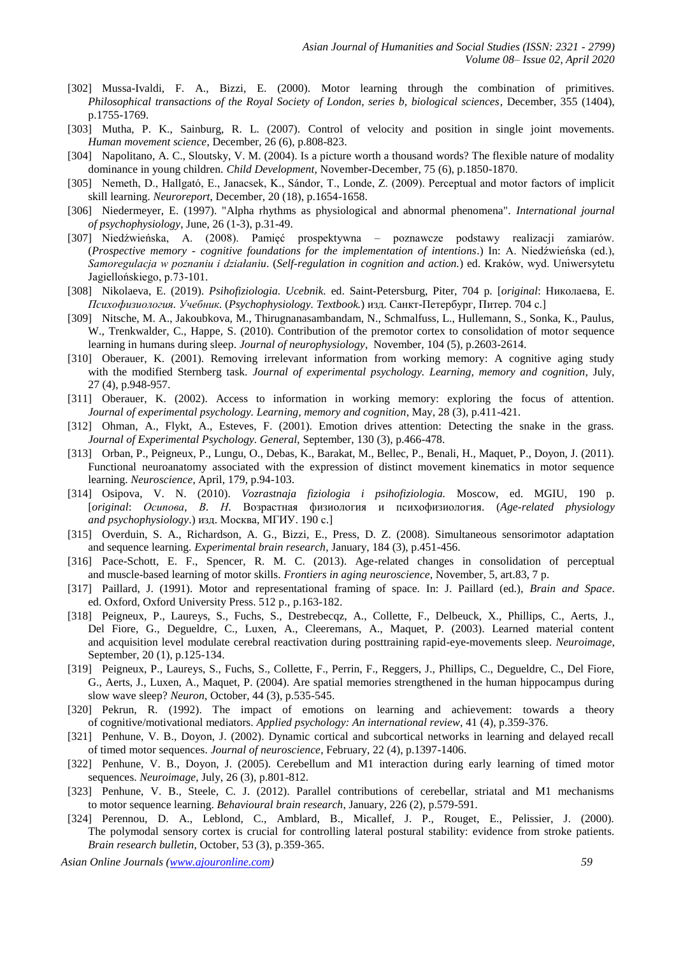- [302] Mussa-Ivaldi, F. A., Bizzi, E. (2000). Motor learning through the combination of primitives. *Philosophical transactions of the Royal Society of London, series b, biological sciences*, December, 355 (1404), p.1755-1769.
- [303] Mutha, P. K., Sainburg, R. L. (2007). Control of velocity and position in single joint movements. *Human movement science*, December, 26 (6), p.808-823.
- [304] Napolitano, A. C., Sloutsky, V. M. (2004). Is a picture worth a thousand words? The flexible nature of modality dominance in young children. *Child Development,* November-December, 75 (6), p.1850-1870.
- [305] Nemeth, D., Hallgató, E., Janacsek, K., Sándor, T., Londe, Z. (2009). Perceptual and motor factors of implicit skill learning. *Neuroreport*, December, 20 (18), p.1654-1658.
- [306] Niedermeyer, E. (1997). "Alpha rhythms as physiological and abnormal phenomena". *International journal of psychophysiology*, June, 26 (1-3), p.31-49.
- [307] Niedźwieńska, A. (2008). Pamięć prospektywna poznawcze podstawy realizacji zamiarów. (*Prospective memory - cognitive foundations for the implementation of intentions*.) In: A. Niedźwieńska (ed.), *Samoregulacja w poznaniu i działaniu*. (*Self-regulation in cognition and action.*) ed. Kraków, wyd. Uniwersytetu Jagiellońskiego, p.73-101.
- [308] Nikolaeva, E. (2019). *Psihofiziologia. Ucebnik.* ed. Saint-Petersburg, Piter, 704 p. [*original*: Николаева, Е. *Психофизиология. Учебник.* (*Psychophysiology. Textbook.*) изд. Санкт-Петербург, Питер. 704 с.]
- [309] Nitsche, M. A., Jakoubkova, M., Thirugnanasambandam, N., Schmalfuss, L., Hullemann, S., Sonka, K., Paulus, W., Trenkwalder, C., Happe, S. (2010). Contribution of the premotor cortex to consolidation of motor sequence learning in humans during sleep. *Journal of neurophysiology*, November, 104 (5), p.2603-2614.
- [310] Oberauer, K. (2001). Removing irrelevant information from working memory: A cognitive aging study with the modified Sternberg task. *Journal of experimental psychology. Learning, memory and cognition*, July, 27 (4), p.948-957.
- [311] Oberauer, K. (2002). Access to information in working memory: exploring the focus of attention. *Journal of experimental psychology. Learning, memory and cognition*, May, 28 (3), p.411-421.
- [312] Ohman, A., Flykt, A., Esteves, F. (2001). Emotion drives attention: Detecting the snake in the grass. *Journal of Experimental Psychology. General,* September, 130 (3), p.466-478.
- [313] Orban, P., Peigneux, P., Lungu, O., Debas, K., Barakat, M., Bellec, P., Benali, H., Maquet, P., Doyon, J. (2011). Functional neuroanatomy associated with the expression of distinct movement kinematics in motor sequence learning. *Neuroscience*, April, 179, p.94-103.
- [314] Osipova, V. N. (2010). *Vozrastnaja fiziologia i psihofiziologia.* Moscow, ed. MGIU, 190 p. [*original*: *Осипова, В. Н.* Возрастная физиология и психофизиология. (*Age-related physiology and psychophysiology*.) изд. Москва, МГИУ. 190 с.]
- [315] Overduin, S. A., Richardson, A. G., Bizzi, E., Press, D. Z. (2008). Simultaneous sensorimotor adaptation and sequence learning. *Experimental brain research*, January, 184 (3), p.451-456.
- [316] Pace-Schott, E. F., Spencer, R. M. C. (2013). Age-related changes in consolidation of perceptual and muscle-based learning of motor skills. *Frontiers in aging neuroscience*, November, 5, art.83, 7 p.
- [317] Paillard, J. (1991). Motor and representational framing of space. In: J. Paillard (ed.), *Brain and Space*. ed. Oxford, Oxford University Press. 512 p., p.163-182.
- [318] Peigneux, P., Laureys, S., Fuchs, S., Destrebecqz, A., Collette, F., Delbeuck, X., Phillips, C., Aerts, J., Del Fiore, G., Degueldre, C., Luxen, A., Cleeremans, A., Maquet, P. (2003). Learned material content and acquisition level modulate cerebral reactivation during posttraining rapid-eye-movements sleep. *Neuroimage*, September, 20 (1), p.125-134.
- [319] Peigneux, P., Laureys, S., Fuchs, S., Collette, F., Perrin, F., Reggers, J., Phillips, C., Degueldre, C., Del Fiore, G., Aerts, J., Luxen, A., Maquet, P. (2004). Are spatial memories strengthened in the human hippocampus during slow wave sleep? *Neuron*, October, 44 (3), p.535-545.
- [320] Pekrun, R. (1992). The impact of emotions on learning and achievement: towards a theory of cognitive/motivational mediators. *Applied psychology: An international review*, 41 (4), p.359-376.
- [321] Penhune, V. B., Doyon, J. (2002). Dynamic cortical and subcortical networks in learning and delayed recall of timed motor sequences. *Journal of neuroscience*, February, 22 (4), p.1397-1406.
- [322] Penhune, V. B., Doyon, J. (2005). Cerebellum and M1 interaction during early learning of timed motor sequences. *Neuroimage*, July, 26 (3), p.801-812.
- [323] Penhune, V. B., Steele, C. J. (2012). Parallel contributions of cerebellar, striatal and M1 mechanisms to motor sequence learning. *Behavioural brain research*, January, 226 (2), p.579-591.
- [324] Perennou, D. A., Leblond, C., Amblard, B., Micallef, J. P., Rouget, E., Pelissier, J. (2000). The polymodal sensory cortex is crucial for controlling lateral postural stability: evidence from stroke patients. *Brain research bulletin*, October, 53 (3), p.359-365.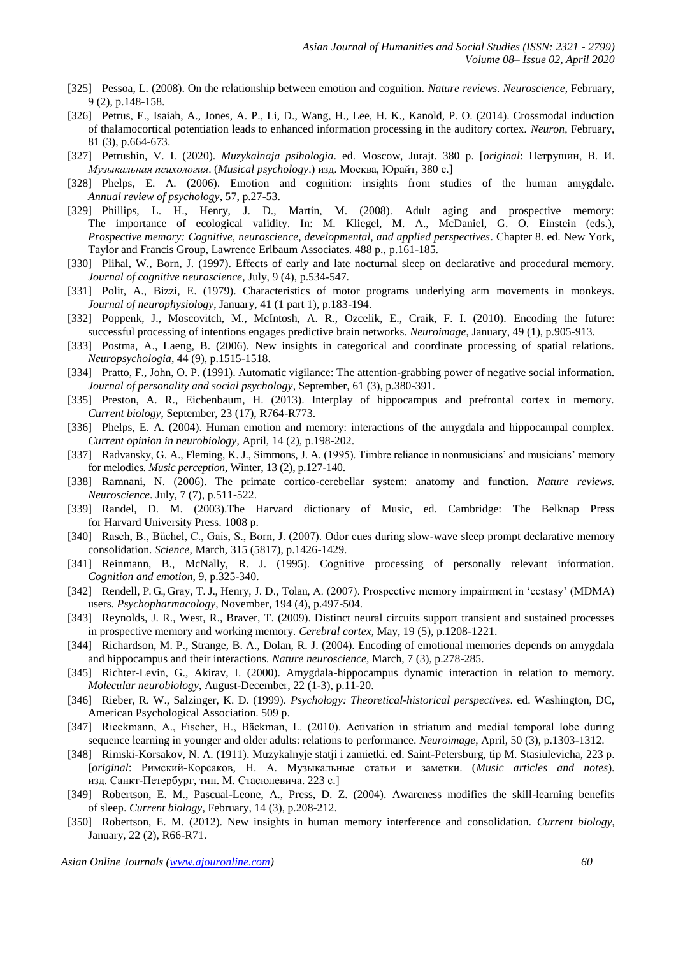- [325] Pessoa, L. (2008). On the relationship between emotion and cognition. *Nature reviews. Neuroscience*, February, 9 (2), p.148-158.
- [326] Petrus, E., Isaiah, A., Jones, A. P., Li, D., Wang, H., Lee, H. K., Kanold, P. O. (2014). Crossmodal induction of thalamocortical potentiation leads to enhanced information processing in the auditory cortex. *Neuron*, February, 81 (3), p.664-673.
- [327] Petrushin, V. I. (2020). *Muzykalnaja psihologia*. ed. Moscow, Jurajt. 380 p. [*original*: Петрушин, В. И. *Музыкальная психология*. (*Musical psychology*.) изд. Москва, Юрайт, 380 с.]
- [328] Phelps, E. A. (2006). Emotion and cognition: insights from studies of the human amygdale. *Annual review of psychology*, 57, p.27-53.
- [329] Phillips, L. H., Henry, J. D., Martin, M. (2008). Adult aging and prospective memory: The importance of ecological validity. In: M. Kliegel, M. A., McDaniel, G. O. Einstein (eds.), *Prospective memory: Cognitive, neuroscience, developmental, and applied perspectives*. Chapter 8. ed. New York, Taylor and Francis Group, Lawrence Erlbaum Associates. 488 p., p.161-185.
- [330] Plihal, W., Born, J. (1997). Effects of early and late nocturnal sleep on declarative and procedural memory. *Journal of cognitive neuroscience*, July, 9 (4), p.534-547.
- [331] Polit, A., Bizzi, E. (1979). Characteristics of motor programs underlying arm movements in monkeys. *Journal of neurophysiology*, January, 41 (1 part 1), p.183-194.
- [332] Poppenk, J., Moscovitch, M., McIntosh, A. R., Ozcelik, E., Craik, F. I. (2010). Encoding the future: successful processing of intentions engages predictive brain networks. *Neuroimage*, January, 49 (1), p.905-913.
- [333] Postma, A., Laeng, B. (2006). New insights in categorical and coordinate processing of spatial relations. *Neuropsychologia*, 44 (9), p.1515-1518.
- [334] Pratto, F., John, O. P. (1991). Automatic vigilance: The attention-grabbing power of negative social information. *Journal of personality and social psychology*, September, 61 (3), p.380-391.
- [335] Preston, A. R., Eichenbaum, H. (2013). Interplay of hippocampus and prefrontal cortex in memory. *Current biology*, September, 23 (17), R764-R773.
- [336] Phelps, E. A. (2004). Human emotion and memory: interactions of the amygdala and hippocampal complex. *Current opinion in neurobiology*, April, 14 (2), p.198-202.
- [337] Radvansky, G. A., Fleming, K. J., Simmons, J. A. (1995). Timbre reliance in nonmusicians' and musicians' memory for melodies. *Music perception*, Winter, 13 (2), p.127-140.
- [338] Ramnani, N. (2006). The primate cortico-cerebellar system: anatomy and function. *Nature reviews. Neuroscience*. July, 7 (7), p.511-522.
- [339] Randel, D. M. (2003).The Harvard dictionary of Music, ed. Cambridge: The Belknap Press for Harvard University Press. 1008 p.
- [340] Rasch, B., Büchel, C., Gais, S., Born, J. (2007). Odor cues during slow-wave sleep prompt declarative memory consolidation. *Science*, March, 315 (5817), p.1426-1429.
- [341] Reinmann, B., McNally, R. J. (1995). Cognitive processing of personally relevant information. *Cognition and emotion*, 9, p.325-340.
- [342] Rendell, P. G., Gray, T. J., Henry, J. D., Tolan, A. (2007). Prospective memory impairment in 'ecstasy' (MDMA) users. *Psychopharmacology*, November, 194 (4), p.497-504.
- [343] Reynolds, J. R., West, R., Braver, T. (2009). Distinct neural circuits support transient and sustained processes in prospective memory and working memory. *Cerebral cortex*, May, 19 (5), p.1208-1221.
- [344] Richardson, M. P., Strange, B. A., Dolan, R. J. (2004). Encoding of emotional memories depends on amygdala and hippocampus and their interactions. *Nature neuroscience*, March, 7 (3), p.278-285.
- [345] Richter-Levin, G., Akirav, I. (2000). Amygdala-hippocampus dynamic interaction in relation to memory. *Molecular neurobiology*, August-December, 22 (1-3), p.11-20.
- [346] Rieber, R. W., Salzinger, K. D. (1999). *Psychology: Theoretical-historical perspectives*. ed. Washington, DC, American Psychological Association. 509 p.
- [347] Rieckmann, A., Fischer, H., Bäckman, L. (2010). Activation in striatum and medial temporal lobe during sequence learning in younger and older adults: relations to performance. *Neuroimage*, April, 50 (3), p.1303-1312.
- [348] Rimski-Korsakov, N. A. (1911). Muzykalnyje statji i zamietki. ed. Saint-Petersburg, tip M. Stasiulevicha, 223 p. [*original*: Римский-Корсаков, Н. А. Музыкальные статьи и заметки. (*Music articles and notes*). изд. Санкт-Петербург, тип. М. Стасюлевича. 223 с.]
- [349] Robertson, E. M., Pascual-Leone, A., Press, D. Z. (2004). Awareness modifies the skill-learning benefits of sleep. *Current biology*, February, 14 (3), p.208-212.
- [350] Robertson, E. M. (2012). New insights in human memory interference and consolidation. *Current biology*, January, 22 (2), R66-R71.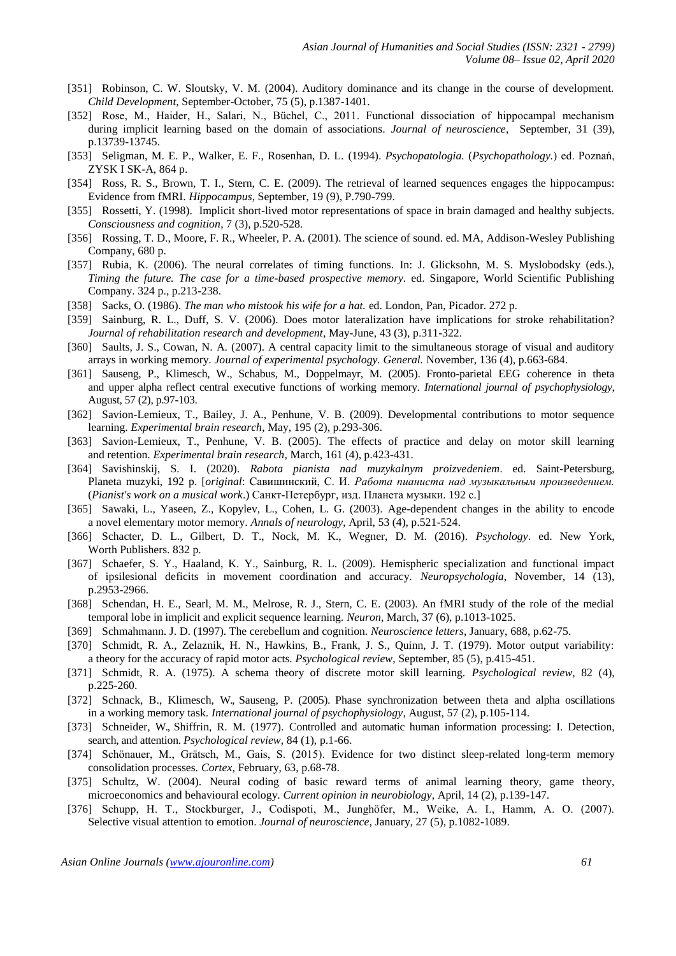- [351] Robinson, C. W. Sloutsky, V. M. (2004). Auditory dominance and its change in the course of development. *Child Development,* September-October, 75 (5), p.1387-1401.
- [352] Rose, M., Haider, H., Salari, N., Büchel, C., 2011. Functional dissociation of hippocampal mechanism during implicit learning based on the domain of associations. *Journal of neuroscience*, September, 31 (39), p.13739-13745.
- [353] Seligman, M. E. P., Walker, E. F., Rosenhan, D. L. (1994). *Psychopatologia.* (*Psychopathology.*) ed. Poznań, ZYSK I SK-A, 864 p.
- [354] Ross, R. S., Brown, T. I., Stern, C. E. (2009). The retrieval of learned sequences engages the hippocampus: Evidence from fMRI. *Hippocampus*, September, 19 (9), P.790-799.
- [355] Rossetti, Y. (1998). Implicit short-lived motor representations of space in brain damaged and healthy subjects. *Consciousness and cognition*, 7 (3), p.520-528.
- [356] Rossing, T. D., Moore, F. R., Wheeler, P. A. (2001). The science of sound. ed. MA, Addison-Wesley Publishing Company, 680 p.
- [357] Rubia, K. (2006). The neural correlates of timing functions*.* In: J. Glicksohn, M. S. Myslobodsky (eds.), *Timing the future. The case for a time-based prospective memory.* ed. Singapore, World Scientific Publishing Company. 324 p., p.213-238.
- [358] Sacks, O. (1986). *The man who mistook his wife for a hat.* ed. London, Pan, Picador. 272 p.
- [359] Sainburg, R. L., Duff, S. V. (2006). Does motor lateralization have implications for stroke rehabilitation? *Journal of rehabilitation research and development*, May-June, 43 (3), p.311-322.
- [360] Saults, J. S., Cowan, N. A. (2007). A central capacity limit to the simultaneous storage of visual and auditory arrays in working memory. *Journal of experimental psychology. General.* November, 136 (4), p.663-684.
- [361] Sauseng, P., Klimesch, W., Schabus, M., Doppelmayr, M. (2005). Fronto-parietal EEG coherence in theta and upper alpha reflect central executive functions of working memory. *International journal of psychophysiology*, August, 57 (2), p.97-103.
- [362] Savion-Lemieux, T., Bailey, J. A., Penhune, V. B. (2009). Developmental contributions to motor sequence learning. *Experimental brain research*, May, 195 (2), p.293-306.
- [363] Savion-Lemieux, T., Penhune, V. B. (2005). The effects of practice and delay on motor skill learning and retention. *Experimental brain research*, March, 161 (4), p.423-431.
- [364] Savishinskij, S. I. (2020). *Rabota pianista nad muzykalnym proizvedeniem*. ed. Saint-Petersburg, Planeta muzyki, 192 p. [*original*: Савишинский, С. И. *Работа пианиста над музыкальным произведением.*  (*Pianist's work on a musical work*.) Санкт-Петербург, изд. Планета музыки. 192 с.]
- [365] Sawaki, L., Yaseen, Z., Kopylev, L., Cohen, L. G. (2003). Age-dependent changes in the ability to encode a novel elementary motor memory. *Annals of neurology*, April, 53 (4), p.521-524.
- [366] Schacter, D. L., Gilbert, D. T., Nock, M. K., Wegner, D. M. (2016). *Psychology*. ed. New York, Worth Publishers. 832 p.
- [367] Schaefer, S. Y., Haaland, K. Y., Sainburg, R. L. (2009). Hemispheric specialization and functional impact of ipsilesional deficits in movement coordination and accuracy. *Neuropsychologia*, November, 14 (13), p.2953-2966.
- [368] Schendan, H. E., Searl, M. M., Melrose, R. J., Stern, C. E. (2003). An fMRI study of the role of the medial temporal lobe in implicit and explicit sequence learning. *Neuron*, March, 37 (6), p.1013-1025.
- [369] Schmahmann. J. D. (1997). The cerebellum and cognition*. Neuroscience letters*, January, 688, p.62-75.
- [370] Schmidt, R. A., Zelaznik, H. N., Hawkins, B., Frank, J. S., Quinn, J. T. (1979). Motor output variability: a theory for the accuracy of rapid motor acts. *Psychological review*, September, 85 (5), p.415-451.
- [371] Schmidt, R. A. (1975). A schema theory of discrete motor skill learning. *Psychological review*, 82 (4), p.225-260.
- [372] Schnack, B., Klimesch, W., Sauseng, P. (2005). Phase synchronization between theta and alpha oscillations in a working memory task. *International journal of psychophysiology*, August, 57 (2), p.105-114.
- [373] Schneider, W., Shiffrin, R. M. (1977). Controlled and automatic human information processing: I. Detection, search, and attention. *Psychological review*, 84 (1), p.1-66.
- [374] Schönauer, M., Grätsch, M., Gais, S. (2015). Evidence for two distinct sleep-related long-term memory consolidation processes. *Cortex*, February, 63, p.68-78.
- [375] Schultz, W. (2004). Neural coding of basic reward terms of animal learning theory, game theory, microeconomics and behavioural ecology. *Current opinion in neurobiology*, April, 14 (2), p.139-147.
- [376] Schupp, H. T., Stockburger, J., Codispoti, M., Junghöfer, M., Weike, A. I., Hamm, A. O. (2007). Selective visual attention to emotion. *Journal of neuroscience*, January, 27 (5), p.1082-1089.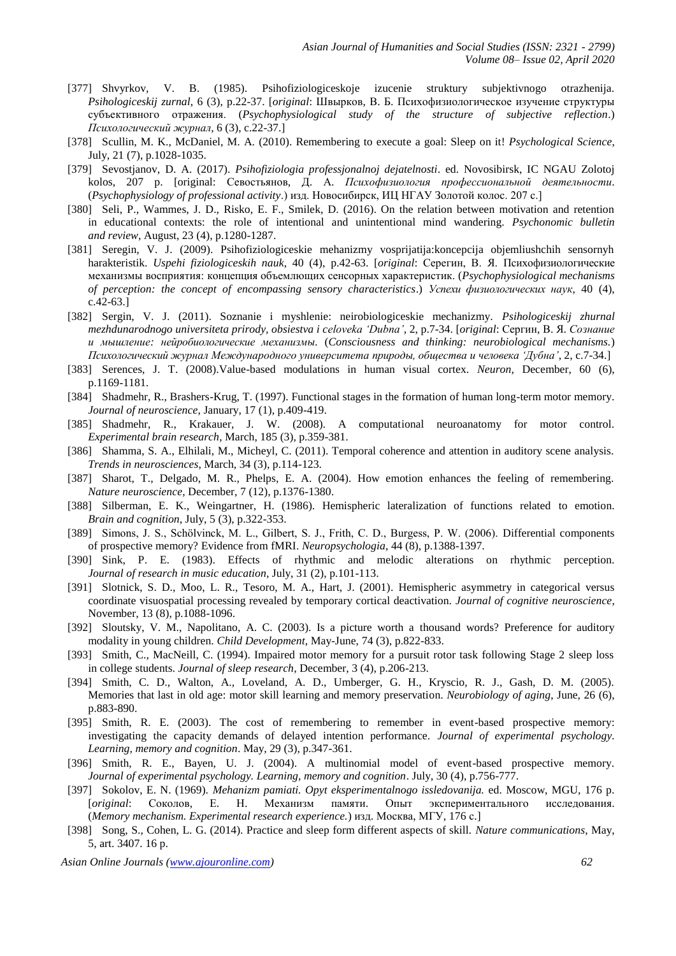- [377] Shvyrkov*,* V. B. (1985). Psihofiziologiceskoje izucenie struktury subjektivnogo otrazhenija. *Psihologiceskij zurnal*, 6 (3), p.22-37. [*original*: Швырков, В. Б. Психофизиологическое изучение структуры субъективного отражения. (*Psychophysiological study of the structure of subjective reflection*.) *Психологический журнал*, 6 (3), c.22-37.]
- [378] Scullin, M. K., McDaniel, M. A. (2010). Remembering to execute a goal: Sleep on it! *Psychological Science*, July, 21 (7), p.1028-1035.
- [379] Sevostjanov, D. A. (2017). *Psihofiziologia professjonalnoj dejatelnosti*. ed. Novosibirsk, IC NGAU Zolotoj kolos, 207 p. [original: Севостьянов, Д. А. *Психофизиология профессиональной деятельности*. (*Psychophysiology of professional activity*.) изд. Новосибирск, ИЦ НГАУ Золотой колос. 207 с.]
- [380] Seli, P., Wammes, J. D., Risko, E. F., Smilek, D. (2016). On the relation between motivation and retention in educational contexts: the role of intentional and unintentional mind wandering. *Psychonomic bulletin and review*, August, 23 (4), p.1280-1287.
- [381] Seregin, V. J. (2009). Psihofiziologiceskie mehanizmy vosprijatija:koncepcija objemliushchih sensornyh harakteristik. *Uspehi fiziologiceskih nauk*, 40 (4), p.42-63. [*original*: Серегин, В. Я. Психофизиологические механизмы восприятия: концепция объемлющих сенсорных характеристик. (*Psychophysiological mechanisms of perception: the concept of encompassing sensory characteristics*.) *Успехи физиологических наук*, 40 (4), c.42-63.]
- [382] Sergin, V. J. (2011). Soznanie i myshlenie: neirobiologiceskie mechanizmy. *Psihologiceskij zhurnal mezhdunarodnogo universiteta prirody, obsiestva i celoveka 'Dubna'*, 2, p.7-34. [*original*: Сергин, В. Я. *Сознание и мышление: нейробиологические механизмы.* (*Consciousness and thinking: neurobiological mechanisms.*) *Психологический журнал Международного университета природы, общества и человека 'Дубна'*, 2, c.7-34.]
- [383] Serences, J. T. (2008).Value-based modulations in human visual cortex. *Neuron*, December, 60 (6), p.1169-1181.
- [384] Shadmehr, R., Brashers-Krug, T. (1997). Functional stages in the formation of human long-term motor memory. *Journal of neuroscience*, January, 17 (1), p.409-419.
- [385] Shadmehr, R., Krakauer, J. W. (2008). A computational neuroanatomy for motor control. *Experimental brain research*, March, 185 (3), p.359-381.
- [386] Shamma, S. A., Elhilali, M., Micheyl, C. (2011). Temporal coherence and attention in auditory scene analysis. *Trends in neurosciences*, March, 34 (3), p.114-123.
- [387] Sharot, T., Delgado, M. R., Phelps, E. A. (2004). How emotion enhances the feeling of remembering. *Nature neuroscience*, December, 7 (12), p.1376-1380.
- [388] Silberman, E. K., Weingartner, H. (1986). Hemispheric lateralization of functions related to emotion. *Brain and cognition*, July, 5 (3), p.322-353.
- [389] Simons, J. S., Schölvinck, M. L., Gilbert, S. J., Frith, C. D., Burgess, P. W. (2006). Differential components of prospective memory? Evidence from fMRI. *Neuropsychologia*, 44 (8), p.1388-1397.
- [390] Sink, P. E. (1983). Effects of rhythmic and melodic alterations on rhythmic perception. *Journal of research in music education*, July, 31 (2), p.101-113.
- [391] Slotnick, S. D., Moo, L. R., Tesoro, M. A., Hart, J. (2001). Hemispheric asymmetry in categorical versus coordinate visuospatial processing revealed by temporary cortical deactivation. *Journal of cognitive neuroscience*, November, 13 (8), p.1088-1096.
- [392] Sloutsky, V. M., Napolitano, A. C. (2003). Is a picture worth a thousand words? Preference for auditory modality in young children. *Child Development,* May-June, 74 (3), p.822-833.
- [393] Smith, C., MacNeill, C. (1994). Impaired motor memory for a pursuit rotor task following Stage 2 sleep loss in college students. *Journal of sleep research*, December, 3 (4), p.206-213.
- [394] Smith, C. D., Walton, A., Loveland, A. D., Umberger, G. H., Kryscio, R. J., Gash, D. M. (2005). Memories that last in old age: motor skill learning and memory preservation. *Neurobiology of aging*, June, 26 (6), p.883-890.
- [395] Smith, R. E. (2003). The cost of remembering to remember in event-based prospective memory: investigating the capacity demands of delayed intention performance. *Journal of experimental psychology. Learning, memory and cognition*. May, 29 (3), p.347-361.
- [396] Smith, R. E., Bayen, U. J. (2004). A multinomial model of event-based prospective memory. *Journal of experimental psychology. Learning, memory and cognition*. July, 30 (4), p.756-777.
- [397] Sokolov, E. N. (1969). *Mehanizm pamiati. Opyt eksperimentalnogo issledovanija.* ed. Moscow, MGU, 176 p. [*original*: Соколов, Е. Н. Механизм памяти. Опыт экспериментального исследования. (*Memory mechanism. Experimental research experience.*) изд. Москва, МГУ, 176 с.]
- [398] Song, S., Cohen, L. G. (2014). Practice and sleep form different aspects of skill. *Nature communications*, May, 5, art. 3407. 16 p.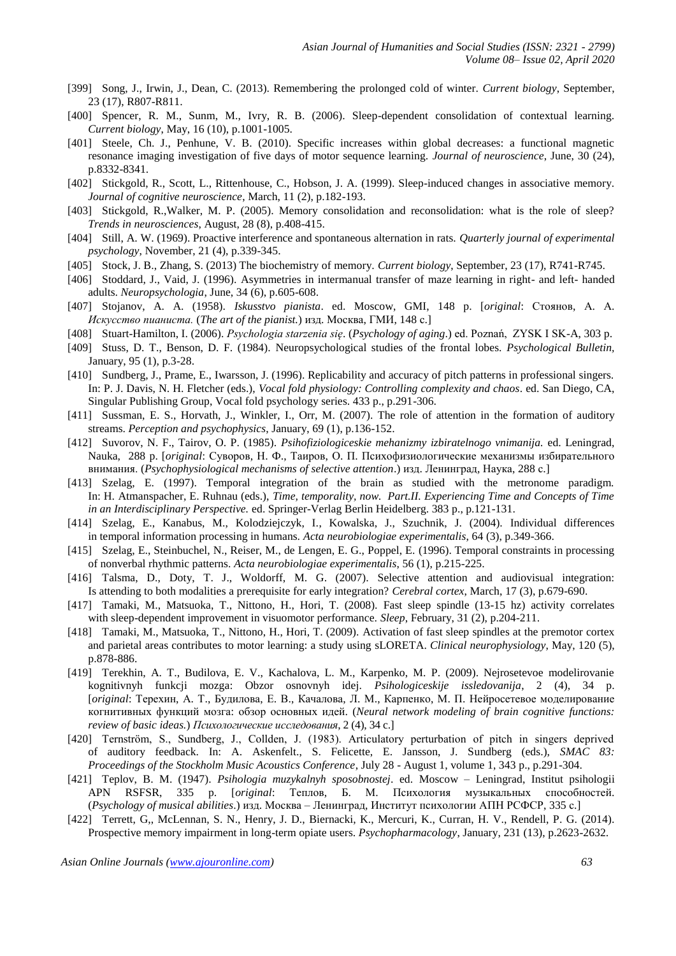- [399] Song, J., Irwin, J., Dean, C. (2013). Remembering the prolonged cold of winter. *Current biology*, September, 23 (17), R807-R811.
- [400] Spencer, R. M., Sunm, M., Ivry, R. B. (2006). Sleep-dependent consolidation of contextual learning. *Current biology*, May, 16 (10), p.1001-1005.
- [401] Steele, Ch. J., Penhune, V. B. (2010). Specific increases within global decreases: a functional magnetic resonance imaging investigation of five days of motor sequence learning. *Journal of neuroscience*, June, 30 (24), p.8332-8341.
- [402] Stickgold, R., Scott, L., Rittenhouse, C., Hobson, J. A. (1999). Sleep-induced changes in associative memory. *Journal of cognitive neuroscience*, March, 11 (2), p.182-193.
- [403] Stickgold, R.,Walker, M. P. (2005). Memory consolidation and reconsolidation: what is the role of sleep? *Trends in neurosciences*, August, 28 (8), p.408-415.
- [404] Still, A. W. (1969). Proactive interference and spontaneous alternation in rats. *Quarterly journal of experimental psychology*, November, 21 (4), p.339-345.
- [405] Stock, J. B., Zhang, S. (2013) The biochemistry of memory. *Current biology*, September, 23 (17), R741-R745.
- [406] Stoddard, J., Vaid, J. (1996). Asymmetries in intermanual transfer of maze learning in right- and left- handed adults. *Neuropsychologia*, June, 34 (6), p.605-608.
- [407] Stojanov, A. A. (1958). *Iskusstvo pianista*. ed. Moscow, GMI, 148 p. [*original*: Стоянов, А. А. *Искусство пианиста.* (*The art of the pianist.*) изд. Москва, ГМИ, 148 с.]
- [408] Stuart-Hamilton, I. (2006). *Psychologia starzenia się*. (*Psychology of aging*.) ed. Poznań, ZYSK I SK-A, 303 p.
- [409] Stuss, D. T., Benson, D. F. (1984). Neuropsychological studies of the frontal lobes. *Psychological Bulletin,*  January, 95 (1), p.3-28.
- [410] Sundberg, J., Prame, E., Iwarsson, J. (1996). Replicability and accuracy of pitch patterns in professional singers. In: P. J. Davis, N. H. Fletcher (eds.), *Vocal fold physiology: Controlling complexity and chaos*. ed. San Diego, CA, Singular Publishing Group, Vocal fold psychology series. 433 p., p.291-306.
- [411] Sussman, E. S., Horvath, J., Winkler, I., Orr, M. (2007). The role of attention in the formation of auditory streams. *Perception and psychophysics*, January, 69 (1), p.136-152.
- [412] Suvorov, N. F., Tairov, O. P. (1985). *Psihofiziologiceskie mehanizmy izbiratelnogo vnimanija.* ed. Leningrad, Nauka, 288 p. [*original*: Суворов, Н. Ф., Таиров, О. П. Психофизиологические механизмы избирательного внимания. (*Psychophysiological mechanisms of selective attention*.) изд. Ленинград, Наука, 288 с.]
- [413] Szelag, E. (1997). Temporal integration of the brain as studied with the metronome paradigm. In: H. Atmanspacher, E. Ruhnau (eds.), *Time, temporality, now. Part.II. Experiencing Time and Concepts of Time in an Interdisciplinary Perspective.* ed. Springer-Verlag Berlin Heidelberg. 383 p., p.121-131.
- [414] Szelag, E., Kanabus, M., Kolodziejczyk, I., Kowalska, J., Szuchnik, J. (2004). Individual differences in temporal information processing in humans. *Acta neurobiologiae experimentalis*, 64 (3), p.349-366.
- [415] Szelag, E., Steinbuchel, N., Reiser, M., de Lengen, E. G., Poppel, E. (1996). Temporal constraints in processing of nonverbal rhythmic patterns. *Acta neurobiologiae experimentalis*, 56 (1), p.215-225.
- [416] Talsma, D., Doty, T. J., Woldorff, M. G. (2007). Selective attention and audiovisual integration: Is attending to both modalities a prerequisite for early integration? *Cerebral cortex*, March, 17 (3), p.679-690.
- [417] Tamaki, M., Matsuoka, T., Nittono, H., Hori, T. (2008). Fast sleep spindle (13-15 hz) activity correlates with sleep-dependent improvement in visuomotor performance. *Sleep*, February, 31 (2), p.204-211.
- [418] Tamaki, M., Matsuoka, T., Nittono, H., Hori, T. (2009). Activation of fast sleep spindles at the premotor cortex and parietal areas contributes to motor learning: a study using sLORETA. *Clinical neurophysiology*, May, 120 (5), p.878-886.
- [419] Terekhin, A. T., Budilova, E. V., Kachalova, L. M., Karpenko, M. P. (2009). Nejrosetevoe modelirovanie kognitivnyh funkcji mozga: Obzor osnovnyh idej. *Psihologiceskije issledovanija*, 2 (4), 34 p. [*original*: Терехин, А. Т., Будилова, Е. В., Качалова, Л. М., Карпенко, М. П. Нейросетевое моделирование когнитивных функций мозга: обзор основных идей. (*Neural network modeling of brain cognitive functions: review of basic ideas.*) *Психологические исследования*, 2 (4), 34 c.]
- [420] Ternström, S., Sundberg, J., Collden, J. (1983). Articulatory perturbation of pitch in singers deprived of auditory feedback. In: A. Askenfelt., S. Felicette, E. Jansson, J. Sundberg (eds.), *SMAC 83: Proceedings of the Stockholm Music Acoustics Conference*, July 28 - August 1, volume 1, 343 p., p.291-304.
- [421] Teplov, B. M. (1947). *Psihologia muzykalnyh sposobnostej*. ed. Moscow Leningrad, Institut psihologii APN RSFSR, 335 p. [*original*: Теплов, Б. М. Психология музыкальных способностей. (*Psychology of musical abilities*.) изд. Москва – Ленинград, Институт психологии АПН РСФСР, 335 с.]
- [422] Terrett, G,, McLennan, S. N., Henry, J. D., Biernacki, K., Mercuri, K., Curran, H. V., Rendell, P. G. (2014). Prospective memory impairment in long-term opiate users. *Psychopharmacology*, January, 231 (13), p.2623-2632.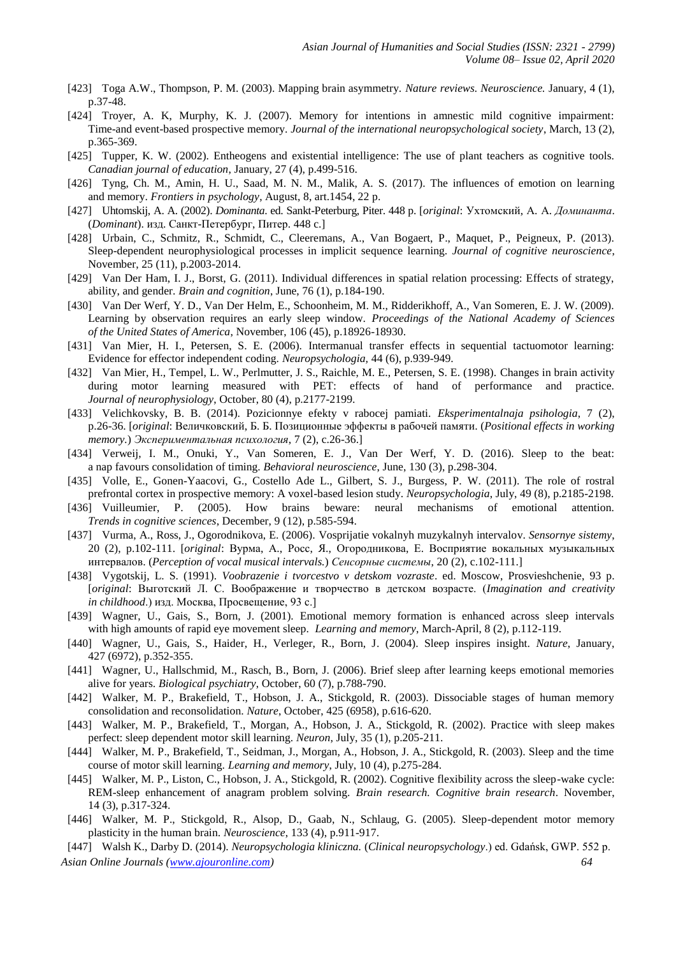- [423] Toga A.W., Thompson, P. M. (2003). Mapping brain asymmetry. *Nature reviews. Neuroscience.* January, 4 (1), p.37-48.
- [424] Troyer, A. K, Murphy, K. J. (2007). Memory for intentions in amnestic mild cognitive impairment: Time-and event-based prospective memory. *Journal of the international neuropsychological society*, March, 13 (2), p.365-369.
- [425] Tupper, K. W. (2002). Entheogens and existential intelligence: The use of plant teachers as cognitive tools. *Canadian journal of education*, January, 27 (4), p.499-516.
- [426] Tyng, Ch. M., Amin, H. U., Saad, M. N. M., Malik, A. S. (2017). The influences of emotion on learning and memory. *Frontiers in psychology*, August, 8, art.1454, 22 p.
- [427] Uhtomskij, A. A. (2002). *Dominanta*. ed. Sankt-Peterburg, Piter. 448 p. [*original*: Ухтомский, А. А. *Доминанта*. (*Dominant*). изд. Санкт-Петербург, Питер. 448 c.]
- [428] Urbain, C., Schmitz, R., Schmidt, C., Cleeremans, A., Van Bogaert, P., Maquet, P., Peigneux, P. (2013). Sleep-dependent neurophysiological processes in implicit sequence learning. *Journal of cognitive neuroscience*, November, 25 (11), p.2003-2014.
- [429] Van Der Ham, I. J., Borst, G. (2011). Individual differences in spatial relation processing: Effects of strategy, ability, and gender. *Brain and cognition*, June, 76 (1), p.184-190.
- [430] Van Der Werf, Y. D., Van Der Helm, E., Schoonheim, M. M., Ridderikhoff, A., Van Someren, E. J. W. (2009). Learning by observation requires an early sleep window. *Proceedings of the National Academy of Sciences of the United States of America*, November, 106 (45), p.18926-18930.
- [431] Van Mier, H. I., Petersen, S. E. (2006). Intermanual transfer effects in sequential tactuomotor learning: Evidence for effector independent coding. *Neuropsychologia,* 44 (6), p.939-949.
- [432] Van Mier, H., Tempel, L. W., Perlmutter, J. S., Raichle, M. E., Petersen, S. E. (1998). Changes in brain activity during motor learning measured with PET: effects of hand of performance and practice. *Journal of neurophysiology*, October, 80 (4), p.2177-2199.
- [433] Velichkovsky, B. B. (2014). Pozicionnye efekty v rabocej pamiati. *Eksperimentalnaja psihologia*, 7 (2), p.26-36. [*original*: Величковский, Б. Б. Позиционные эффекты в рабочей памяти. (*Positional effects in working memory.*) *Экспериментальная психология*, 7 (2), c.26-36.]
- [434] Verweij, I. M., Onuki, Y., Van Someren, E. J., Van Der Werf, Y. D. (2016). Sleep to the beat: a nap favours consolidation of timing. *Behavioral neuroscience*, June, 130 (3), p.298-304.
- [435] Volle, E., Gonen-Yaacovi, G., Costello Ade L., Gilbert, S. J., Burgess, P. W. (2011). The role of rostral prefrontal cortex in prospective memory: A voxel-based lesion study. *Neuropsychologia*, July, 49 (8), p.2185-2198.
- [436] Vuilleumier, P. (2005). How brains beware: neural mechanisms of emotional attention. *Trends in cognitive sciences*, December, 9 (12), p.585-594.
- [437] Vurma, A., Ross, J., Ogorodnikova, E. (2006). Vosprijatie vokalnyh muzykalnyh intervalov. *Sensornye sistemy*, 20 (2), p.102-111. [*original*: Вурма, А., Росс, Я., Огородникова, Е. Восприятие вокальных музыкальных интервалов. (*Perception of vocal musical intervals.*) *Сенсорные системы*, 20 (2), c.102-111.]
- [438] Vygotskij, L. S. (1991). *Voobrazenie i tvorcestvo v detskom vozraste*. ed. Moscow, Prosvieshchenie, 93 p. [*original*: Выготский Л. С. Воображение и творчество в детском возрасте. (*Imagination and creativity in childhood*.) изд. Москва, Просвещение, 93 с.]
- [439] Wagner, U., Gais, S., Born, J. (2001). Emotional memory formation is enhanced across sleep intervals with high amounts of rapid eye movement sleep. *Learning and memory*, March-April, 8 (2), p.112-119.
- [440] Wagner, U., Gais, S., Haider, H., Verleger, R., Born, J. (2004). Sleep inspires insight. *Nature*, January, 427 (6972), p.352-355.
- [441] Wagner, U., Hallschmid, M., Rasch, B., Born, J. (2006). Brief sleep after learning keeps emotional memories alive for years. *Biological psychiatry*, October, 60 (7), p.788-790.
- [442] Walker, M. P., Brakefield, T., Hobson, J. A., Stickgold, R. (2003). Dissociable stages of human memory consolidation and reconsolidation. *Nature*, October, 425 (6958), p.616-620.
- [443] Walker, M. P., Brakefield, T., Morgan, A., Hobson, J. A., Stickgold, R. (2002). Practice with sleep makes perfect: sleep dependent motor skill learning. *Neuron*, July, 35 (1), p.205-211.
- [444] Walker, M. P., Brakefield, T., Seidman, J., Morgan, A., Hobson, J. A., Stickgold, R. (2003). Sleep and the time course of motor skill learning. *Learning and memory*, July, 10 (4), p.275-284.
- [445] Walker, M. P., Liston, C., Hobson, J. A., Stickgold, R. (2002). Cognitive flexibility across the sleep-wake cycle: REM-sleep enhancement of anagram problem solving. *Brain research. Cognitive brain research*. November, 14 (3), p.317-324.
- [446] Walker, M. P., Stickgold, R., Alsop, D., Gaab, N., Schlaug, G. (2005). Sleep-dependent motor memory plasticity in the human brain. *Neuroscience*, 133 (4), p.911-917.

*Asian Online Journals [\(www.ajouronline.com\)](http://www.ajouronline.com/) 64* [447] Walsh K., Darby D. (2014). *Neuropsychologia kliniczna.* (*Clinical neuropsychology*.) ed. Gdańsk, GWP. 552 p.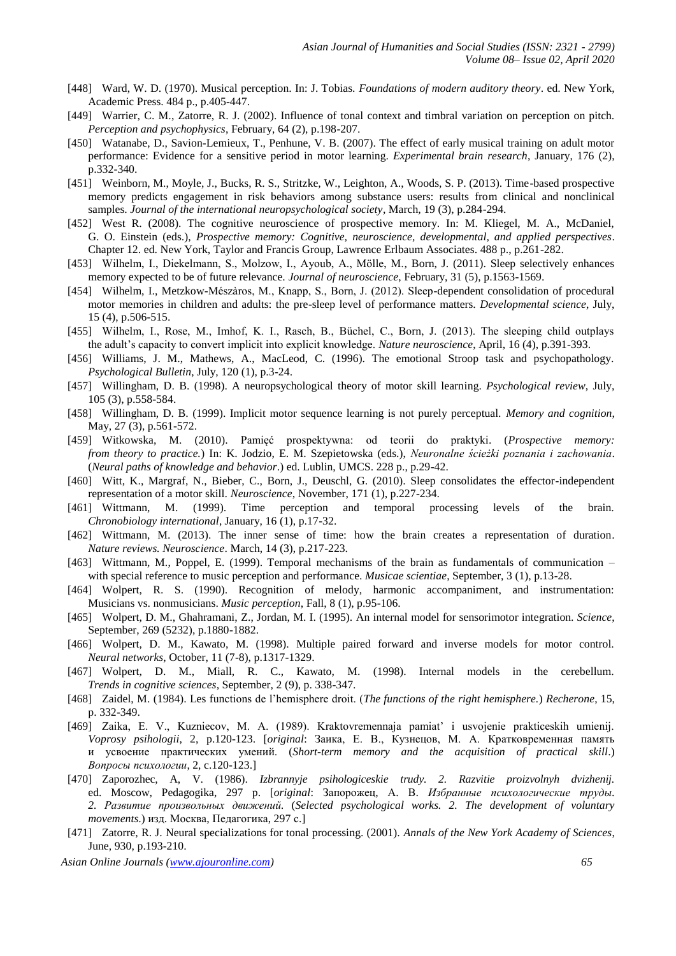- [448] Ward, W. D. (1970). Musical perception. In: J. Tobias. *Foundations of modern auditory theory*. ed. New York, Academic Press. 484 p., p.405-447.
- [449] Warrier, C. M., Zatorre, R. J. (2002). Influence of tonal context and timbral variation on perception on pitch. *Perception and psychophysics*, February, 64 (2), p.198-207.
- [450] Watanabe, D., Savion-Lemieux, T., Penhune, V. B. (2007). The effect of early musical training on adult motor performance: Evidence for a sensitive period in motor learning. *Experimental brain research*, January, 176 (2), p.332-340.
- [451] Weinborn, M., Moyle, J., Bucks, R. S., Stritzke, W., Leighton, A., Woods, S. P. (2013). Time-based prospective memory predicts engagement in risk behaviors among substance users: results from clinical and nonclinical samples. *Journal of the international neuropsychological society*, March, 19 (3), p.284-294.
- [452] West R. (2008). The cognitive neuroscience of prospective memory. In: M. Kliegel, M. A., McDaniel, G. O. Einstein (eds.), *Prospective memory: Cognitive, neuroscience, developmental, and applied perspectives*. Chapter 12. ed. New York, Taylor and Francis Group, Lawrence Erlbaum Associates. 488 p., p.261-282.
- [453] Wilhelm, I., Diekelmann, S., Molzow, I., Ayoub, A., Mölle, M., Born, J. (2011). Sleep selectively enhances memory expected to be of future relevance. *Journal of neuroscience*, February, 31 (5), p.1563-1569.
- [454] Wilhelm, I., Metzkow-Mészàros, M., Knapp, S., Born, J. (2012). Sleep-dependent consolidation of procedural motor memories in children and adults: the pre-sleep level of performance matters. *Developmental science*, July, 15 (4), p.506-515.
- [455] Wilhelm, I., Rose, M., Imhof, K. I., Rasch, B., Büchel, C., Born, J. (2013). The sleeping child outplays the adult's capacity to convert implicit into explicit knowledge. *Nature neuroscience*, April, 16 (4), p.391-393.
- [456] Williams, J. M., Mathews, A., MacLeod, C. (1996). The emotional Stroop task and psychopathology. *Psychological Bulletin*, July, 120 (1), p.3-24.
- [457] Willingham, D. B. (1998). A neuropsychological theory of motor skill learning. *Psychological review*, July, 105 (3), p.558-584.
- [458] Willingham, D. B. (1999). Implicit motor sequence learning is not purely perceptual. *Memory and cognition*, May, 27 (3), p.561-572.
- [459] Witkowska, M. (2010). Pamięć prospektywna: od teorii do praktyki. (*Prospective memory: from theory to practice.*) In: K. Jodzio, E. M. Szepietowska (eds.), *Neuronalne ścieżki poznania i zachowania*. (*Neural paths of knowledge and behavior*.) ed. Lublin, UMCS. 228 p., p.29-42.
- [460] Witt, K., Margraf, N., Bieber, C., Born, J., Deuschl, G. (2010). Sleep consolidates the effector-independent representation of a motor skill. *Neuroscience*, November, 171 (1), p.227-234.
- [461] Wittmann, M. (1999). Time perception and temporal processing levels of the brain. *Chronobiology international*, January, 16 (1), p.17-32.
- [462] Wittmann, M. (2013). The inner sense of time: how the brain creates a representation of duration. *Nature reviews. Neuroscience*. March, 14 (3), p.217-223.
- [463] Wittmann, M., Poppel, E. (1999). Temporal mechanisms of the brain as fundamentals of communication with special reference to music perception and performance. *Musicae scientiae*, September, 3 (1), p.13-28.
- [464] Wolpert, R. S. (1990). Recognition of melody, harmonic accompaniment, and instrumentation: Musicians vs. nonmusicians. *Music perception*, Fall, 8 (1), p.95-106.
- [465] Wolpert, D. M., Ghahramani, Z., Jordan, M. I. (1995). An internal model for sensorimotor integration. *Science*, September, 269 (5232), p.1880-1882.
- [466] Wolpert, D. M., Kawato, M. (1998). Multiple paired forward and inverse models for motor control. *Neural networks*, October, 11 (7-8), p.1317-1329.
- [467] Wolpert, D. M., Miall, R. C., Kawato, M. (1998). Internal models in the cerebellum. *Trends in cognitive sciences*, September, 2 (9), p. 338-347.
- [468] Zaidel, M. (1984). Les functions de l'hemisphere droit. (*The functions of the right hemisphere.*) *Recherone*, 15, p. 332-349.
- [469] Zaika, E. V., Kuzniecov, M. A. (1989). Kraktovremennaja pamiat' i usvojenie prakticeskih umienij. *Voprosy psihologii*, 2, p.120-123. [*original*: Заика, Е. В., Кузнецов, М. А. Кратковременная память и усвоение практических умений. (*Short-term memory and the acquisition of practical skill*.) *Вопросы психологии*, 2, c.120-123.]
- [470] Zaporozhec, A, V. (1986). *Izbrannyje psihologiceskie trudy. 2. Razvitie proizvolnyh dvizhenij.* ed. Moscow, Pedagogika, 297 p. [*original*: Запорожец, А. В. *Избранные психологические труды. 2. Развитие произвольных движений.* (*Selected psychological works. 2. The development of voluntary movements*.) изд. Москва, Педагогика, 297 с.]
- [471] Zatorre, R. J. Neural specializations for tonal processing. (2001). *Annals of the New York Academy of Sciences*, June, 930, p.193-210.